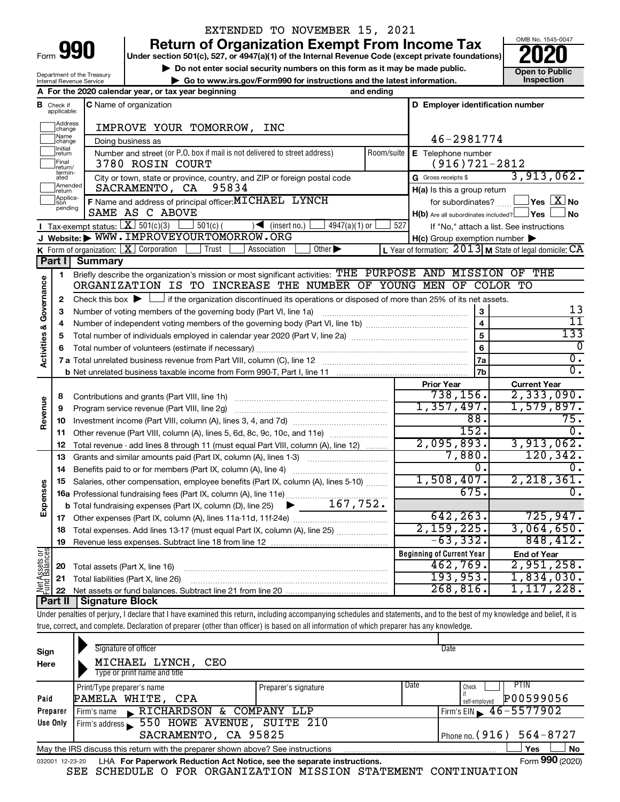| Form |  |  |
|------|--|--|

## EXTENDED TO NOVEMBER 15, 2021

**990** Return of Organization Exempt From Income Tax <br>
Under section 501(c), 527, or 4947(a)(1) of the Internal Revenue Code (except private foundations)<br> **PO20** 

▶ Do not enter social security numbers on this form as it may be made public. <br>● Go to www.irs.gov/Form990 for instructions and the latest information. **Department in the latest** information. **| Go to www.irs.gov/Form990 for instructions and the latest information. Inspection**



Department of the Treasury Internal Revenue Service

|                         |                                  | A For the 2020 calendar year, or tax year beginning                                                                                                                        | and ending |                                                     |                                                         |
|-------------------------|----------------------------------|----------------------------------------------------------------------------------------------------------------------------------------------------------------------------|------------|-----------------------------------------------------|---------------------------------------------------------|
|                         | <b>B</b> Check if<br>applicable: | C Name of organization                                                                                                                                                     |            | D Employer identification number                    |                                                         |
|                         | Address<br> change               | IMPROVE YOUR TOMORROW, INC                                                                                                                                                 |            |                                                     |                                                         |
|                         | ]Name<br>]change                 | Doing business as                                                                                                                                                          |            | 46-2981774                                          |                                                         |
|                         | Initial<br>return                | Number and street (or P.O. box if mail is not delivered to street address)                                                                                                 | Room/suite | E Telephone number                                  |                                                         |
|                         | Final<br>return/                 | 3780 ROSIN COURT                                                                                                                                                           |            | $(916)721-2812$                                     |                                                         |
|                         | termin-<br>ated                  | City or town, state or province, country, and ZIP or foreign postal code                                                                                                   |            | G Gross receipts \$                                 | 3,913,062.                                              |
|                         | Amended<br>return                | 95834<br>SACRAMENTO, CA                                                                                                                                                    |            | H(a) Is this a group return                         |                                                         |
|                         | Applica-<br>Ition                | F Name and address of principal officer: MICHAEL LYNCH                                                                                                                     |            | for subordinates?                                   | $\Box$ Yes $[\overline{\mathrm{X}}]$ No                 |
|                         | pending                          | SAME AS C ABOVE                                                                                                                                                            |            | $H(b)$ Are all subordinates included? $\Box$ Yes    | ⊥No                                                     |
|                         |                                  | Tax-exempt status: $X \mid 501(c)(3)$<br>$501(c)$ (<br>$\sqrt{\frac{1}{1}}$ (insert no.)<br>$4947(a)(1)$ or                                                                | 527        |                                                     | If "No," attach a list. See instructions                |
|                         |                                  | J Website: WWW. IMPROVEYOURTOMORROW. ORG                                                                                                                                   |            | $H(c)$ Group exemption number $\blacktriangleright$ |                                                         |
|                         |                                  | $\overline{Other}$<br>K Form of organization: $X$ Corporation<br>Trust<br>Association                                                                                      |            |                                                     | L Year of formation: 2013 M State of legal domicile: CA |
|                         | Part I                           | <b>Summary</b>                                                                                                                                                             |            |                                                     |                                                         |
|                         | 1                                | Briefly describe the organization's mission or most significant activities: THE PURPOSE AND MISSION OF THE                                                                 |            |                                                     |                                                         |
| Governance              |                                  | ORGANIZATION IS TO INCREASE THE NUMBER OF YOUNG MEN OF COLOR TO                                                                                                            |            |                                                     |                                                         |
|                         | 2                                | Check this box $\blacktriangleright$ $\Box$ if the organization discontinued its operations or disposed of more than 25% of its net assets.                                |            |                                                     |                                                         |
|                         | з                                | Number of voting members of the governing body (Part VI, line 1a)                                                                                                          |            | $\mathbf 3$                                         | 13                                                      |
|                         | 4                                |                                                                                                                                                                            |            | $\overline{\mathbf{4}}$                             | 11<br>133                                               |
|                         | 5                                |                                                                                                                                                                            |            | 5                                                   |                                                         |
| <b>Activities &amp;</b> | 6                                |                                                                                                                                                                            |            | 6                                                   | 0<br>$\overline{0}$ .                                   |
|                         |                                  |                                                                                                                                                                            |            | 7a                                                  | σ.                                                      |
|                         |                                  |                                                                                                                                                                            |            | 7 <sub>b</sub>                                      |                                                         |
|                         |                                  |                                                                                                                                                                            |            | <b>Prior Year</b><br>738, 156.                      | <b>Current Year</b><br>2,333,090.                       |
| Revenue                 | 8                                |                                                                                                                                                                            |            | 1,357,497.                                          | 1,579,897.                                              |
|                         | 9                                | Program service revenue (Part VIII, line 2g)                                                                                                                               |            | 88.                                                 | 75.                                                     |
|                         | 10<br>11                         | Other revenue (Part VIII, column (A), lines 5, 6d, 8c, 9c, 10c, and 11e)                                                                                                   |            | 152.                                                | $0$ .                                                   |
|                         | 12                               | Total revenue - add lines 8 through 11 (must equal Part VIII, column (A), line 12)                                                                                         |            | 2,095,893.                                          | 3,913,062.                                              |
|                         | 13                               | Grants and similar amounts paid (Part IX, column (A), lines 1-3)                                                                                                           |            | 7,880.                                              | 120, 342.                                               |
|                         | 14                               |                                                                                                                                                                            |            | 0.                                                  | 0.                                                      |
|                         | 15                               | Salaries, other compensation, employee benefits (Part IX, column (A), lines 5-10)                                                                                          |            | 1,508,407.                                          | 2, 218, 361.                                            |
| Expenses                |                                  | 16a Professional fundraising fees (Part IX, column (A), line 11e)                                                                                                          |            | 675.                                                | 0.                                                      |
|                         |                                  | <b>b</b> Total fundraising expenses (Part IX, column (D), line 25) $\bullet$ ___ 167, 752.                                                                                 |            |                                                     |                                                         |
|                         |                                  |                                                                                                                                                                            |            | 642, 263.                                           | 725,947.                                                |
|                         | 18                               | Total expenses. Add lines 13-17 (must equal Part IX, column (A), line 25)                                                                                                  |            | 2,159,225.                                          | 3,064,650.                                              |
|                         |                                  | 19 Revenue less expenses. Subtract line 18 from line 12                                                                                                                    |            | $-63,332.$                                          | 848,412.                                                |
|                         |                                  |                                                                                                                                                                            |            | <b>Beginning of Current Year</b>                    | <b>End of Year</b>                                      |
| Net Assets or           | 20                               | Total assets (Part X, line 16)                                                                                                                                             |            | 462,769.                                            | 2,951,258.                                              |
|                         | 21                               | Total liabilities (Part X, line 26)                                                                                                                                        |            | 193,953.                                            | 1,834,030.                                              |
|                         | 22                               |                                                                                                                                                                            |            | 268, 816.                                           | 1,117,228.                                              |
|                         | <b>Part II</b>                   | <b>Signature Block</b>                                                                                                                                                     |            |                                                     |                                                         |
|                         |                                  | Under penalties of perjury, I declare that I have examined this return, including accompanying schedules and statements, and to the best of my knowledge and belief, it is |            |                                                     |                                                         |
|                         |                                  | true, correct, and complete. Declaration of preparer (other than officer) is based on all information of which preparer has any knowledge.                                 |            |                                                     |                                                         |

| Sign            | Signature of officer                                                            |                              | Date                         |
|-----------------|---------------------------------------------------------------------------------|------------------------------|------------------------------|
| Here            | MICHAEL LYNCH,<br>CEO                                                           |                              |                              |
|                 | Type or print name and title                                                    |                              |                              |
|                 | Print/Type preparer's name                                                      | Date<br>Preparer's signature | PTIN<br>Check                |
| Paid            | PAMELA WHITE, CPA                                                               |                              | P00599056<br>self-employed   |
| Preparer        | Firm's name RICHARDSON & COMPANY LLP                                            |                              | Firm's EIN $\, 46 - 5577902$ |
| Use Only        | Firm's address 550 HOWE AVENUE, SUITE 210                                       |                              |                              |
|                 | SACRAMENTO, CA 95825                                                            |                              | Phone no. $(916) 564 - 8727$ |
|                 | May the IRS discuss this return with the preparer shown above? See instructions |                              | No<br>Yes                    |
| 032001 12-23-20 | LHA For Paperwork Reduction Act Notice, see the separate instructions.          |                              | Form 990 (2020)              |

SEE SCHEDULE O FOR ORGANIZATION MISSION STATEMENT CONTINUATION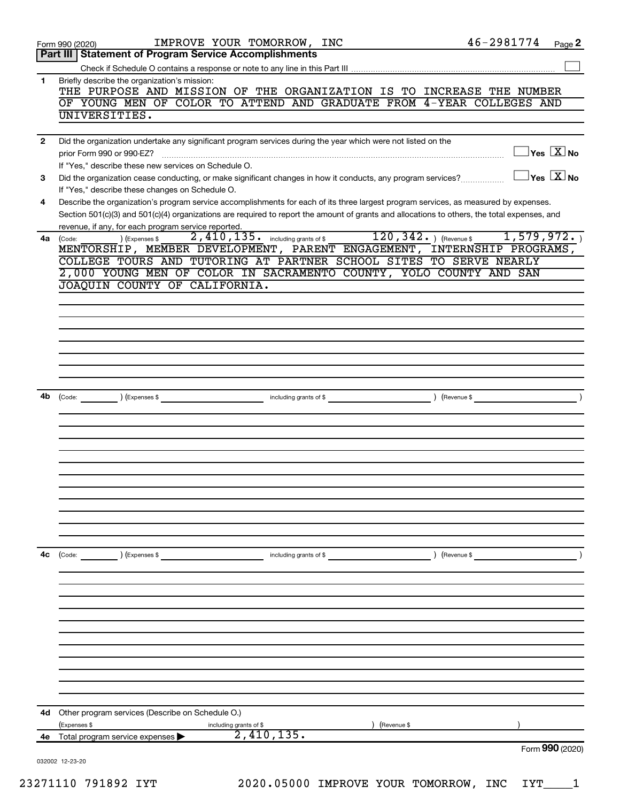|    | 46-2981774<br>IMPROVE YOUR TOMORROW, INC<br>Page 2<br>Form 990 (2020)<br>Part III   Statement of Program Service Accomplishments                                                        |
|----|-----------------------------------------------------------------------------------------------------------------------------------------------------------------------------------------|
|    |                                                                                                                                                                                         |
| 1. | Briefly describe the organization's mission:                                                                                                                                            |
|    | THE PURPOSE AND MISSION OF THE ORGANIZATION IS TO INCREASE THE NUMBER                                                                                                                   |
|    | OF YOUNG MEN OF COLOR TO ATTEND AND GRADUATE FROM 4-YEAR COLLEGES AND<br>UNIVERSITIES.                                                                                                  |
|    |                                                                                                                                                                                         |
| 2  | Did the organization undertake any significant program services during the year which were not listed on the                                                                            |
|    | $\Box$ Yes $[\overline{\mathrm{X}}]$ No<br>prior Form 990 or 990-EZ?                                                                                                                    |
|    | If "Yes," describe these new services on Schedule O.                                                                                                                                    |
| 3  | $\exists$ Yes $\boxed{\text{X}}$ No<br>Did the organization cease conducting, or make significant changes in how it conducts, any program services?                                     |
| 4  | If "Yes," describe these changes on Schedule O.<br>Describe the organization's program service accomplishments for each of its three largest program services, as measured by expenses. |
|    | Section 501(c)(3) and 501(c)(4) organizations are required to report the amount of grants and allocations to others, the total expenses, and                                            |
|    | revenue, if any, for each program service reported.                                                                                                                                     |
| 4a | $120, 342.$ ) (Revenue \$<br>1,579,972.<br>$2,410,135$ $\cdot$ including grants of \$<br>) (Expenses \$<br>(Code:                                                                       |
|    | MENTORSHIP, MEMBER DEVELOPMENT, PARENT ENGAGEMENT, INTERNSHIP PROGRAMS,                                                                                                                 |
|    | COLLEGE TOURS AND TUTORING AT PARTNER SCHOOL SITES TO SERVE NEARLY<br>2,000 YOUNG MEN OF COLOR IN SACRAMENTO COUNTY, YOLO COUNTY AND SAN                                                |
|    | JOAQUIN COUNTY OF CALIFORNIA.                                                                                                                                                           |
|    |                                                                                                                                                                                         |
|    |                                                                                                                                                                                         |
|    |                                                                                                                                                                                         |
|    |                                                                                                                                                                                         |
|    |                                                                                                                                                                                         |
|    |                                                                                                                                                                                         |
|    |                                                                                                                                                                                         |
|    | 4b (Code: ) (Expenses \$<br>including grants of \$                                                                                                                                      |
|    |                                                                                                                                                                                         |
|    |                                                                                                                                                                                         |
|    |                                                                                                                                                                                         |
|    |                                                                                                                                                                                         |
|    |                                                                                                                                                                                         |
|    |                                                                                                                                                                                         |
|    |                                                                                                                                                                                         |
|    |                                                                                                                                                                                         |
|    |                                                                                                                                                                                         |
|    |                                                                                                                                                                                         |
|    |                                                                                                                                                                                         |
| 4c | $\left(\text{Code:} \right)$ $\left(\text{Expenses $}\right)$<br>including grants of \$<br>) (Revenue \$                                                                                |
|    |                                                                                                                                                                                         |
|    |                                                                                                                                                                                         |
|    |                                                                                                                                                                                         |
|    |                                                                                                                                                                                         |
|    |                                                                                                                                                                                         |
|    |                                                                                                                                                                                         |
|    |                                                                                                                                                                                         |
|    |                                                                                                                                                                                         |
|    |                                                                                                                                                                                         |
|    |                                                                                                                                                                                         |
|    |                                                                                                                                                                                         |
|    |                                                                                                                                                                                         |
|    | 4d Other program services (Describe on Schedule O.)                                                                                                                                     |
|    | (Expenses \$<br>Revenue \$<br>including grants of \$                                                                                                                                    |
|    | 2,410,135.<br><b>4e</b> Total program service expenses $\blacktriangleright$<br>Form 990 (2020)                                                                                         |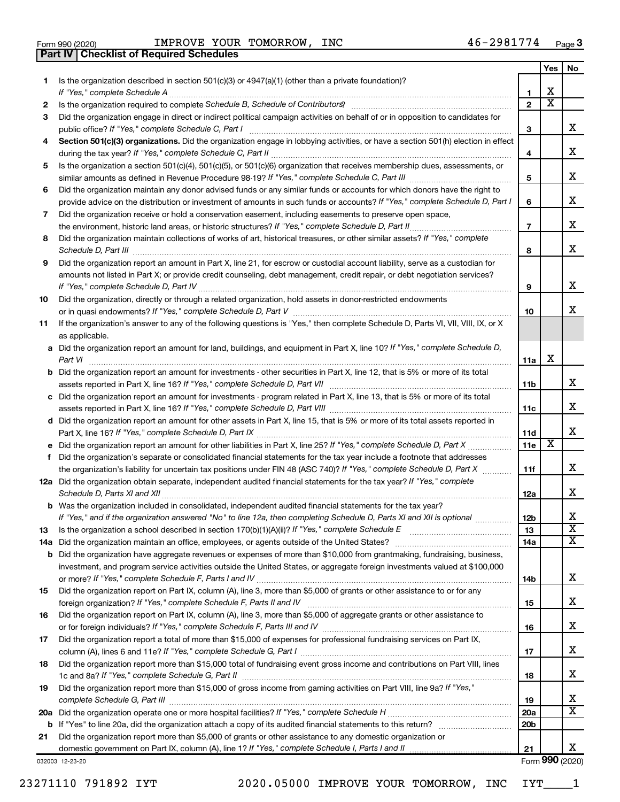|  | Form 990 (2020) |
|--|-----------------|

**Part IV Checklist of Required Schedules**

Form 990 (2020) Page IMPROVE YOUR TOMORROW, INC 46-2981774

|     |                                                                                                                                       |                 | Yes | No.                     |
|-----|---------------------------------------------------------------------------------------------------------------------------------------|-----------------|-----|-------------------------|
| 1.  | Is the organization described in section 501(c)(3) or 4947(a)(1) (other than a private foundation)?                                   |                 |     |                         |
|     | If "Yes," complete Schedule A                                                                                                         | 1               | х   |                         |
| 2   |                                                                                                                                       | $\mathbf{2}$    | X   |                         |
| З   | Did the organization engage in direct or indirect political campaign activities on behalf of or in opposition to candidates for       |                 |     |                         |
|     |                                                                                                                                       | 3               |     | x                       |
| 4   | Section 501(c)(3) organizations. Did the organization engage in lobbying activities, or have a section 501(h) election in effect      |                 |     |                         |
|     |                                                                                                                                       | 4               |     | х                       |
| 5   | Is the organization a section 501(c)(4), 501(c)(5), or 501(c)(6) organization that receives membership dues, assessments, or          |                 |     |                         |
|     |                                                                                                                                       | 5               |     | X                       |
| 6   | Did the organization maintain any donor advised funds or any similar funds or accounts for which donors have the right to             |                 |     |                         |
|     | provide advice on the distribution or investment of amounts in such funds or accounts? If "Yes," complete Schedule D, Part I          | 6               |     | X                       |
| 7   | Did the organization receive or hold a conservation easement, including easements to preserve open space,                             |                 |     | х                       |
|     |                                                                                                                                       | $\overline{7}$  |     |                         |
| 8   | Did the organization maintain collections of works of art, historical treasures, or other similar assets? If "Yes," complete          |                 |     | х                       |
|     | Schedule D, Part III <b>Westerman Communication</b> Contract and Technical Communications and Technical Communications                | 8               |     |                         |
| 9   | Did the organization report an amount in Part X, line 21, for escrow or custodial account liability, serve as a custodian for         |                 |     |                         |
|     | amounts not listed in Part X; or provide credit counseling, debt management, credit repair, or debt negotiation services?             | 9               |     | х                       |
| 10  | Did the organization, directly or through a related organization, hold assets in donor-restricted endowments                          |                 |     |                         |
|     |                                                                                                                                       | 10              |     | x                       |
| 11  | If the organization's answer to any of the following questions is "Yes," then complete Schedule D, Parts VI, VII, VIII, IX, or X      |                 |     |                         |
|     | as applicable.                                                                                                                        |                 |     |                         |
|     | a Did the organization report an amount for land, buildings, and equipment in Part X, line 10? If "Yes," complete Schedule D,         |                 |     |                         |
|     |                                                                                                                                       | 11a             | х   |                         |
|     | <b>b</b> Did the organization report an amount for investments - other securities in Part X, line 12, that is 5% or more of its total |                 |     |                         |
|     |                                                                                                                                       | 11 <sub>b</sub> |     | х                       |
|     | c Did the organization report an amount for investments - program related in Part X, line 13, that is 5% or more of its total         |                 |     |                         |
|     |                                                                                                                                       | 11c             |     | х                       |
|     | d Did the organization report an amount for other assets in Part X, line 15, that is 5% or more of its total assets reported in       |                 |     |                         |
|     |                                                                                                                                       | 11d             |     | х                       |
|     |                                                                                                                                       | 11e             | X   |                         |
| f   | Did the organization's separate or consolidated financial statements for the tax year include a footnote that addresses               |                 |     |                         |
|     | the organization's liability for uncertain tax positions under FIN 48 (ASC 740)? If "Yes," complete Schedule D, Part X                | 11f             |     | x                       |
|     | 12a Did the organization obtain separate, independent audited financial statements for the tax year? If "Yes," complete               |                 |     |                         |
|     |                                                                                                                                       | 12a             |     | x                       |
|     | <b>b</b> Was the organization included in consolidated, independent audited financial statements for the tax year?                    |                 |     |                         |
|     | If "Yes," and if the organization answered "No" to line 12a, then completing Schedule D, Parts XI and XII is optional                 | 12 <sub>b</sub> |     | х                       |
| 13  |                                                                                                                                       | 13              |     | $\overline{\textbf{x}}$ |
| 14a |                                                                                                                                       | 14a             |     | x                       |
|     | <b>b</b> Did the organization have aggregate revenues or expenses of more than \$10,000 from grantmaking, fundraising, business,      |                 |     |                         |
|     | investment, and program service activities outside the United States, or aggregate foreign investments valued at \$100,000            |                 |     | х                       |
|     | Did the organization report on Part IX, column (A), line 3, more than \$5,000 of grants or other assistance to or for any             | 14b             |     |                         |
| 15  |                                                                                                                                       |                 |     | x                       |
|     | Did the organization report on Part IX, column (A), line 3, more than \$5,000 of aggregate grants or other assistance to              | 15              |     |                         |
| 16  |                                                                                                                                       | 16              |     | x                       |
| 17  | Did the organization report a total of more than \$15,000 of expenses for professional fundraising services on Part IX,               |                 |     |                         |
|     |                                                                                                                                       | 17              |     | x                       |
| 18  | Did the organization report more than \$15,000 total of fundraising event gross income and contributions on Part VIII, lines          |                 |     |                         |
|     |                                                                                                                                       | 18              |     | x                       |
| 19  | Did the organization report more than \$15,000 of gross income from gaming activities on Part VIII, line 9a? If "Yes,"                |                 |     |                         |
|     |                                                                                                                                       | 19              |     | х                       |
|     |                                                                                                                                       | 20a             |     | $\overline{\text{X}}$   |
|     |                                                                                                                                       | 20 <sub>b</sub> |     |                         |
| 21  | Did the organization report more than \$5,000 of grants or other assistance to any domestic organization or                           |                 |     |                         |
|     |                                                                                                                                       | 21              |     | x                       |
|     | 032003 12-23-20                                                                                                                       |                 |     | Form 990 (2020)         |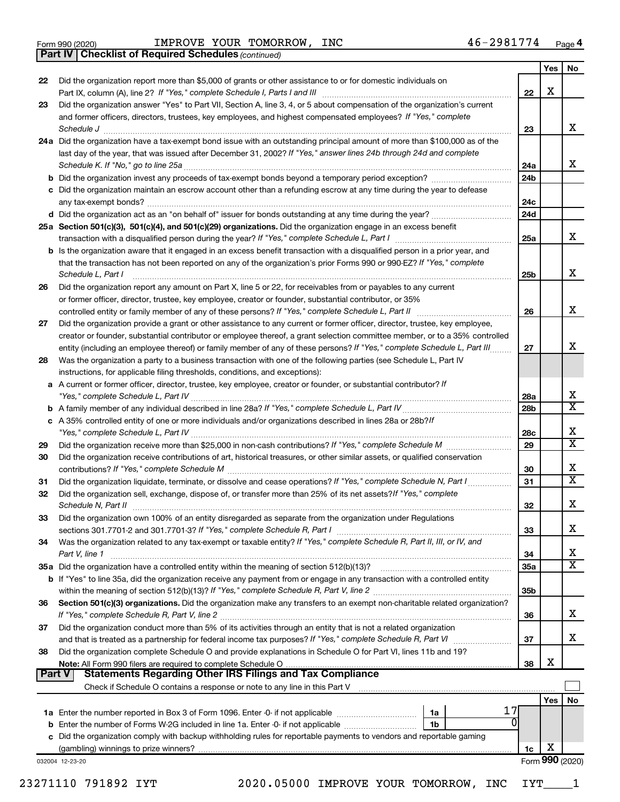|  | Form 990 (2020) |
|--|-----------------|
|  |                 |

**Part IV Checklist of Required Schedules**

*(continued)*

|               |                                                                                                                                                                                 |                 | Yes             | No.                          |
|---------------|---------------------------------------------------------------------------------------------------------------------------------------------------------------------------------|-----------------|-----------------|------------------------------|
| 22            | Did the organization report more than \$5,000 of grants or other assistance to or for domestic individuals on                                                                   |                 |                 |                              |
|               |                                                                                                                                                                                 | 22              | X               |                              |
| 23            | Did the organization answer "Yes" to Part VII, Section A, line 3, 4, or 5 about compensation of the organization's current                                                      |                 |                 |                              |
|               | and former officers, directors, trustees, key employees, and highest compensated employees? If "Yes," complete                                                                  |                 |                 |                              |
|               | Schedule J                                                                                                                                                                      | 23              |                 | x                            |
|               | 24a Did the organization have a tax-exempt bond issue with an outstanding principal amount of more than \$100,000 as of the                                                     |                 |                 |                              |
|               | last day of the year, that was issued after December 31, 2002? If "Yes," answer lines 24b through 24d and complete                                                              |                 |                 |                              |
|               |                                                                                                                                                                                 | 24a             |                 | x                            |
|               |                                                                                                                                                                                 | 24 <sub>b</sub> |                 |                              |
|               | c Did the organization maintain an escrow account other than a refunding escrow at any time during the year to defease                                                          |                 |                 |                              |
|               |                                                                                                                                                                                 | 24c             |                 |                              |
|               |                                                                                                                                                                                 | 24d             |                 |                              |
|               | 25a Section 501(c)(3), 501(c)(4), and 501(c)(29) organizations. Did the organization engage in an excess benefit                                                                |                 |                 |                              |
|               |                                                                                                                                                                                 | 25a             |                 | X.                           |
|               | b Is the organization aware that it engaged in an excess benefit transaction with a disqualified person in a prior year, and                                                    |                 |                 |                              |
|               | that the transaction has not been reported on any of the organization's prior Forms 990 or 990-EZ? If "Yes," complete                                                           |                 |                 |                              |
|               | Schedule L, Part I                                                                                                                                                              | 25b             |                 | х                            |
| 26            | Did the organization report any amount on Part X, line 5 or 22, for receivables from or payables to any current                                                                 |                 |                 |                              |
|               | or former officer, director, trustee, key employee, creator or founder, substantial contributor, or 35%                                                                         |                 |                 | x                            |
|               | controlled entity or family member of any of these persons? If "Yes," complete Schedule L, Part II                                                                              | 26              |                 |                              |
| 27            | Did the organization provide a grant or other assistance to any current or former officer, director, trustee, key employee,                                                     |                 |                 |                              |
|               | creator or founder, substantial contributor or employee thereof, a grant selection committee member, or to a 35% controlled                                                     |                 |                 |                              |
|               | entity (including an employee thereof) or family member of any of these persons? If "Yes," complete Schedule L, Part III                                                        | 27              |                 | х                            |
| 28            | Was the organization a party to a business transaction with one of the following parties (see Schedule L, Part IV                                                               |                 |                 |                              |
|               | instructions, for applicable filing thresholds, conditions, and exceptions):                                                                                                    |                 |                 |                              |
|               | a A current or former officer, director, trustee, key employee, creator or founder, or substantial contributor? If                                                              |                 |                 |                              |
|               |                                                                                                                                                                                 | 28a             |                 | x<br>$\overline{\textbf{x}}$ |
|               |                                                                                                                                                                                 | 28b             |                 |                              |
|               | c A 35% controlled entity of one or more individuals and/or organizations described in lines 28a or 28b?/f                                                                      |                 |                 |                              |
|               |                                                                                                                                                                                 | 28c             |                 | х<br>$\overline{\texttt{x}}$ |
| 29            |                                                                                                                                                                                 | 29              |                 |                              |
| 30            | Did the organization receive contributions of art, historical treasures, or other similar assets, or qualified conservation                                                     |                 |                 |                              |
|               |                                                                                                                                                                                 | 30              |                 | х<br>$\overline{\mathbf{X}}$ |
| 31            | Did the organization liquidate, terminate, or dissolve and cease operations? If "Yes," complete Schedule N, Part I                                                              | 31              |                 |                              |
| 32            | Did the organization sell, exchange, dispose of, or transfer more than 25% of its net assets? If "Yes," complete                                                                |                 |                 |                              |
|               | Schedule N, Part II                                                                                                                                                             | 32              |                 | х                            |
| 33            | Did the organization own 100% of an entity disregarded as separate from the organization under Regulations                                                                      |                 |                 |                              |
|               | sections 301.7701-2 and 301.7701-3? If "Yes," complete Schedule R, Part I                                                                                                       | 33              |                 | х                            |
| 34            | Was the organization related to any tax-exempt or taxable entity? If "Yes," complete Schedule R, Part II, III, or IV, and                                                       |                 |                 |                              |
|               | Part V, line 1                                                                                                                                                                  | 34              |                 | x<br>$\overline{\mathbf{X}}$ |
|               | 35a Did the organization have a controlled entity within the meaning of section 512(b)(13)?                                                                                     | 35a             |                 |                              |
|               | <b>b</b> If "Yes" to line 35a, did the organization receive any payment from or engage in any transaction with a controlled entity                                              |                 |                 |                              |
|               |                                                                                                                                                                                 | 35b             |                 |                              |
| 36            | Section 501(c)(3) organizations. Did the organization make any transfers to an exempt non-charitable related organization?                                                      |                 |                 | х                            |
|               |                                                                                                                                                                                 | 36              |                 |                              |
| 37            | Did the organization conduct more than 5% of its activities through an entity that is not a related organization                                                                |                 |                 | х                            |
|               |                                                                                                                                                                                 | 37              |                 |                              |
| 38            | Did the organization complete Schedule O and provide explanations in Schedule O for Part VI, lines 11b and 19?<br>Note: All Form 990 filers are required to complete Schedule O | 38              | Х               |                              |
| <b>Part V</b> | <b>Statements Regarding Other IRS Filings and Tax Compliance</b>                                                                                                                |                 |                 |                              |
|               | Check if Schedule O contains a response or note to any line in this Part V [11] [11] Check if Schedule O contains a response or note to any line in this Part V                 |                 |                 |                              |
|               |                                                                                                                                                                                 |                 | Yes             | No                           |
|               | 17                                                                                                                                                                              |                 |                 |                              |
|               | 1a<br>n<br>1b                                                                                                                                                                   |                 |                 |                              |
|               | c Did the organization comply with backup withholding rules for reportable payments to vendors and reportable gaming                                                            |                 |                 |                              |
|               |                                                                                                                                                                                 | 1c              | Х               |                              |
|               | 032004 12-23-20                                                                                                                                                                 |                 | Form 990 (2020) |                              |
|               |                                                                                                                                                                                 |                 |                 |                              |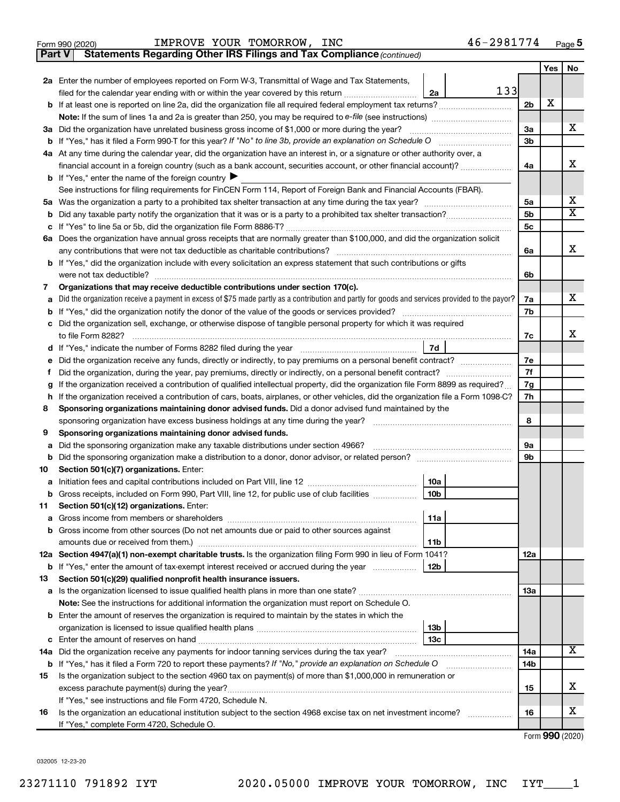|  | Form 990 (2020) |
|--|-----------------|
|  |                 |

**Part V** Statements Regarding Other IRS Filings and Tax Compliance (continued)

|         |                                                                                                                                                                               |                | Yes | No                      |
|---------|-------------------------------------------------------------------------------------------------------------------------------------------------------------------------------|----------------|-----|-------------------------|
|         | 2a Enter the number of employees reported on Form W-3, Transmittal of Wage and Tax Statements,                                                                                |                |     |                         |
|         | 133<br>filed for the calendar year ending with or within the year covered by this return <i>manumanomanoman</i><br>2a                                                         |                |     |                         |
| b       |                                                                                                                                                                               | 2b             | х   |                         |
|         |                                                                                                                                                                               |                |     |                         |
|         | 3a Did the organization have unrelated business gross income of \$1,000 or more during the year?                                                                              | За             |     | х                       |
| b       | If "Yes," has it filed a Form 990-T for this year? If "No" to line 3b, provide an explanation on Schedule O                                                                   | 3 <sub>b</sub> |     |                         |
|         | 4a At any time during the calendar year, did the organization have an interest in, or a signature or other authority over, a                                                  |                |     |                         |
|         | financial account in a foreign country (such as a bank account, securities account, or other financial account)?                                                              | 4a             |     | x                       |
|         | <b>b</b> If "Yes," enter the name of the foreign country $\blacktriangleright$                                                                                                |                |     |                         |
|         | See instructions for filing requirements for FinCEN Form 114, Report of Foreign Bank and Financial Accounts (FBAR).                                                           |                |     | х                       |
| 5а      |                                                                                                                                                                               | 5a<br>5b       |     | $\overline{\mathbf{X}}$ |
| b       |                                                                                                                                                                               | 5с             |     |                         |
| с       | 6a Does the organization have annual gross receipts that are normally greater than \$100,000, and did the organization solicit                                                |                |     |                         |
|         | any contributions that were not tax deductible as charitable contributions?                                                                                                   | 6a             |     | x                       |
|         | <b>b</b> If "Yes," did the organization include with every solicitation an express statement that such contributions or gifts                                                 |                |     |                         |
|         | were not tax deductible?                                                                                                                                                      | 6b             |     |                         |
| 7       | Organizations that may receive deductible contributions under section 170(c).                                                                                                 |                |     |                         |
| а       | Did the organization receive a payment in excess of \$75 made partly as a contribution and partly for goods and services provided to the payor?                               | 7a             |     | x                       |
| b       | If "Yes," did the organization notify the donor of the value of the goods or services provided?                                                                               | 7b             |     |                         |
| с       | Did the organization sell, exchange, or otherwise dispose of tangible personal property for which it was required                                                             |                |     |                         |
|         |                                                                                                                                                                               | 7c             |     | х                       |
| d       | 7d                                                                                                                                                                            |                |     |                         |
| е       | Did the organization receive any funds, directly or indirectly, to pay premiums on a personal benefit contract?                                                               | 7e             |     |                         |
| f       | Did the organization, during the year, pay premiums, directly or indirectly, on a personal benefit contract?                                                                  | 7f             |     |                         |
| g       | If the organization received a contribution of qualified intellectual property, did the organization file Form 8899 as required?                                              | 7g             |     |                         |
| h       | If the organization received a contribution of cars, boats, airplanes, or other vehicles, did the organization file a Form 1098-C?                                            | 7h             |     |                         |
| 8       | Sponsoring organizations maintaining donor advised funds. Did a donor advised fund maintained by the                                                                          |                |     |                         |
|         | sponsoring organization have excess business holdings at any time during the year?                                                                                            | 8              |     |                         |
| 9       | Sponsoring organizations maintaining donor advised funds.                                                                                                                     |                |     |                         |
| a       | Did the sponsoring organization make any taxable distributions under section 4966?                                                                                            | 9а             |     |                         |
| b<br>10 | Section 501(c)(7) organizations. Enter:                                                                                                                                       | 9b             |     |                         |
| а       | 10a                                                                                                                                                                           |                |     |                         |
|         | 10 <sub>b</sub><br>b Gross receipts, included on Form 990, Part VIII, line 12, for public use of club facilities                                                              |                |     |                         |
| 11      | Section 501(c)(12) organizations. Enter:                                                                                                                                      |                |     |                         |
|         | 11a<br><b>a</b> Gross income from members or shareholders                                                                                                                     |                |     |                         |
|         | <b>b</b> Gross income from other sources (Do not net amounts due or paid to other sources against                                                                             |                |     |                         |
|         | 11b                                                                                                                                                                           |                |     |                         |
|         | 12a Section 4947(a)(1) non-exempt charitable trusts. Is the organization filing Form 990 in lieu of Form 1041?                                                                | 12a            |     |                         |
|         | <b>b</b> If "Yes," enter the amount of tax-exempt interest received or accrued during the year<br>  12b                                                                       |                |     |                         |
| 13      | Section 501(c)(29) qualified nonprofit health insurance issuers.                                                                                                              |                |     |                         |
|         |                                                                                                                                                                               | 13a            |     |                         |
|         | Note: See the instructions for additional information the organization must report on Schedule O.                                                                             |                |     |                         |
|         | <b>b</b> Enter the amount of reserves the organization is required to maintain by the states in which the                                                                     |                |     |                         |
|         | 13 <sub>b</sub>                                                                                                                                                               |                |     |                         |
|         | 13с                                                                                                                                                                           |                |     |                         |
|         | 14a Did the organization receive any payments for indoor tanning services during the tax year?                                                                                | 14a            |     | x                       |
|         | <b>b</b> If "Yes," has it filed a Form 720 to report these payments? If "No," provide an explanation on Schedule O<br><u> 1986 - John Barbara, martin a</u>                   | 14b            |     |                         |
| 15      | Is the organization subject to the section 4960 tax on payment(s) of more than \$1,000,000 in remuneration or                                                                 |                |     | х                       |
|         | excess parachute payment(s) during the year?                                                                                                                                  | 15             |     |                         |
| 16      | If "Yes," see instructions and file Form 4720, Schedule N.<br>Is the organization an educational institution subject to the section 4968 excise tax on net investment income? | 16             |     | х                       |
|         | If "Yes," complete Form 4720, Schedule O.                                                                                                                                     |                |     |                         |
|         |                                                                                                                                                                               |                |     |                         |

Form (2020) **990**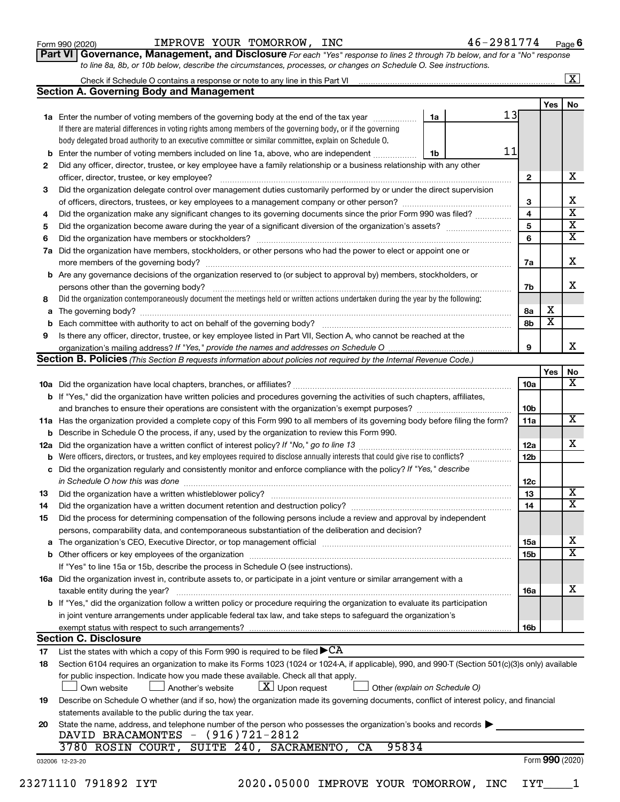| Form 990 (2020) |  |
|-----------------|--|
|-----------------|--|

Form 990 (2020) Page IMPROVE YOUR TOMORROW, INC 46-2981774

**Part VI** Governance, Management, and Disclosure For each "Yes" response to lines 2 through 7b below, and for a "No" response *to line 8a, 8b, or 10b below, describe the circumstances, processes, or changes on Schedule O. See instructions.*

|     | Check if Schedule O contains a response or note to any line in this Part VI [11] [12] [12] Check if Schedule O contains a response or note to any line in this Part VI |    |    |                 |                       | $\overline{\text{X}}$   |
|-----|------------------------------------------------------------------------------------------------------------------------------------------------------------------------|----|----|-----------------|-----------------------|-------------------------|
|     | <b>Section A. Governing Body and Management</b>                                                                                                                        |    |    |                 |                       |                         |
|     |                                                                                                                                                                        |    |    |                 | Yes                   | No                      |
|     | 1a Enter the number of voting members of the governing body at the end of the tax year                                                                                 | 1a | 13 |                 |                       |                         |
|     | If there are material differences in voting rights among members of the governing body, or if the governing                                                            |    |    |                 |                       |                         |
|     | body delegated broad authority to an executive committee or similar committee, explain on Schedule O.                                                                  |    |    |                 |                       |                         |
| b   | Enter the number of voting members included on line 1a, above, who are independent                                                                                     | 1b | 11 |                 |                       |                         |
| 2   | Did any officer, director, trustee, or key employee have a family relationship or a business relationship with any other                                               |    |    |                 |                       |                         |
|     | officer, director, trustee, or key employee?                                                                                                                           |    | .  | $\mathbf{2}$    |                       | x                       |
| 3   | Did the organization delegate control over management duties customarily performed by or under the direct supervision                                                  |    |    |                 |                       |                         |
|     |                                                                                                                                                                        |    |    | 3               |                       | x                       |
| 4   | Did the organization make any significant changes to its governing documents since the prior Form 990 was filed?                                                       |    |    | $\overline{4}$  |                       | $\overline{\mathbf{x}}$ |
| 5   |                                                                                                                                                                        |    |    | 5               |                       | $\overline{\mathbf{x}}$ |
| 6   |                                                                                                                                                                        |    |    | 6               |                       | $\overline{\textbf{x}}$ |
| 7a  | Did the organization have members, stockholders, or other persons who had the power to elect or appoint one or                                                         |    |    |                 |                       |                         |
|     |                                                                                                                                                                        |    |    | 7a              |                       | x                       |
|     | <b>b</b> Are any governance decisions of the organization reserved to (or subject to approval by) members, stockholders, or                                            |    |    |                 |                       |                         |
|     | persons other than the governing body?                                                                                                                                 |    |    | 7b              |                       | x                       |
| 8   | Did the organization contemporaneously document the meetings held or written actions undertaken during the year by the following:                                      |    |    |                 |                       |                         |
| a   |                                                                                                                                                                        |    |    | 8а              | х                     |                         |
| b   |                                                                                                                                                                        |    |    | 8b              | $\overline{\text{x}}$ |                         |
| 9   | Is there any officer, director, trustee, or key employee listed in Part VII, Section A, who cannot be reached at the                                                   |    |    |                 |                       |                         |
|     |                                                                                                                                                                        |    |    | 9               |                       | x                       |
|     | Section B. Policies (This Section B requests information about policies not required by the Internal Revenue Code.)                                                    |    |    |                 |                       |                         |
|     |                                                                                                                                                                        |    |    |                 | Yes                   | No                      |
|     |                                                                                                                                                                        |    |    | <b>10a</b>      |                       | $\overline{\mathbf{X}}$ |
|     | b If "Yes," did the organization have written policies and procedures governing the activities of such chapters, affiliates,                                           |    |    |                 |                       |                         |
|     |                                                                                                                                                                        |    |    | 10b             |                       | $\overline{\mathbf{X}}$ |
|     | 11a Has the organization provided a complete copy of this Form 990 to all members of its governing body before filing the form?                                        |    |    | 11a             |                       |                         |
| b   | Describe in Schedule O the process, if any, used by the organization to review this Form 990.                                                                          |    |    |                 |                       | x                       |
| 12a |                                                                                                                                                                        |    |    | 12a             |                       |                         |
| b   |                                                                                                                                                                        |    |    | 12 <sub>b</sub> |                       |                         |
| с   | Did the organization regularly and consistently monitor and enforce compliance with the policy? If "Yes," describe                                                     |    |    |                 |                       |                         |
| 13  | in Schedule O how this was done manufactured and continuum and contact the was done manufactured and contact t                                                         |    |    | 12c<br>13       |                       | X                       |
| 14  | Did the organization have a written document retention and destruction policy? [11] manufaction manufaction in                                                         |    |    | 14              |                       | $\overline{\mathtt{x}}$ |
| 15  | Did the process for determining compensation of the following persons include a review and approval by independent                                                     |    |    |                 |                       |                         |
|     | persons, comparability data, and contemporaneous substantiation of the deliberation and decision?                                                                      |    |    |                 |                       |                         |
| а   |                                                                                                                                                                        |    |    | 15a             |                       | X                       |
|     |                                                                                                                                                                        |    |    | 15b             |                       | $\overline{\text{x}}$   |
|     | If "Yes" to line 15a or 15b, describe the process in Schedule O (see instructions).                                                                                    |    |    |                 |                       |                         |
|     | 16a Did the organization invest in, contribute assets to, or participate in a joint venture or similar arrangement with a                                              |    |    |                 |                       |                         |
|     | taxable entity during the year?                                                                                                                                        |    |    | 16a             |                       | х                       |
|     | b If "Yes," did the organization follow a written policy or procedure requiring the organization to evaluate its participation                                         |    |    |                 |                       |                         |
|     | in joint venture arrangements under applicable federal tax law, and take steps to safeguard the organization's                                                         |    |    |                 |                       |                         |
|     | exempt status with respect to such arrangements?                                                                                                                       |    |    | 16b             |                       |                         |
|     | <b>Section C. Disclosure</b>                                                                                                                                           |    |    |                 |                       |                         |
| 17  | List the states with which a copy of this Form 990 is required to be filed $\blacktriangleright$ CA                                                                    |    |    |                 |                       |                         |
| 18  | Section 6104 requires an organization to make its Forms 1023 (1024 or 1024-A, if applicable), 990, and 990-T (Section 501(c)(3)s only) available                       |    |    |                 |                       |                         |
|     | for public inspection. Indicate how you made these available. Check all that apply.                                                                                    |    |    |                 |                       |                         |
|     | $ \underline{X} $ Upon request<br>Another's website<br>Other (explain on Schedule O)<br>Own website                                                                    |    |    |                 |                       |                         |
| 19  | Describe on Schedule O whether (and if so, how) the organization made its governing documents, conflict of interest policy, and financial                              |    |    |                 |                       |                         |
|     | statements available to the public during the tax year.                                                                                                                |    |    |                 |                       |                         |
| 20  | State the name, address, and telephone number of the person who possesses the organization's books and records                                                         |    |    |                 |                       |                         |
|     | DAVID BRACAMONTES - (916)721-2812                                                                                                                                      |    |    |                 |                       |                         |
|     | 3780 ROSIN COURT, SUITE 240, SACRAMENTO,<br>95834<br>CA                                                                                                                |    |    |                 |                       |                         |
|     | 032006 12-23-20                                                                                                                                                        |    |    |                 |                       | Form 990 (2020)         |

23271110 791892 IYT 2020.05000 IMPROVE YOUR TOMORROW, INC IYT\_\_\_\_1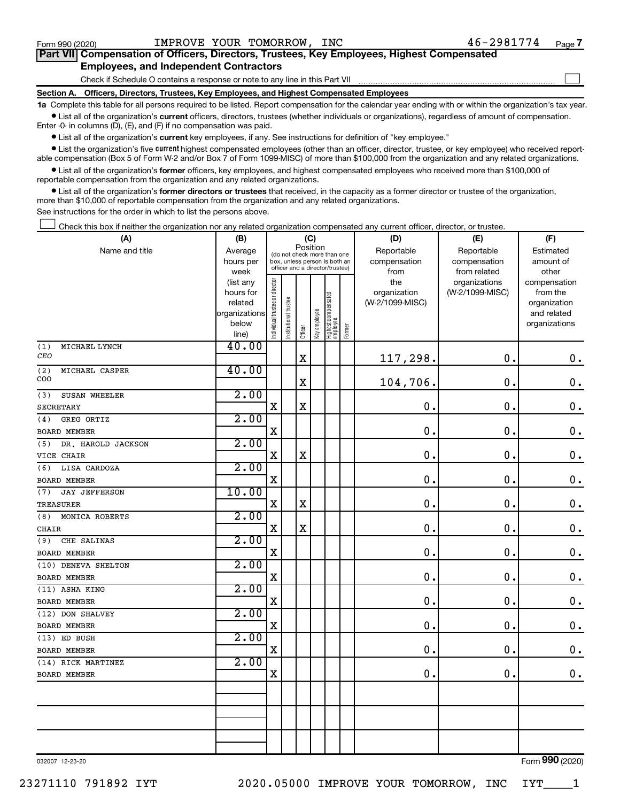$\mathcal{L}^{\text{eff}}$ 

| Part VII Compensation of Officers, Directors, Trustees, Key Employees, Highest Compensated |
|--------------------------------------------------------------------------------------------|
| <b>Employees, and Independent Contractors</b>                                              |

Check if Schedule O contains a response or note to any line in this Part VII

**Section A. Officers, Directors, Trustees, Key Employees, and Highest Compensated Employees**

**1a**  Complete this table for all persons required to be listed. Report compensation for the calendar year ending with or within the organization's tax year.  $\bullet$  List all of the organization's current officers, directors, trustees (whether individuals or organizations), regardless of amount of compensation.

Enter -0- in columns (D), (E), and (F) if no compensation was paid.

**•** List all of the organization's current key employees, if any. See instructions for definition of "key employee."

• List the organization's five *current* highest compensated employees (other than an officer, director, trustee, or key employee) who received reportable compensation (Box 5 of Form W-2 and/or Box 7 of Form 1099-MISC) of more than \$100,000 from the organization and any related organizations.

 $\bullet$  List all of the organization's former officers, key employees, and highest compensated employees who received more than \$100,000 of reportable compensation from the organization and any related organizations.

**•** List all of the organization's former directors or trustees that received, in the capacity as a former director or trustee of the organization, more than \$10,000 of reportable compensation from the organization and any related organizations.

See instructions for the order in which to list the persons above.

Check this box if neither the organization nor any related organization compensated any current officer, director, or trustee.  $\mathcal{L}^{\text{eff}}$ 

| (A)                         | (B)                    |                                |                                                                  | (C)         |              |                                   |        | (D)             | (E)             | (F)                          |
|-----------------------------|------------------------|--------------------------------|------------------------------------------------------------------|-------------|--------------|-----------------------------------|--------|-----------------|-----------------|------------------------------|
| Name and title              | Average                |                                | (do not check more than one                                      |             | Position     |                                   |        | Reportable      | Reportable      | Estimated                    |
|                             | hours per              |                                | box, unless person is both an<br>officer and a director/trustee) |             |              |                                   |        | compensation    | compensation    | amount of                    |
|                             | week                   |                                |                                                                  |             |              |                                   |        | from            | from related    | other                        |
|                             | (list any              |                                |                                                                  |             |              |                                   |        | the             | organizations   | compensation                 |
|                             | hours for              |                                |                                                                  |             |              |                                   |        | organization    | (W-2/1099-MISC) | from the                     |
|                             | related                |                                |                                                                  |             |              |                                   |        | (W-2/1099-MISC) |                 | organization                 |
|                             | organizations<br>below |                                |                                                                  |             |              |                                   |        |                 |                 | and related<br>organizations |
|                             | line)                  | Individual trustee or director | Institutional trustee                                            | Officer     | Key employee | Highest compensated<br>  employee | Former |                 |                 |                              |
| (1)<br>MICHAEL LYNCH        | 40.00                  |                                |                                                                  |             |              |                                   |        |                 |                 |                              |
| CEO                         |                        |                                |                                                                  | $\mathbf x$ |              |                                   |        | 117,298.        | $\mathbf 0$ .   | $\mathbf 0$ .                |
| (2)<br>MICHAEL CASPER       | 40.00                  |                                |                                                                  |             |              |                                   |        |                 |                 |                              |
| COO                         |                        |                                |                                                                  | $\mathbf X$ |              |                                   |        | 104,706.        | $\mathbf 0$ .   | $\mathbf 0$ .                |
| SUSAN WHEELER<br>(3)        | 2.00                   |                                |                                                                  |             |              |                                   |        |                 |                 |                              |
| SECRETARY                   |                        | $\mathbf X$                    |                                                                  | $\mathbf X$ |              |                                   |        | 0.              | $\mathbf 0$ .   | $\mathbf 0$ .                |
| GREG ORTIZ<br>(4)           | 2.00                   |                                |                                                                  |             |              |                                   |        |                 |                 |                              |
| <b>BOARD MEMBER</b>         |                        | X                              |                                                                  |             |              |                                   |        | 0.              | $\mathbf 0$ .   | $\mathbf 0$ .                |
| (5)<br>DR. HAROLD JACKSON   | 2.00                   |                                |                                                                  |             |              |                                   |        |                 |                 |                              |
| VICE CHAIR                  |                        | $\mathbf X$                    |                                                                  | $\mathbf X$ |              |                                   |        | 0.              | $\mathbf 0$ .   | $\mathbf 0$ .                |
| LISA CARDOZA<br>(6)         | 2.00                   |                                |                                                                  |             |              |                                   |        |                 |                 |                              |
| BOARD MEMBER                |                        | $\mathbf X$                    |                                                                  |             |              |                                   |        | $\mathbf 0$ .   | $\mathbf 0$ .   | $\mathbf 0$ .                |
| <b>JAY JEFFERSON</b><br>(7) | 10.00                  |                                |                                                                  |             |              |                                   |        |                 |                 |                              |
| <b>TREASURER</b>            |                        | $\mathbf X$                    |                                                                  | $\mathbf X$ |              |                                   |        | 0.              | $\mathbf 0$ .   | $\mathbf 0$ .                |
| MONICA ROBERTS<br>(8)       | 2.00                   |                                |                                                                  |             |              |                                   |        |                 |                 |                              |
| <b>CHAIR</b>                |                        | $\mathbf X$                    |                                                                  | $\mathbf X$ |              |                                   |        | 0.              | $\mathbf 0$ .   | $\mathbf 0$ .                |
| CHE SALINAS<br>(9)          | 2.00                   |                                |                                                                  |             |              |                                   |        |                 |                 |                              |
| <b>BOARD MEMBER</b>         |                        | $\mathbf x$                    |                                                                  |             |              |                                   |        | 0.              | $\mathbf 0$ .   | $\mathbf 0$ .                |
| (10) DENEVA SHELTON         | 2.00                   |                                |                                                                  |             |              |                                   |        |                 |                 |                              |
| <b>BOARD MEMBER</b>         |                        | $\mathbf X$                    |                                                                  |             |              |                                   |        | $\mathbf 0$ .   | $\mathbf 0$ .   | $\mathbf 0$ .                |
| (11) ASHA KING              | 2.00                   |                                |                                                                  |             |              |                                   |        |                 |                 |                              |
| <b>BOARD MEMBER</b>         |                        | $\mathbf X$                    |                                                                  |             |              |                                   |        | 0.              | $\mathbf 0$ .   | $\mathbf 0$ .                |
| (12) DON SHALVEY            | 2.00                   |                                |                                                                  |             |              |                                   |        |                 |                 |                              |
| <b>BOARD MEMBER</b>         |                        | $\mathbf X$                    |                                                                  |             |              |                                   |        | 0.              | $\mathbf 0$ .   | $\mathbf 0$ .                |
| (13) ED BUSH                | 2.00                   |                                |                                                                  |             |              |                                   |        |                 |                 |                              |
| BOARD MEMBER                |                        | $\mathbf X$                    |                                                                  |             |              |                                   |        | 0.              | $\mathbf 0$ .   | $\mathbf 0$ .                |
| (14) RICK MARTINEZ          | 2.00                   |                                |                                                                  |             |              |                                   |        |                 |                 |                              |
| <b>BOARD MEMBER</b>         |                        | $\mathbf X$                    |                                                                  |             |              |                                   |        | $\mathbf 0$ .   | $\mathbf 0$ .   | 0.                           |
|                             |                        |                                |                                                                  |             |              |                                   |        |                 |                 |                              |
|                             |                        |                                |                                                                  |             |              |                                   |        |                 |                 |                              |
|                             |                        |                                |                                                                  |             |              |                                   |        |                 |                 |                              |
|                             |                        |                                |                                                                  |             |              |                                   |        |                 |                 |                              |
|                             |                        |                                |                                                                  |             |              |                                   |        |                 |                 |                              |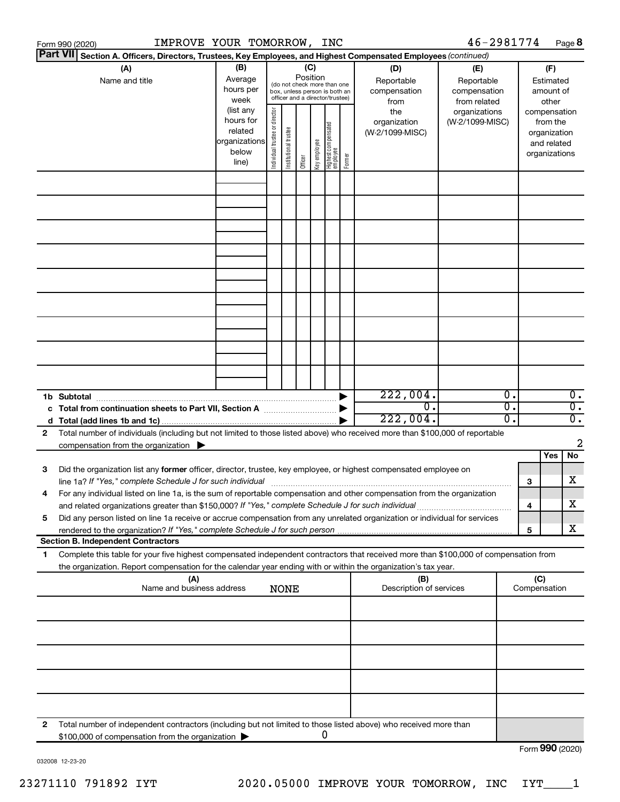|   | IMPROVE YOUR TOMORROW, INC<br>Form 990 (2020)                                                                                        |                                                                                                                                                                                                                                                                           |  |             |         |                                 |   |                                                                                     |                                                                                       | 46-2981774 |                                                                                                   |                     | Page 8                      |
|---|--------------------------------------------------------------------------------------------------------------------------------------|---------------------------------------------------------------------------------------------------------------------------------------------------------------------------------------------------------------------------------------------------------------------------|--|-------------|---------|---------------------------------|---|-------------------------------------------------------------------------------------|---------------------------------------------------------------------------------------|------------|---------------------------------------------------------------------------------------------------|---------------------|-----------------------------|
|   | <b>Part VII</b><br>Section A. Officers, Directors, Trustees, Key Employees, and Highest Compensated Employees (continued)            |                                                                                                                                                                                                                                                                           |  |             |         |                                 |   |                                                                                     |                                                                                       |            |                                                                                                   |                     |                             |
|   | (A)<br>Name and title                                                                                                                | (B)<br>(C)<br>Position<br>Average<br>(do not check more than one<br>hours per<br>box, unless person is both an<br>officer and a director/trustee)<br>week<br>(list any<br>ndividual trustee or director<br>hours for<br>Institutional trustee<br>related<br>organizations |  |             |         | Highest compensated<br>employee |   | (D)<br>Reportable<br>compensation<br>from<br>the<br>organization<br>(W-2/1099-MISC) | (E)<br>Reportable<br>compensation<br>from related<br>organizations<br>(W-2/1099-MISC) |            | (F)<br>Estimated<br>amount of<br>other<br>compensation<br>from the<br>organization<br>and related |                     |                             |
|   |                                                                                                                                      | below<br>line)                                                                                                                                                                                                                                                            |  |             | Officer | Key employee                    |   | Former                                                                              |                                                                                       |            |                                                                                                   | organizations       |                             |
|   |                                                                                                                                      |                                                                                                                                                                                                                                                                           |  |             |         |                                 |   |                                                                                     |                                                                                       |            |                                                                                                   |                     |                             |
|   |                                                                                                                                      |                                                                                                                                                                                                                                                                           |  |             |         |                                 |   |                                                                                     |                                                                                       |            |                                                                                                   |                     |                             |
|   |                                                                                                                                      |                                                                                                                                                                                                                                                                           |  |             |         |                                 |   |                                                                                     |                                                                                       |            |                                                                                                   |                     |                             |
|   |                                                                                                                                      |                                                                                                                                                                                                                                                                           |  |             |         |                                 |   |                                                                                     |                                                                                       |            |                                                                                                   |                     |                             |
|   |                                                                                                                                      |                                                                                                                                                                                                                                                                           |  |             |         |                                 |   |                                                                                     |                                                                                       |            |                                                                                                   |                     |                             |
|   |                                                                                                                                      |                                                                                                                                                                                                                                                                           |  |             |         |                                 |   |                                                                                     |                                                                                       |            |                                                                                                   |                     |                             |
|   |                                                                                                                                      |                                                                                                                                                                                                                                                                           |  |             |         |                                 |   |                                                                                     |                                                                                       |            |                                                                                                   |                     |                             |
|   |                                                                                                                                      |                                                                                                                                                                                                                                                                           |  |             |         |                                 |   |                                                                                     |                                                                                       |            |                                                                                                   |                     |                             |
|   |                                                                                                                                      |                                                                                                                                                                                                                                                                           |  |             |         |                                 |   |                                                                                     |                                                                                       |            |                                                                                                   |                     |                             |
|   |                                                                                                                                      |                                                                                                                                                                                                                                                                           |  |             |         |                                 |   |                                                                                     |                                                                                       |            |                                                                                                   |                     |                             |
|   |                                                                                                                                      |                                                                                                                                                                                                                                                                           |  |             |         |                                 |   |                                                                                     |                                                                                       |            |                                                                                                   |                     |                             |
|   |                                                                                                                                      |                                                                                                                                                                                                                                                                           |  |             |         |                                 |   |                                                                                     |                                                                                       |            |                                                                                                   |                     |                             |
|   | 1b Subtotal                                                                                                                          |                                                                                                                                                                                                                                                                           |  |             |         |                                 |   |                                                                                     | 222,004.                                                                              |            | Ο.                                                                                                |                     | $\overline{0}$ .            |
|   | c Total from continuation sheets to Part VII, Section A manuscreen continuum                                                         |                                                                                                                                                                                                                                                                           |  |             |         |                                 |   |                                                                                     | $\Omega$ .                                                                            |            | $\overline{0}$ .                                                                                  |                     | $\overline{0}$ .            |
|   | Total number of individuals (including but not limited to those listed above) who received more than \$100,000 of reportable         |                                                                                                                                                                                                                                                                           |  |             |         |                                 |   |                                                                                     | 222,004.                                                                              |            | о.                                                                                                |                     | $\overline{\mathfrak{o}}$ . |
| 2 | compensation from the organization                                                                                                   |                                                                                                                                                                                                                                                                           |  |             |         |                                 |   |                                                                                     |                                                                                       |            |                                                                                                   |                     | 2                           |
|   |                                                                                                                                      |                                                                                                                                                                                                                                                                           |  |             |         |                                 |   |                                                                                     |                                                                                       |            |                                                                                                   | Yes                 | No                          |
| 3 | Did the organization list any former officer, director, trustee, key employee, or highest compensated employee on                    |                                                                                                                                                                                                                                                                           |  |             |         |                                 |   |                                                                                     |                                                                                       |            |                                                                                                   |                     | X                           |
|   | For any individual listed on line 1a, is the sum of reportable compensation and other compensation from the organization             |                                                                                                                                                                                                                                                                           |  |             |         |                                 |   |                                                                                     |                                                                                       |            | 3                                                                                                 |                     |                             |
|   | and related organizations greater than \$150,000? If "Yes," complete Schedule J for such individual                                  |                                                                                                                                                                                                                                                                           |  |             |         |                                 |   |                                                                                     |                                                                                       |            | 4                                                                                                 |                     | х                           |
| 5 | Did any person listed on line 1a receive or accrue compensation from any unrelated organization or individual for services           |                                                                                                                                                                                                                                                                           |  |             |         |                                 |   |                                                                                     |                                                                                       |            |                                                                                                   |                     | х                           |
|   | rendered to the organization? If "Yes," complete Schedule J for such person<br><b>Section B. Independent Contractors</b>             |                                                                                                                                                                                                                                                                           |  |             |         |                                 |   |                                                                                     |                                                                                       |            | 5                                                                                                 |                     |                             |
| 1 | Complete this table for your five highest compensated independent contractors that received more than \$100,000 of compensation from |                                                                                                                                                                                                                                                                           |  |             |         |                                 |   |                                                                                     |                                                                                       |            |                                                                                                   |                     |                             |
|   | the organization. Report compensation for the calendar year ending with or within the organization's tax year.                       |                                                                                                                                                                                                                                                                           |  |             |         |                                 |   |                                                                                     |                                                                                       |            |                                                                                                   |                     |                             |
|   | (A)<br>Name and business address                                                                                                     |                                                                                                                                                                                                                                                                           |  | <b>NONE</b> |         |                                 |   |                                                                                     | (B)<br>Description of services                                                        |            |                                                                                                   | (C)<br>Compensation |                             |
|   |                                                                                                                                      |                                                                                                                                                                                                                                                                           |  |             |         |                                 |   |                                                                                     |                                                                                       |            |                                                                                                   |                     |                             |
|   |                                                                                                                                      |                                                                                                                                                                                                                                                                           |  |             |         |                                 |   |                                                                                     |                                                                                       |            |                                                                                                   |                     |                             |
|   |                                                                                                                                      |                                                                                                                                                                                                                                                                           |  |             |         |                                 |   |                                                                                     |                                                                                       |            |                                                                                                   |                     |                             |
|   |                                                                                                                                      |                                                                                                                                                                                                                                                                           |  |             |         |                                 |   |                                                                                     |                                                                                       |            |                                                                                                   |                     |                             |
|   |                                                                                                                                      |                                                                                                                                                                                                                                                                           |  |             |         |                                 |   |                                                                                     |                                                                                       |            |                                                                                                   |                     |                             |
|   |                                                                                                                                      |                                                                                                                                                                                                                                                                           |  |             |         |                                 |   |                                                                                     |                                                                                       |            |                                                                                                   |                     |                             |
|   |                                                                                                                                      |                                                                                                                                                                                                                                                                           |  |             |         |                                 |   |                                                                                     |                                                                                       |            |                                                                                                   |                     |                             |
| 2 | Total number of independent contractors (including but not limited to those listed above) who received more than                     |                                                                                                                                                                                                                                                                           |  |             |         |                                 |   |                                                                                     |                                                                                       |            |                                                                                                   |                     |                             |
|   | \$100,000 of compensation from the organization                                                                                      |                                                                                                                                                                                                                                                                           |  |             |         |                                 | 0 |                                                                                     |                                                                                       |            |                                                                                                   |                     |                             |
|   |                                                                                                                                      |                                                                                                                                                                                                                                                                           |  |             |         |                                 |   |                                                                                     |                                                                                       |            |                                                                                                   | Form 990 (2020)     |                             |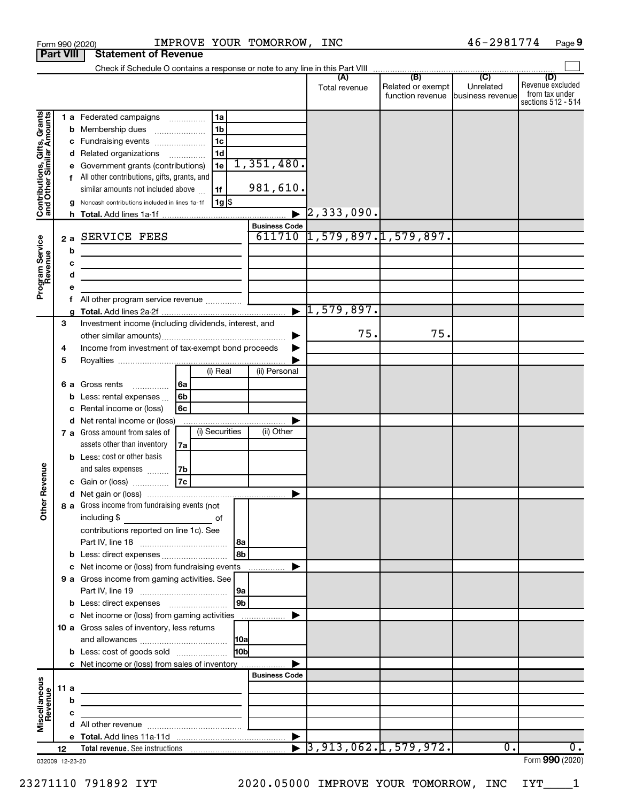|                                                                                         |                  |                  | IMPROVE YOUR TOMORROW, INC<br>Form 990 (2020)                                                                                                                                                                                                                                                                                                                                                                                                                                                                |                                   |                                  |                      |                                                               | 46-2981774                  | Page 9                                                          |
|-----------------------------------------------------------------------------------------|------------------|------------------|--------------------------------------------------------------------------------------------------------------------------------------------------------------------------------------------------------------------------------------------------------------------------------------------------------------------------------------------------------------------------------------------------------------------------------------------------------------------------------------------------------------|-----------------------------------|----------------------------------|----------------------|---------------------------------------------------------------|-----------------------------|-----------------------------------------------------------------|
|                                                                                         | <b>Part VIII</b> |                  | <b>Statement of Revenue</b>                                                                                                                                                                                                                                                                                                                                                                                                                                                                                  |                                   |                                  |                      |                                                               |                             |                                                                 |
|                                                                                         |                  |                  |                                                                                                                                                                                                                                                                                                                                                                                                                                                                                                              |                                   |                                  |                      |                                                               |                             |                                                                 |
|                                                                                         |                  |                  |                                                                                                                                                                                                                                                                                                                                                                                                                                                                                                              |                                   |                                  | (A)<br>Total revenue | (B)<br>Related or exempt<br>function revenue business revenue | $\overline{C}$<br>Unrelated | (D)<br>Revenue excluded<br>from tax under<br>sections 512 - 514 |
| Contributions, Gifts, Grants<br>and Other Similar Amounts<br>Program Service<br>Revenue | 2a               | d<br>g<br>b<br>c | 1a<br>1 a Federated campaigns<br>1 <sub>b</sub><br><b>b</b> Membership dues<br>$\ldots \ldots \ldots \ldots \ldots$<br>1 <sub>c</sub><br>c Fundraising events<br>1 <sub>d</sub><br>Related organizations<br>1e<br>Government grants (contributions)<br>f All other contributions, gifts, grants, and<br>similar amounts not included above<br>1f<br>$ 1g $ \$<br>Noncash contributions included in lines 1a-1f<br>SERVICE FEES<br>the control of the control of the control of the control of the control of | 1,351,480.                        | 981,610.<br><b>Business Code</b> | $\rceil$ 2,333,090.  | $611710$ $1,579,897.1,579,897.$                               |                             |                                                                 |
|                                                                                         |                  | d<br>е<br>f<br>g | the control of the control of the control of the control of the control of                                                                                                                                                                                                                                                                                                                                                                                                                                   |                                   | $\overline{\bullet}$             | 1,579,897.           |                                                               |                             |                                                                 |
|                                                                                         | 3<br>4           |                  | Investment income (including dividends, interest, and<br>Income from investment of tax-exempt bond proceeds                                                                                                                                                                                                                                                                                                                                                                                                  |                                   |                                  | 75.                  | 75.                                                           |                             |                                                                 |
|                                                                                         | 5<br>6а          | b<br>c<br>d      | $(i)$ Real<br>6a<br>Gross rents<br>$\overline{\phantom{a}}$<br>6 <sub>b</sub><br>Less: rental expenses<br>Rental income or (loss)<br>6с<br>Net rental income or (loss)<br>(i) Securities<br>7 a Gross amount from sales of                                                                                                                                                                                                                                                                                   |                                   | (ii) Personal<br>(ii) Other      |                      |                                                               |                             |                                                                 |
| evenue                                                                                  |                  |                  | assets other than inventory<br>7a<br><b>b</b> Less: cost or other basis<br>and sales expenses<br>7b<br>7c<br>c Gain or (loss)                                                                                                                                                                                                                                                                                                                                                                                |                                   |                                  |                      |                                                               |                             |                                                                 |
| Other R                                                                                 |                  |                  | 8 a Gross income from fundraising events (not<br>including \$<br>of<br>contributions reported on line 1c). See                                                                                                                                                                                                                                                                                                                                                                                               | 8a<br>8b                          |                                  |                      |                                                               |                             |                                                                 |
|                                                                                         |                  |                  | c Net income or (loss) from fundraising events<br>9 a Gross income from gaming activities. See                                                                                                                                                                                                                                                                                                                                                                                                               | 9a                                |                                  |                      |                                                               |                             |                                                                 |
|                                                                                         |                  |                  | c Net income or (loss) from gaming activities<br>10 a Gross sales of inventory, less returns<br><b>b</b> Less: cost of goods sold                                                                                                                                                                                                                                                                                                                                                                            | 9 <sub>b</sub><br>10 <sub>b</sub> |                                  |                      |                                                               |                             |                                                                 |
|                                                                                         |                  |                  | c Net income or (loss) from sales of inventory                                                                                                                                                                                                                                                                                                                                                                                                                                                               |                                   | <b>Business Code</b>             |                      |                                                               |                             |                                                                 |
| Miscellaneous<br>Revenue                                                                | 11a              | b<br>c<br>d      |                                                                                                                                                                                                                                                                                                                                                                                                                                                                                                              |                                   |                                  |                      |                                                               |                             |                                                                 |
|                                                                                         |                  |                  |                                                                                                                                                                                                                                                                                                                                                                                                                                                                                                              |                                   |                                  |                      |                                                               |                             |                                                                 |
|                                                                                         | 12               |                  |                                                                                                                                                                                                                                                                                                                                                                                                                                                                                                              |                                   |                                  |                      | $\overline{)3,913,062.1,579,972.}$                            | 0.                          | ο.                                                              |
| 032009 12-23-20                                                                         |                  |                  |                                                                                                                                                                                                                                                                                                                                                                                                                                                                                                              |                                   |                                  |                      |                                                               |                             | Form 990 (2020)                                                 |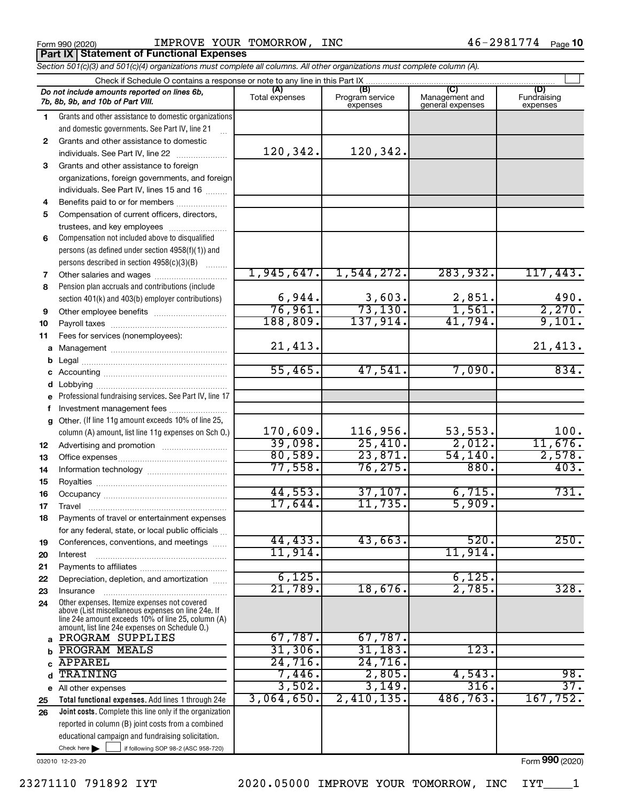Form 990 (2020) **IMPROVE YOUR TOMORROW, INC**  $46-2981774$   $_{\text{Page}}$ 

**Part IX Statement of Functional Expenses**

|              | Check if Schedule O contains a response or note to any line in this Part IX                              |                |                             |                                    |                         |  |  |  |  |  |
|--------------|----------------------------------------------------------------------------------------------------------|----------------|-----------------------------|------------------------------------|-------------------------|--|--|--|--|--|
|              | Do not include amounts reported on lines 6b,                                                             | (A)            | (B)                         | (C)                                | (D)                     |  |  |  |  |  |
|              | 7b, 8b, 9b, and 10b of Part VIII.                                                                        | Total expenses | Program service<br>expenses | Management and<br>general expenses | Fundraising<br>expenses |  |  |  |  |  |
| 1.           | Grants and other assistance to domestic organizations                                                    |                |                             |                                    |                         |  |  |  |  |  |
|              | and domestic governments. See Part IV, line 21                                                           |                |                             |                                    |                         |  |  |  |  |  |
| $\mathbf{2}$ | Grants and other assistance to domestic                                                                  |                |                             |                                    |                         |  |  |  |  |  |
|              | individuals. See Part IV, line 22                                                                        | 120,342.       | 120,342.                    |                                    |                         |  |  |  |  |  |
| 3            | Grants and other assistance to foreign                                                                   |                |                             |                                    |                         |  |  |  |  |  |
|              | organizations, foreign governments, and foreign                                                          |                |                             |                                    |                         |  |  |  |  |  |
|              | individuals. See Part IV, lines 15 and 16                                                                |                |                             |                                    |                         |  |  |  |  |  |
| 4            | Benefits paid to or for members                                                                          |                |                             |                                    |                         |  |  |  |  |  |
| 5            | Compensation of current officers, directors,                                                             |                |                             |                                    |                         |  |  |  |  |  |
|              | trustees, and key employees                                                                              |                |                             |                                    |                         |  |  |  |  |  |
| 6            | Compensation not included above to disqualified                                                          |                |                             |                                    |                         |  |  |  |  |  |
|              | persons (as defined under section 4958(f)(1)) and                                                        |                |                             |                                    |                         |  |  |  |  |  |
|              | persons described in section 4958(c)(3)(B)                                                               |                |                             |                                    |                         |  |  |  |  |  |
| 7            |                                                                                                          | 1,945,647.     | 1,544,272.                  | 283,932.                           | 117,443.                |  |  |  |  |  |
| 8            | Pension plan accruals and contributions (include                                                         |                |                             |                                    |                         |  |  |  |  |  |
|              | section 401(k) and 403(b) employer contributions)                                                        | 6,944.         | 3,603.                      | 2,851.                             | 490.                    |  |  |  |  |  |
| 9            |                                                                                                          | 76,961.        | 73, 130.                    | 1,561.                             | 2,270.                  |  |  |  |  |  |
| 10           |                                                                                                          | 188,809.       | 137,914.                    | 41,794.                            | 9,101.                  |  |  |  |  |  |
| 11           | Fees for services (nonemployees):                                                                        |                |                             |                                    |                         |  |  |  |  |  |
|              |                                                                                                          | 21,413.        |                             |                                    | 21,413.                 |  |  |  |  |  |
| b            |                                                                                                          | 55,465.        | 47,541.                     | 7,090.                             | 834.                    |  |  |  |  |  |
| С            |                                                                                                          |                |                             |                                    |                         |  |  |  |  |  |
| d            |                                                                                                          |                |                             |                                    |                         |  |  |  |  |  |
| е            | Professional fundraising services. See Part IV, line 17                                                  |                |                             |                                    |                         |  |  |  |  |  |
| f            | Investment management fees<br>Other. (If line 11g amount exceeds 10% of line 25,                         |                |                             |                                    |                         |  |  |  |  |  |
| q            | column (A) amount, list line 11g expenses on Sch O.)                                                     | 170,609.       | 116,956.                    | 53, 553.                           | 100.                    |  |  |  |  |  |
|              |                                                                                                          | 39,098.        | 25,410.                     | 2,012.                             | 11,676.                 |  |  |  |  |  |
| 12           |                                                                                                          | 80,589.        | 23,871.                     | 54, 140.                           | 2,578.                  |  |  |  |  |  |
| 13<br>14     |                                                                                                          | 77,558.        | 76, 275.                    | 880.                               | 403.                    |  |  |  |  |  |
| 15           |                                                                                                          |                |                             |                                    |                         |  |  |  |  |  |
| 16           |                                                                                                          | 44,553.        | 37,107.                     | 6,715.                             | 731.                    |  |  |  |  |  |
| 17           |                                                                                                          | 17,644.        | 11,735.                     | 5,909.                             |                         |  |  |  |  |  |
| 18           | Payments of travel or entertainment expenses                                                             |                |                             |                                    |                         |  |  |  |  |  |
|              | for any federal, state, or local public officials                                                        |                |                             |                                    |                         |  |  |  |  |  |
| 19           | Conferences, conventions, and meetings                                                                   | 44, 433.       | 43,663.                     | 520.                               | 250.                    |  |  |  |  |  |
| 20           | Interest                                                                                                 | 11,914.        |                             | 11,914.                            |                         |  |  |  |  |  |
| 21           |                                                                                                          |                |                             |                                    |                         |  |  |  |  |  |
| 22           | Depreciation, depletion, and amortization                                                                | 6,125.         |                             | 6,125.                             |                         |  |  |  |  |  |
| 23           | Insurance                                                                                                | 21,789.        | 18,676.                     | 2,785.                             | 328.                    |  |  |  |  |  |
| 24           | Other expenses. Itemize expenses not covered                                                             |                |                             |                                    |                         |  |  |  |  |  |
|              | above (List miscellaneous expenses on line 24e. If<br>line 24e amount exceeds 10% of line 25, column (A) |                |                             |                                    |                         |  |  |  |  |  |
|              | amount, list line 24e expenses on Schedule O.)                                                           |                |                             |                                    |                         |  |  |  |  |  |
| a            | PROGRAM SUPPLIES                                                                                         | 67,787.        | 67,787.                     |                                    |                         |  |  |  |  |  |
|              | <b>PROGRAM MEALS</b>                                                                                     | 31,306.        | 31, 183.                    | 123.                               |                         |  |  |  |  |  |
|              | <b>APPAREL</b>                                                                                           | 24,716.        | 24,716.                     |                                    |                         |  |  |  |  |  |
| d            | TRAINING                                                                                                 | 7,446.         | 2,805.                      | 4,543.                             | 98.                     |  |  |  |  |  |
| е            | All other expenses                                                                                       | 3,502.         | 3,149.                      | 316.                               | 37.                     |  |  |  |  |  |
| 25           | Total functional expenses. Add lines 1 through 24e                                                       | 3,064,650.     | 2,410,135.                  | 486,763.                           | 167, 752.               |  |  |  |  |  |
| 26           | Joint costs. Complete this line only if the organization                                                 |                |                             |                                    |                         |  |  |  |  |  |
|              | reported in column (B) joint costs from a combined                                                       |                |                             |                                    |                         |  |  |  |  |  |
|              | educational campaign and fundraising solicitation.                                                       |                |                             |                                    |                         |  |  |  |  |  |

*Section 501(c)(3) and 501(c)(4) organizations must complete all columns. All other organizations must complete column (A).*

032010 12-23-20

Check here if following SOP 98-2 (ASC 958-720)

Form (2020) **990**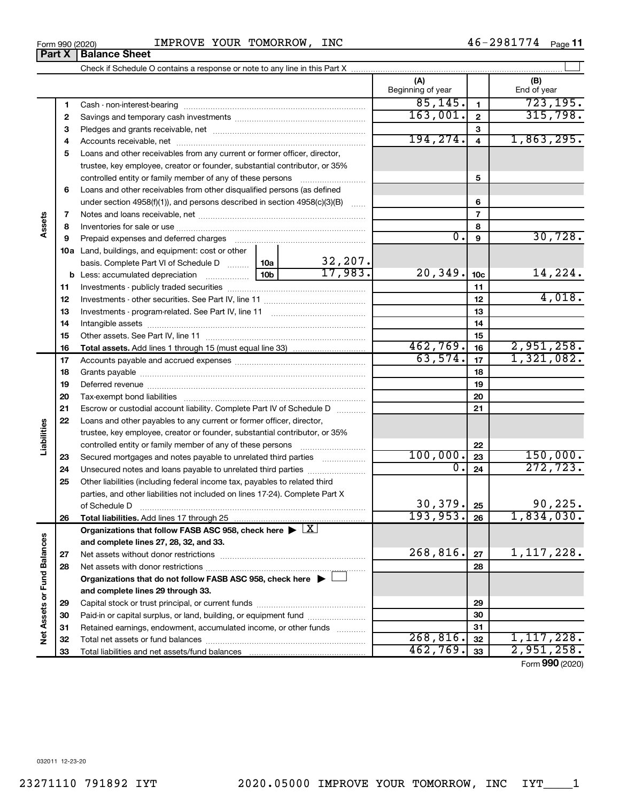### Form 990 (2020) **IMPROVE YOUR TOMORROW, INC**  $46-2981774$   $_{\text{Page}}$

Check if Schedule O contains a response or note to any line in this Part X

|    |                                                                                                |                 |          | (A)<br>Beginning of year |                          | (B)<br>End of year |
|----|------------------------------------------------------------------------------------------------|-----------------|----------|--------------------------|--------------------------|--------------------|
| 1  |                                                                                                |                 |          | 85, 145.                 | $\mathbf{1}$             | 723, 195.          |
| 2  |                                                                                                |                 |          | 163,001.                 | $\mathbf 2$              | 315,798.           |
| 3  |                                                                                                |                 |          |                          | 3                        |                    |
| 4  |                                                                                                |                 |          | 194, 274.                | $\overline{\mathbf{4}}$  | 1,863,295.         |
| 5  | Loans and other receivables from any current or former officer, director,                      |                 |          |                          |                          |                    |
|    | trustee, key employee, creator or founder, substantial contributor, or 35%                     |                 |          |                          |                          |                    |
|    | controlled entity or family member of any of these persons                                     |                 |          |                          | 5                        |                    |
| 6  | Loans and other receivables from other disqualified persons (as defined                        |                 |          |                          |                          |                    |
|    | under section $4958(f)(1)$ , and persons described in section $4958(c)(3)(B)$                  |                 | $\ldots$ |                          | 6                        |                    |
| 7  |                                                                                                |                 |          |                          | $\overline{\phantom{a}}$ |                    |
| 8  |                                                                                                |                 |          |                          | 8                        |                    |
| 9  | Prepaid expenses and deferred charges                                                          |                 |          | $\overline{0}$ .         | 9                        | 30,728.            |
|    | 10a Land, buildings, and equipment: cost or other                                              |                 |          |                          |                          |                    |
|    | basis. Complete Part VI of Schedule D                                                          | 10a             | 32,207.  |                          |                          |                    |
|    | <b>b</b> Less: accumulated depreciation                                                        | 10 <sub>b</sub> | 17.983.  | 20, 349.                 | 10 <sub>c</sub>          | 14,224.            |
| 11 |                                                                                                |                 |          |                          | 11                       |                    |
| 12 |                                                                                                |                 |          |                          | 12                       | 4,018.             |
| 13 |                                                                                                |                 |          |                          | 13                       |                    |
| 14 |                                                                                                |                 |          |                          | 14                       |                    |
| 15 |                                                                                                |                 | 15       |                          |                          |                    |
| 16 |                                                                                                | 462,769.        | 16       | 2,951,258.               |                          |                    |
| 17 |                                                                                                |                 |          | 63,574.                  | 17                       | 1,321,082.         |
| 18 |                                                                                                |                 |          |                          | 18                       |                    |
| 19 |                                                                                                |                 |          |                          | 19                       |                    |
| 20 |                                                                                                |                 |          |                          | 20                       |                    |
| 21 | Escrow or custodial account liability. Complete Part IV of Schedule D                          |                 |          |                          | 21                       |                    |
| 22 | Loans and other payables to any current or former officer, director,                           |                 |          |                          |                          |                    |
|    | trustee, key employee, creator or founder, substantial contributor, or 35%                     |                 |          |                          |                          |                    |
|    | controlled entity or family member of any of these persons                                     |                 |          |                          | 22                       |                    |
| 23 | Secured mortgages and notes payable to unrelated third parties                                 |                 |          | 100,000.                 | 23                       | 150,000.           |
| 24 | Unsecured notes and loans payable to unrelated third parties                                   |                 |          | 0.                       | 24                       | 272, 723.          |
| 25 | Other liabilities (including federal income tax, payables to related third                     |                 |          |                          |                          |                    |
|    | parties, and other liabilities not included on lines 17-24). Complete Part X                   |                 |          | 30, 379.                 |                          | 90, 225.           |
|    | of Schedule D                                                                                  |                 |          | 193, 953.                | 25                       | 1,834,030.         |
| 26 |                                                                                                |                 | X I      |                          | 26                       |                    |
|    | Organizations that follow FASB ASC 958, check here ><br>and complete lines 27, 28, 32, and 33. |                 |          |                          |                          |                    |
| 27 | Net assets without donor restrictions                                                          |                 |          | 268,816.                 | 27                       | 1,117,228.         |
| 28 |                                                                                                |                 |          |                          | 28                       |                    |
|    | Organizations that do not follow FASB ASC 958, check here $\blacktriangleright$                |                 |          |                          |                          |                    |
|    | and complete lines 29 through 33.                                                              |                 |          |                          |                          |                    |
| 29 |                                                                                                |                 | 29       |                          |                          |                    |
| 30 | Paid-in or capital surplus, or land, building, or equipment fund                               |                 | 30       |                          |                          |                    |
| 31 | Retained earnings, endowment, accumulated income, or other funds                               |                 |          |                          | 31                       |                    |
| 32 |                                                                                                |                 |          | 268, 816.                | 32                       | 1, 117, 228.       |
| 33 |                                                                                                |                 |          | 462,769.                 | 33                       | 2,951,258.         |

 $\perp$ 

Form (2020) **990**

**Part X** | Balance Sheet

**Assets**

**Liabilities**

**Net Assets or Fund Balances**

Net Assets or Fund Balances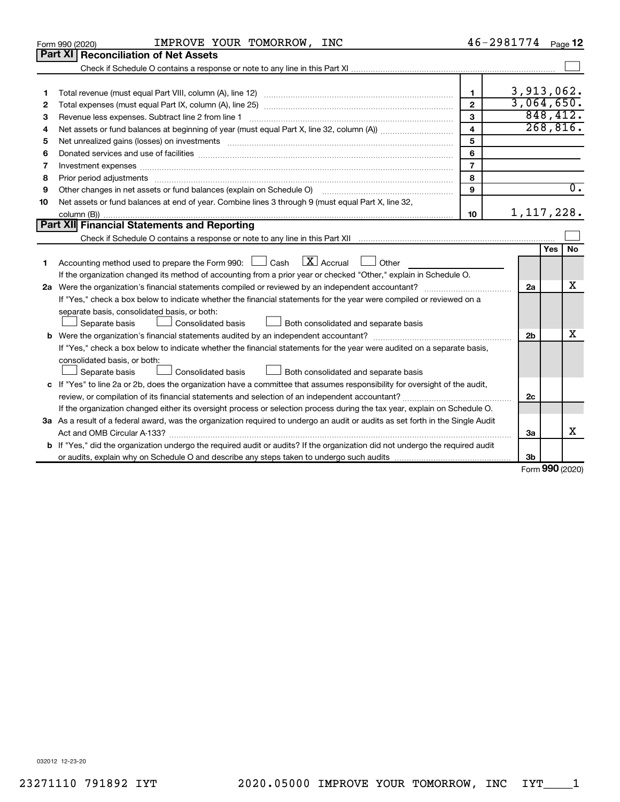|    | IMPROVE YOUR TOMORROW, INC<br>Form 990 (2020)                                                                                                                                                                                                                |                         | $46 - 2981774$ Page 12 |            |                  |
|----|--------------------------------------------------------------------------------------------------------------------------------------------------------------------------------------------------------------------------------------------------------------|-------------------------|------------------------|------------|------------------|
|    | Part XI<br><b>Reconciliation of Net Assets</b>                                                                                                                                                                                                               |                         |                        |            |                  |
|    |                                                                                                                                                                                                                                                              |                         |                        |            |                  |
|    |                                                                                                                                                                                                                                                              |                         |                        |            |                  |
| 1  |                                                                                                                                                                                                                                                              | $\mathbf{1}$            | 3,913,062.             |            |                  |
| 2  |                                                                                                                                                                                                                                                              | $\mathbf{2}$            | 3,064,650.             |            |                  |
| 3  |                                                                                                                                                                                                                                                              | 3                       |                        | 848, 412.  |                  |
| 4  |                                                                                                                                                                                                                                                              | $\overline{\mathbf{4}}$ |                        | 268,816.   |                  |
| 5  |                                                                                                                                                                                                                                                              | 5                       |                        |            |                  |
| 6  |                                                                                                                                                                                                                                                              | 6                       |                        |            |                  |
| 7  |                                                                                                                                                                                                                                                              | $\overline{7}$          |                        |            |                  |
| 8  |                                                                                                                                                                                                                                                              | 8                       |                        |            |                  |
| 9  | Other changes in net assets or fund balances (explain on Schedule O)                                                                                                                                                                                         | q                       |                        |            | $\overline{0}$ . |
| 10 | Net assets or fund balances at end of year. Combine lines 3 through 9 (must equal Part X, line 32,                                                                                                                                                           |                         |                        |            |                  |
|    |                                                                                                                                                                                                                                                              | 10                      | 1, 117, 228.           |            |                  |
|    | Part XII Financial Statements and Reporting                                                                                                                                                                                                                  |                         |                        |            |                  |
|    |                                                                                                                                                                                                                                                              |                         |                        |            |                  |
|    |                                                                                                                                                                                                                                                              |                         |                        | <b>Yes</b> | No               |
| 1. | $\overline{X}$ Accrual<br>Accounting method used to prepare the Form 990: [16] Cash<br>Other                                                                                                                                                                 |                         |                        |            |                  |
|    | If the organization changed its method of accounting from a prior year or checked "Other," explain in Schedule O.                                                                                                                                            |                         |                        |            | х                |
|    | 2a Were the organization's financial statements compiled or reviewed by an independent accountant?                                                                                                                                                           |                         | 2a                     |            |                  |
|    | If "Yes," check a box below to indicate whether the financial statements for the year were compiled or reviewed on a                                                                                                                                         |                         |                        |            |                  |
|    | separate basis, consolidated basis, or both:                                                                                                                                                                                                                 |                         |                        |            |                  |
|    | Separate basis<br>Consolidated basis<br>Both consolidated and separate basis                                                                                                                                                                                 |                         |                        |            | х                |
|    |                                                                                                                                                                                                                                                              |                         | 2 <sub>b</sub>         |            |                  |
|    | If "Yes," check a box below to indicate whether the financial statements for the year were audited on a separate basis,                                                                                                                                      |                         |                        |            |                  |
|    | consolidated basis, or both:<br>Consolidated basis                                                                                                                                                                                                           |                         |                        |            |                  |
|    | Separate basis<br>Both consolidated and separate basis                                                                                                                                                                                                       |                         |                        |            |                  |
|    | c If "Yes" to line 2a or 2b, does the organization have a committee that assumes responsibility for oversight of the audit,                                                                                                                                  |                         | 2c                     |            |                  |
|    | review, or compilation of its financial statements and selection of an independent accountant?                                                                                                                                                               |                         |                        |            |                  |
|    | If the organization changed either its oversight process or selection process during the tax year, explain on Schedule O.<br>3a As a result of a federal award, was the organization required to undergo an audit or audits as set forth in the Single Audit |                         |                        |            |                  |
|    |                                                                                                                                                                                                                                                              |                         | 3a                     |            | х                |
|    | <b>b</b> If "Yes," did the organization undergo the required audit or audits? If the organization did not undergo the required audit                                                                                                                         |                         |                        |            |                  |
|    |                                                                                                                                                                                                                                                              |                         | 3 <sub>b</sub>         |            |                  |
|    |                                                                                                                                                                                                                                                              |                         | Form 990 (2020)        |            |                  |
|    |                                                                                                                                                                                                                                                              |                         |                        |            |                  |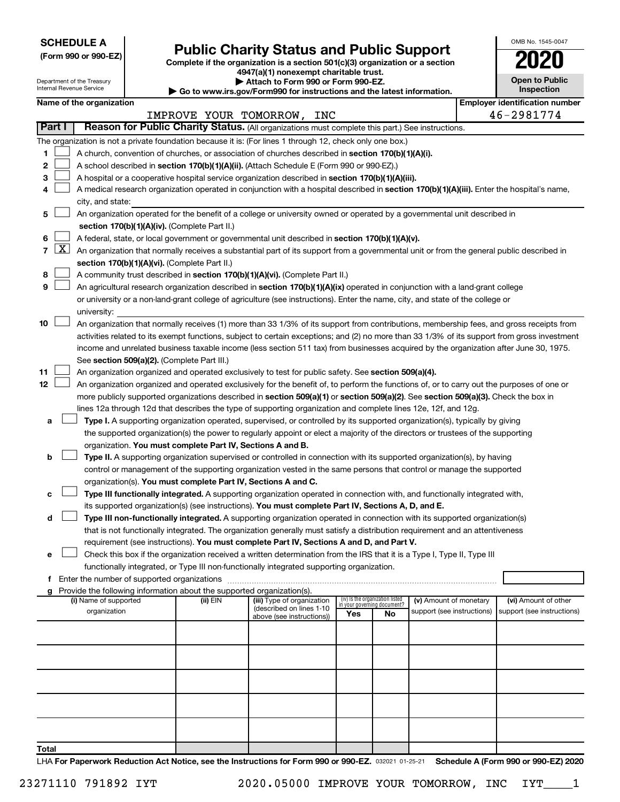**SCHEDULE A**

| (Form 990 or 990-EZ) |  |  |  |  |
|----------------------|--|--|--|--|
|----------------------|--|--|--|--|

# Form 990 or 990-EZ) **Public Charity Status and Public Support**<br>
Complete if the organization is a section 501(c)(3) organization or a section<br> **2020**

**4947(a)(1) nonexempt charitable trust.**

| <b>Open to Public</b><br>Inspection |
|-------------------------------------|
| antification nuu<br>ır ir           |

OMB No. 1545-0047

|    |                                                                                                                                            | Department of the Treasury<br>Internal Revenue Service |  |                                                                        | Attach to Form 990 or Form 990-EZ.<br>Go to www.irs.gov/Form990 for instructions and the latest information.                                                                                                                                              |                                 |                             |                            |  | <b>Open to Public</b><br>Inspection   |
|----|--------------------------------------------------------------------------------------------------------------------------------------------|--------------------------------------------------------|--|------------------------------------------------------------------------|-----------------------------------------------------------------------------------------------------------------------------------------------------------------------------------------------------------------------------------------------------------|---------------------------------|-----------------------------|----------------------------|--|---------------------------------------|
|    |                                                                                                                                            | Name of the organization                               |  |                                                                        |                                                                                                                                                                                                                                                           |                                 |                             |                            |  | <b>Employer identification number</b> |
|    |                                                                                                                                            |                                                        |  |                                                                        | IMPROVE YOUR TOMORROW, INC                                                                                                                                                                                                                                |                                 |                             |                            |  | 46-2981774                            |
|    | Part I                                                                                                                                     |                                                        |  |                                                                        | Reason for Public Charity Status. (All organizations must complete this part.) See instructions.                                                                                                                                                          |                                 |                             |                            |  |                                       |
|    |                                                                                                                                            |                                                        |  |                                                                        | The organization is not a private foundation because it is: (For lines 1 through 12, check only one box.)                                                                                                                                                 |                                 |                             |                            |  |                                       |
| 1  |                                                                                                                                            |                                                        |  |                                                                        | A church, convention of churches, or association of churches described in section 170(b)(1)(A)(i).                                                                                                                                                        |                                 |                             |                            |  |                                       |
| 2  |                                                                                                                                            |                                                        |  |                                                                        | A school described in section 170(b)(1)(A)(ii). (Attach Schedule E (Form 990 or 990-EZ).)                                                                                                                                                                 |                                 |                             |                            |  |                                       |
| з  |                                                                                                                                            |                                                        |  |                                                                        | A hospital or a cooperative hospital service organization described in section 170(b)(1)(A)(iii).                                                                                                                                                         |                                 |                             |                            |  |                                       |
|    | A medical research organization operated in conjunction with a hospital described in section 170(b)(1)(A)(iii). Enter the hospital's name, |                                                        |  |                                                                        |                                                                                                                                                                                                                                                           |                                 |                             |                            |  |                                       |
|    | city, and state:                                                                                                                           |                                                        |  |                                                                        |                                                                                                                                                                                                                                                           |                                 |                             |                            |  |                                       |
| 5  | An organization operated for the benefit of a college or university owned or operated by a governmental unit described in                  |                                                        |  |                                                                        |                                                                                                                                                                                                                                                           |                                 |                             |                            |  |                                       |
|    |                                                                                                                                            |                                                        |  | section 170(b)(1)(A)(iv). (Complete Part II.)                          |                                                                                                                                                                                                                                                           |                                 |                             |                            |  |                                       |
| 6  |                                                                                                                                            |                                                        |  |                                                                        | A federal, state, or local government or governmental unit described in section 170(b)(1)(A)(v).                                                                                                                                                          |                                 |                             |                            |  |                                       |
|    | $7 \mid X \mid$                                                                                                                            |                                                        |  |                                                                        | An organization that normally receives a substantial part of its support from a governmental unit or from the general public described in                                                                                                                 |                                 |                             |                            |  |                                       |
|    |                                                                                                                                            |                                                        |  | section 170(b)(1)(A)(vi). (Complete Part II.)                          |                                                                                                                                                                                                                                                           |                                 |                             |                            |  |                                       |
| 8  |                                                                                                                                            |                                                        |  |                                                                        | A community trust described in section 170(b)(1)(A)(vi). (Complete Part II.)                                                                                                                                                                              |                                 |                             |                            |  |                                       |
| 9  |                                                                                                                                            |                                                        |  |                                                                        | An agricultural research organization described in section 170(b)(1)(A)(ix) operated in conjunction with a land-grant college                                                                                                                             |                                 |                             |                            |  |                                       |
|    |                                                                                                                                            |                                                        |  |                                                                        | or university or a non-land-grant college of agriculture (see instructions). Enter the name, city, and state of the college or                                                                                                                            |                                 |                             |                            |  |                                       |
|    |                                                                                                                                            | university:                                            |  |                                                                        |                                                                                                                                                                                                                                                           |                                 |                             |                            |  |                                       |
| 10 |                                                                                                                                            |                                                        |  |                                                                        | An organization that normally receives (1) more than 33 1/3% of its support from contributions, membership fees, and gross receipts from                                                                                                                  |                                 |                             |                            |  |                                       |
|    |                                                                                                                                            |                                                        |  |                                                                        | activities related to its exempt functions, subject to certain exceptions; and (2) no more than 33 1/3% of its support from gross investment                                                                                                              |                                 |                             |                            |  |                                       |
|    |                                                                                                                                            |                                                        |  |                                                                        | income and unrelated business taxable income (less section 511 tax) from businesses acquired by the organization after June 30, 1975.                                                                                                                     |                                 |                             |                            |  |                                       |
|    |                                                                                                                                            |                                                        |  | See section 509(a)(2). (Complete Part III.)                            |                                                                                                                                                                                                                                                           |                                 |                             |                            |  |                                       |
| 11 |                                                                                                                                            |                                                        |  |                                                                        | An organization organized and operated exclusively to test for public safety. See section 509(a)(4).                                                                                                                                                      |                                 |                             |                            |  |                                       |
| 12 |                                                                                                                                            |                                                        |  |                                                                        | An organization organized and operated exclusively for the benefit of, to perform the functions of, or to carry out the purposes of one or                                                                                                                |                                 |                             |                            |  |                                       |
|    |                                                                                                                                            |                                                        |  |                                                                        | more publicly supported organizations described in section 509(a)(1) or section 509(a)(2). See section 509(a)(3). Check the box in                                                                                                                        |                                 |                             |                            |  |                                       |
|    |                                                                                                                                            |                                                        |  |                                                                        | lines 12a through 12d that describes the type of supporting organization and complete lines 12e, 12f, and 12g.                                                                                                                                            |                                 |                             |                            |  |                                       |
| а  |                                                                                                                                            |                                                        |  |                                                                        | Type I. A supporting organization operated, supervised, or controlled by its supported organization(s), typically by giving                                                                                                                               |                                 |                             |                            |  |                                       |
|    |                                                                                                                                            |                                                        |  |                                                                        | the supported organization(s) the power to regularly appoint or elect a majority of the directors or trustees of the supporting                                                                                                                           |                                 |                             |                            |  |                                       |
|    |                                                                                                                                            |                                                        |  | organization. You must complete Part IV, Sections A and B.             |                                                                                                                                                                                                                                                           |                                 |                             |                            |  |                                       |
| b  |                                                                                                                                            |                                                        |  |                                                                        | Type II. A supporting organization supervised or controlled in connection with its supported organization(s), by having                                                                                                                                   |                                 |                             |                            |  |                                       |
|    |                                                                                                                                            |                                                        |  |                                                                        | control or management of the supporting organization vested in the same persons that control or manage the supported                                                                                                                                      |                                 |                             |                            |  |                                       |
|    |                                                                                                                                            |                                                        |  | organization(s). You must complete Part IV, Sections A and C.          |                                                                                                                                                                                                                                                           |                                 |                             |                            |  |                                       |
| c  |                                                                                                                                            |                                                        |  |                                                                        | Type III functionally integrated. A supporting organization operated in connection with, and functionally integrated with,                                                                                                                                |                                 |                             |                            |  |                                       |
|    |                                                                                                                                            |                                                        |  |                                                                        | its supported organization(s) (see instructions). You must complete Part IV, Sections A, D, and E.                                                                                                                                                        |                                 |                             |                            |  |                                       |
| d  |                                                                                                                                            |                                                        |  |                                                                        | Type III non-functionally integrated. A supporting organization operated in connection with its supported organization(s)<br>that is not functionally integrated. The organization generally must satisfy a distribution requirement and an attentiveness |                                 |                             |                            |  |                                       |
|    |                                                                                                                                            |                                                        |  |                                                                        | requirement (see instructions). You must complete Part IV, Sections A and D, and Part V.                                                                                                                                                                  |                                 |                             |                            |  |                                       |
| е  |                                                                                                                                            |                                                        |  |                                                                        | Check this box if the organization received a written determination from the IRS that it is a Type I, Type II, Type III                                                                                                                                   |                                 |                             |                            |  |                                       |
|    |                                                                                                                                            |                                                        |  |                                                                        | functionally integrated, or Type III non-functionally integrated supporting organization.                                                                                                                                                                 |                                 |                             |                            |  |                                       |
|    |                                                                                                                                            |                                                        |  |                                                                        |                                                                                                                                                                                                                                                           |                                 |                             |                            |  |                                       |
|    |                                                                                                                                            |                                                        |  | Provide the following information about the supported organization(s). |                                                                                                                                                                                                                                                           |                                 |                             |                            |  |                                       |
|    |                                                                                                                                            | (i) Name of supported                                  |  | (ii) EIN                                                               | (iii) Type of organization                                                                                                                                                                                                                                | (iv) Is the organization listed | in vour aovernina document? | (v) Amount of monetary     |  | (vi) Amount of other                  |
|    |                                                                                                                                            | organization                                           |  |                                                                        | (described on lines 1-10<br>above (see instructions))                                                                                                                                                                                                     | Yes                             | No                          | support (see instructions) |  | support (see instructions)            |
|    |                                                                                                                                            |                                                        |  |                                                                        |                                                                                                                                                                                                                                                           |                                 |                             |                            |  |                                       |
|    |                                                                                                                                            |                                                        |  |                                                                        |                                                                                                                                                                                                                                                           |                                 |                             |                            |  |                                       |
|    |                                                                                                                                            |                                                        |  |                                                                        |                                                                                                                                                                                                                                                           |                                 |                             |                            |  |                                       |
|    |                                                                                                                                            |                                                        |  |                                                                        |                                                                                                                                                                                                                                                           |                                 |                             |                            |  |                                       |
|    |                                                                                                                                            |                                                        |  |                                                                        |                                                                                                                                                                                                                                                           |                                 |                             |                            |  |                                       |
|    |                                                                                                                                            |                                                        |  |                                                                        |                                                                                                                                                                                                                                                           |                                 |                             |                            |  |                                       |
|    |                                                                                                                                            |                                                        |  |                                                                        |                                                                                                                                                                                                                                                           |                                 |                             |                            |  |                                       |
|    |                                                                                                                                            |                                                        |  |                                                                        |                                                                                                                                                                                                                                                           |                                 |                             |                            |  |                                       |
|    |                                                                                                                                            |                                                        |  |                                                                        |                                                                                                                                                                                                                                                           |                                 |                             |                            |  |                                       |
|    |                                                                                                                                            |                                                        |  |                                                                        |                                                                                                                                                                                                                                                           |                                 |                             |                            |  |                                       |

LHA For Paperwork Reduction Act Notice, see the Instructions for Form 990 or 990-EZ. 032021 01-25-21 Schedule A (Form 990 or 990-EZ) 2020

**Total**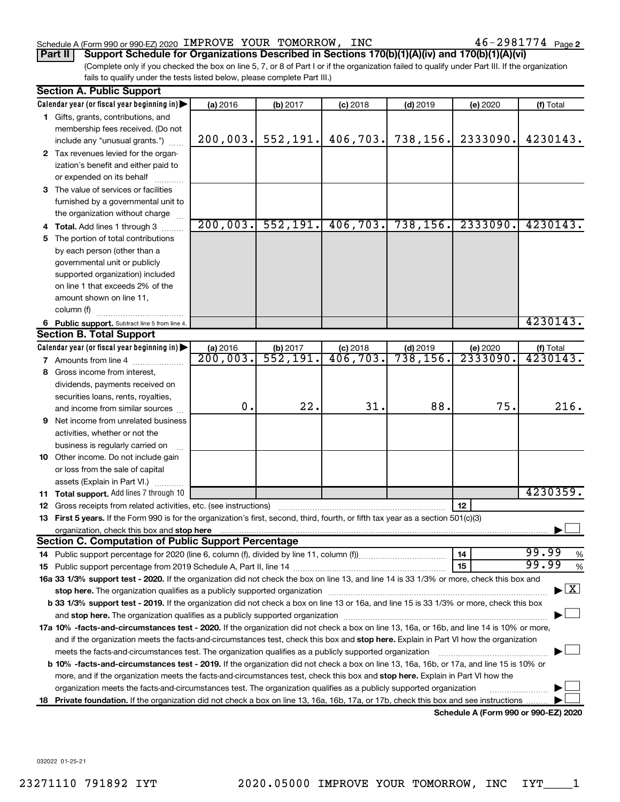#### Schedule A (Form 990 or 990-EZ) 2020 IMPROVE YOUR TOMORROW, INC  $46$  –  $2981774$  Page

**Part II Support Schedule for Organizations Described in Sections 170(b)(1)(A)(iv) and 170(b)(1)(A)(vi)**

(Complete only if you checked the box on line 5, 7, or 8 of Part I or if the organization failed to qualify under Part III. If the organization fails to qualify under the tests listed below, please complete Part III.)

|    | <b>Section A. Public Support</b>                                                                                                                                                                                               |          |                         |                        |            |                                      |                                    |  |  |  |  |
|----|--------------------------------------------------------------------------------------------------------------------------------------------------------------------------------------------------------------------------------|----------|-------------------------|------------------------|------------|--------------------------------------|------------------------------------|--|--|--|--|
|    | Calendar year (or fiscal year beginning in)                                                                                                                                                                                    | (a) 2016 | (b) 2017                | $(c)$ 2018             | $(d)$ 2019 | (e) 2020                             | (f) Total                          |  |  |  |  |
|    | 1 Gifts, grants, contributions, and                                                                                                                                                                                            |          |                         |                        |            |                                      |                                    |  |  |  |  |
|    | membership fees received. (Do not                                                                                                                                                                                              |          |                         |                        |            |                                      |                                    |  |  |  |  |
|    | include any "unusual grants.")                                                                                                                                                                                                 | 200,003. | 552, 191.               | 406, 703.              | 738, 156.  | 2333090.                             | 4230143.                           |  |  |  |  |
|    | 2 Tax revenues levied for the organ-                                                                                                                                                                                           |          |                         |                        |            |                                      |                                    |  |  |  |  |
|    | ization's benefit and either paid to                                                                                                                                                                                           |          |                         |                        |            |                                      |                                    |  |  |  |  |
|    | or expended on its behalf                                                                                                                                                                                                      |          |                         |                        |            |                                      |                                    |  |  |  |  |
|    | <b>3</b> The value of services or facilities                                                                                                                                                                                   |          |                         |                        |            |                                      |                                    |  |  |  |  |
|    | furnished by a governmental unit to                                                                                                                                                                                            |          |                         |                        |            |                                      |                                    |  |  |  |  |
|    | the organization without charge                                                                                                                                                                                                |          |                         |                        |            |                                      |                                    |  |  |  |  |
|    | Total. Add lines 1 through 3                                                                                                                                                                                                   | 200,003. | 552, 191.               | 406, 703.              | 738, 156.  | 2333090.                             | 4230143.                           |  |  |  |  |
| 5. | The portion of total contributions                                                                                                                                                                                             |          |                         |                        |            |                                      |                                    |  |  |  |  |
|    | by each person (other than a                                                                                                                                                                                                   |          |                         |                        |            |                                      |                                    |  |  |  |  |
|    | governmental unit or publicly                                                                                                                                                                                                  |          |                         |                        |            |                                      |                                    |  |  |  |  |
|    | supported organization) included                                                                                                                                                                                               |          |                         |                        |            |                                      |                                    |  |  |  |  |
|    | on line 1 that exceeds 2% of the                                                                                                                                                                                               |          |                         |                        |            |                                      |                                    |  |  |  |  |
|    | amount shown on line 11,                                                                                                                                                                                                       |          |                         |                        |            |                                      |                                    |  |  |  |  |
|    | column (f)                                                                                                                                                                                                                     |          |                         |                        |            |                                      |                                    |  |  |  |  |
|    | 6 Public support. Subtract line 5 from line 4.                                                                                                                                                                                 |          |                         |                        |            |                                      | 4230143.                           |  |  |  |  |
|    | <b>Section B. Total Support</b>                                                                                                                                                                                                |          |                         |                        |            |                                      |                                    |  |  |  |  |
|    | Calendar year (or fiscal year beginning in)                                                                                                                                                                                    | (a) 2016 | (b) 2017                |                        | $(d)$ 2019 | (e) 2020                             |                                    |  |  |  |  |
|    | 7 Amounts from line 4                                                                                                                                                                                                          | 200,003. | $\overline{552}$ , 191. | $\frac{c}{406}$ , 703. | 738, 156.  | 2333090.                             | $($ f) Total<br>4230143.           |  |  |  |  |
|    | 8 Gross income from interest,                                                                                                                                                                                                  |          |                         |                        |            |                                      |                                    |  |  |  |  |
|    | dividends, payments received on                                                                                                                                                                                                |          |                         |                        |            |                                      |                                    |  |  |  |  |
|    | securities loans, rents, royalties,                                                                                                                                                                                            |          |                         |                        |            |                                      |                                    |  |  |  |  |
|    | and income from similar sources                                                                                                                                                                                                | 0.       | 22.                     | 31.                    | 88.        | 75.                                  | 216.                               |  |  |  |  |
| 9  | Net income from unrelated business                                                                                                                                                                                             |          |                         |                        |            |                                      |                                    |  |  |  |  |
|    | activities, whether or not the                                                                                                                                                                                                 |          |                         |                        |            |                                      |                                    |  |  |  |  |
|    | business is regularly carried on                                                                                                                                                                                               |          |                         |                        |            |                                      |                                    |  |  |  |  |
|    | 10 Other income. Do not include gain                                                                                                                                                                                           |          |                         |                        |            |                                      |                                    |  |  |  |  |
|    | or loss from the sale of capital                                                                                                                                                                                               |          |                         |                        |            |                                      |                                    |  |  |  |  |
|    | assets (Explain in Part VI.)                                                                                                                                                                                                   |          |                         |                        |            |                                      |                                    |  |  |  |  |
|    | 11 Total support. Add lines 7 through 10                                                                                                                                                                                       |          |                         |                        |            |                                      | 4230359.                           |  |  |  |  |
| 12 | Gross receipts from related activities, etc. (see instructions)                                                                                                                                                                |          |                         |                        |            | 12                                   |                                    |  |  |  |  |
|    | 13 First 5 years. If the Form 990 is for the organization's first, second, third, fourth, or fifth tax year as a section 501(c)(3)                                                                                             |          |                         |                        |            |                                      |                                    |  |  |  |  |
|    |                                                                                                                                                                                                                                |          |                         |                        |            |                                      |                                    |  |  |  |  |
|    | <b>Section C. Computation of Public Support Percentage</b>                                                                                                                                                                     |          |                         |                        |            |                                      |                                    |  |  |  |  |
|    |                                                                                                                                                                                                                                |          |                         |                        |            | 14                                   | 99.99<br>%                         |  |  |  |  |
|    |                                                                                                                                                                                                                                |          |                         |                        |            | 15                                   | 99.99<br>%                         |  |  |  |  |
|    | 16a 33 1/3% support test - 2020. If the organization did not check the box on line 13, and line 14 is 33 1/3% or more, check this box and                                                                                      |          |                         |                        |            |                                      |                                    |  |  |  |  |
|    | stop here. The organization qualifies as a publicly supported organization manufaction manufacture content and the content of the state of the state of the state of the state of the state of the state of the state of the s |          |                         |                        |            |                                      | $\blacktriangleright$ $\mathbf{X}$ |  |  |  |  |
|    | <b>b 33 1/3% support test - 2019.</b> If the organization did not check a box on line 13 or 16a, and line 15 is 33 1/3% or more, check this box                                                                                |          |                         |                        |            |                                      |                                    |  |  |  |  |
|    |                                                                                                                                                                                                                                |          |                         |                        |            |                                      |                                    |  |  |  |  |
|    | 17a 10% -facts-and-circumstances test - 2020. If the organization did not check a box on line 13, 16a, or 16b, and line 14 is 10% or more,                                                                                     |          |                         |                        |            |                                      |                                    |  |  |  |  |
|    | and if the organization meets the facts-and-circumstances test, check this box and stop here. Explain in Part VI how the organization                                                                                          |          |                         |                        |            |                                      |                                    |  |  |  |  |
|    | meets the facts-and-circumstances test. The organization qualifies as a publicly supported organization                                                                                                                        |          |                         |                        |            |                                      |                                    |  |  |  |  |
|    | <b>b 10%</b> -facts-and-circumstances test - 2019. If the organization did not check a box on line 13, 16a, 16b, or 17a, and line 15 is 10% or                                                                                 |          |                         |                        |            |                                      |                                    |  |  |  |  |
|    | more, and if the organization meets the facts-and-circumstances test, check this box and <b>stop here.</b> Explain in Part VI how the                                                                                          |          |                         |                        |            |                                      |                                    |  |  |  |  |
|    | organization meets the facts-and-circumstances test. The organization qualifies as a publicly supported organization                                                                                                           |          |                         |                        |            |                                      |                                    |  |  |  |  |
|    | 18 Private foundation. If the organization did not check a box on line 13, 16a, 16b, 17a, or 17b, check this box and see instructions                                                                                          |          |                         |                        |            |                                      |                                    |  |  |  |  |
|    |                                                                                                                                                                                                                                |          |                         |                        |            | Schedule A (Form 990 or 990-EZ) 2020 |                                    |  |  |  |  |

032022 01-25-21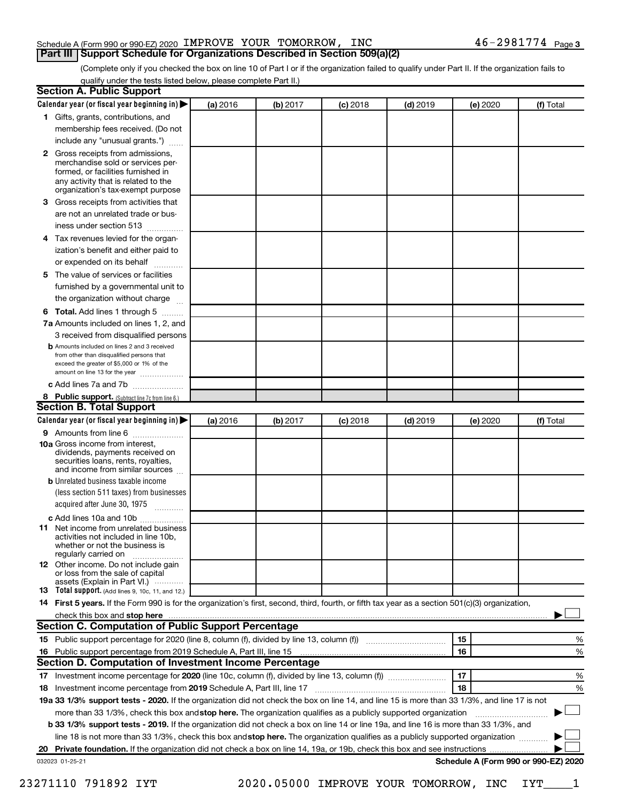#### Schedule A (Form 990 or 990-EZ) 2020 IMPROVE YOUR TOMORROW, INC  $46$  –  $2981774$  Page **Part III Support Schedule for Organizations Described in Section 509(a)(2)**

(Complete only if you checked the box on line 10 of Part I or if the organization failed to qualify under Part II. If the organization fails to qualify under the tests listed below, please complete Part II.)

| <b>Section A. Public Support</b>                                                                                                                                                                                               |          |          |            |            |          |                                      |
|--------------------------------------------------------------------------------------------------------------------------------------------------------------------------------------------------------------------------------|----------|----------|------------|------------|----------|--------------------------------------|
| Calendar year (or fiscal year beginning in)                                                                                                                                                                                    | (a) 2016 | (b) 2017 | $(c)$ 2018 | $(d)$ 2019 | (e) 2020 | (f) Total                            |
| 1 Gifts, grants, contributions, and                                                                                                                                                                                            |          |          |            |            |          |                                      |
| membership fees received. (Do not                                                                                                                                                                                              |          |          |            |            |          |                                      |
| include any "unusual grants.")                                                                                                                                                                                                 |          |          |            |            |          |                                      |
| 2 Gross receipts from admissions,<br>merchandise sold or services per-<br>formed, or facilities furnished in<br>any activity that is related to the<br>organization's tax-exempt purpose                                       |          |          |            |            |          |                                      |
| 3 Gross receipts from activities that                                                                                                                                                                                          |          |          |            |            |          |                                      |
| are not an unrelated trade or bus-                                                                                                                                                                                             |          |          |            |            |          |                                      |
| iness under section 513                                                                                                                                                                                                        |          |          |            |            |          |                                      |
| 4 Tax revenues levied for the organ-<br>ization's benefit and either paid to                                                                                                                                                   |          |          |            |            |          |                                      |
| or expended on its behalf                                                                                                                                                                                                      |          |          |            |            |          |                                      |
| 5 The value of services or facilities<br>furnished by a governmental unit to                                                                                                                                                   |          |          |            |            |          |                                      |
| the organization without charge                                                                                                                                                                                                |          |          |            |            |          |                                      |
| 6 Total. Add lines 1 through 5                                                                                                                                                                                                 |          |          |            |            |          |                                      |
| 7a Amounts included on lines 1, 2, and                                                                                                                                                                                         |          |          |            |            |          |                                      |
| 3 received from disqualified persons<br><b>b</b> Amounts included on lines 2 and 3 received<br>from other than disqualified persons that<br>exceed the greater of \$5,000 or 1% of the<br>amount on line 13 for the year       |          |          |            |            |          |                                      |
| c Add lines 7a and 7b                                                                                                                                                                                                          |          |          |            |            |          |                                      |
| 8 Public support. (Subtract line 7c from line 6.)<br><b>Section B. Total Support</b>                                                                                                                                           |          |          |            |            |          |                                      |
| Calendar year (or fiscal year beginning in)                                                                                                                                                                                    | (a) 2016 | (b) 2017 | $(c)$ 2018 | $(d)$ 2019 | (e) 2020 | (f) Total                            |
| <b>9</b> Amounts from line 6                                                                                                                                                                                                   |          |          |            |            |          |                                      |
| <b>10a</b> Gross income from interest,<br>dividends, payments received on<br>securities loans, rents, royalties,<br>and income from similar sources                                                                            |          |          |            |            |          |                                      |
| <b>b</b> Unrelated business taxable income<br>(less section 511 taxes) from businesses<br>acquired after June 30, 1975<br>$\overline{\phantom{a}}$                                                                             |          |          |            |            |          |                                      |
| c Add lines 10a and 10b<br>11 Net income from unrelated business                                                                                                                                                               |          |          |            |            |          |                                      |
| activities not included in line 10b.<br>whether or not the business is<br>regularly carried on                                                                                                                                 |          |          |            |            |          |                                      |
| <b>12</b> Other income. Do not include gain<br>or loss from the sale of capital<br>assets (Explain in Part VI.)                                                                                                                |          |          |            |            |          |                                      |
| <b>13</b> Total support. (Add lines 9, 10c, 11, and 12.)                                                                                                                                                                       |          |          |            |            |          |                                      |
| 14 First 5 years. If the Form 990 is for the organization's first, second, third, fourth, or fifth tax year as a section 501(c)(3) organization,                                                                               |          |          |            |            |          |                                      |
| check this box and stop here manufactured and stop here and stop here are all the manufactured and stop here and stop here and stop here and stop here and stop here and stop here are all the stop of the stop of the stop of |          |          |            |            |          |                                      |
| Section C. Computation of Public Support Percentage                                                                                                                                                                            |          |          |            |            |          |                                      |
|                                                                                                                                                                                                                                |          |          |            |            | 15       | ℅                                    |
| 16 Public support percentage from 2019 Schedule A, Part III, line 15                                                                                                                                                           |          |          |            |            | 16       | %                                    |
| Section D. Computation of Investment Income Percentage                                                                                                                                                                         |          |          |            |            |          |                                      |
|                                                                                                                                                                                                                                |          |          |            |            | 17       | %                                    |
| 18 Investment income percentage from 2019 Schedule A, Part III, line 17                                                                                                                                                        |          |          |            |            | 18       | %                                    |
| 19a 33 1/3% support tests - 2020. If the organization did not check the box on line 14, and line 15 is more than 33 1/3%, and line 17 is not                                                                                   |          |          |            |            |          |                                      |
| more than 33 1/3%, check this box and stop here. The organization qualifies as a publicly supported organization                                                                                                               |          |          |            |            |          |                                      |
| b 33 1/3% support tests - 2019. If the organization did not check a box on line 14 or line 19a, and line 16 is more than 33 1/3%, and                                                                                          |          |          |            |            |          |                                      |
| line 18 is not more than 33 1/3%, check this box and stop here. The organization qualifies as a publicly supported organization                                                                                                |          |          |            |            |          |                                      |
|                                                                                                                                                                                                                                |          |          |            |            |          |                                      |
| 032023 01-25-21                                                                                                                                                                                                                |          |          |            |            |          | Schedule A (Form 990 or 990-EZ) 2020 |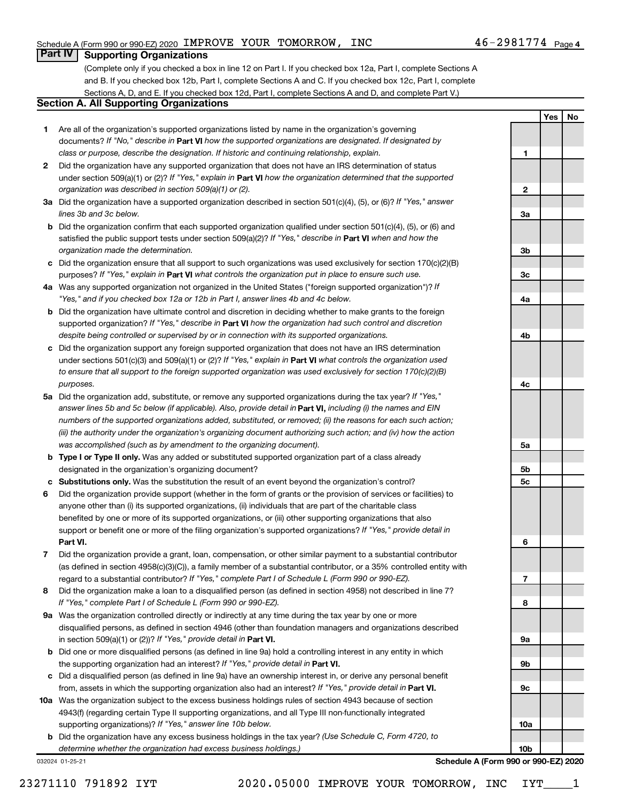**1**

**2**

**3a**

**Yes No**

### **Part IV Supporting Organizations**

(Complete only if you checked a box in line 12 on Part I. If you checked box 12a, Part I, complete Sections A and B. If you checked box 12b, Part I, complete Sections A and C. If you checked box 12c, Part I, complete Sections A, D, and E. If you checked box 12d, Part I, complete Sections A and D, and complete Part V.)

### **Section A. All Supporting Organizations**

- **1** Are all of the organization's supported organizations listed by name in the organization's governing documents? If "No," describe in Part VI how the supported organizations are designated. If designated by *class or purpose, describe the designation. If historic and continuing relationship, explain.*
- **2** Did the organization have any supported organization that does not have an IRS determination of status under section 509(a)(1) or (2)? If "Yes," explain in Part **VI** how the organization determined that the supported *organization was described in section 509(a)(1) or (2).*
- **3a** Did the organization have a supported organization described in section 501(c)(4), (5), or (6)? If "Yes," answer *lines 3b and 3c below.*
- **b** Did the organization confirm that each supported organization qualified under section 501(c)(4), (5), or (6) and satisfied the public support tests under section 509(a)(2)? If "Yes," describe in Part VI when and how the *organization made the determination.*
- **c** Did the organization ensure that all support to such organizations was used exclusively for section 170(c)(2)(B) purposes? If "Yes," explain in Part VI what controls the organization put in place to ensure such use.
- **4 a** *If* Was any supported organization not organized in the United States ("foreign supported organization")? *"Yes," and if you checked box 12a or 12b in Part I, answer lines 4b and 4c below.*
- **b** Did the organization have ultimate control and discretion in deciding whether to make grants to the foreign supported organization? If "Yes," describe in Part VI how the organization had such control and discretion *despite being controlled or supervised by or in connection with its supported organizations.*
- **c** Did the organization support any foreign supported organization that does not have an IRS determination under sections 501(c)(3) and 509(a)(1) or (2)? If "Yes," explain in Part VI what controls the organization used *to ensure that all support to the foreign supported organization was used exclusively for section 170(c)(2)(B) purposes.*
- **5a** Did the organization add, substitute, or remove any supported organizations during the tax year? If "Yes," answer lines 5b and 5c below (if applicable). Also, provide detail in **Part VI,** including (i) the names and EIN *numbers of the supported organizations added, substituted, or removed; (ii) the reasons for each such action; (iii) the authority under the organization's organizing document authorizing such action; and (iv) how the action was accomplished (such as by amendment to the organizing document).*
- **b** Type I or Type II only. Was any added or substituted supported organization part of a class already designated in the organization's organizing document?
- **c Substitutions only.**  Was the substitution the result of an event beyond the organization's control?
- **6** Did the organization provide support (whether in the form of grants or the provision of services or facilities) to **Part VI.** support or benefit one or more of the filing organization's supported organizations? If "Yes," provide detail in anyone other than (i) its supported organizations, (ii) individuals that are part of the charitable class benefited by one or more of its supported organizations, or (iii) other supporting organizations that also
- **7** Did the organization provide a grant, loan, compensation, or other similar payment to a substantial contributor regard to a substantial contributor? If "Yes," complete Part I of Schedule L (Form 990 or 990-EZ). (as defined in section 4958(c)(3)(C)), a family member of a substantial contributor, or a 35% controlled entity with
- **8** Did the organization make a loan to a disqualified person (as defined in section 4958) not described in line 7? *If "Yes," complete Part I of Schedule L (Form 990 or 990-EZ).*
- **9 a** Was the organization controlled directly or indirectly at any time during the tax year by one or more in section 509(a)(1) or (2))? If "Yes," provide detail in **Part VI.** disqualified persons, as defined in section 4946 (other than foundation managers and organizations described
- **b** Did one or more disqualified persons (as defined in line 9a) hold a controlling interest in any entity in which the supporting organization had an interest? If "Yes," provide detail in Part VI.
- **c** Did a disqualified person (as defined in line 9a) have an ownership interest in, or derive any personal benefit from, assets in which the supporting organization also had an interest? If "Yes," provide detail in Part VI.
- **10 a** Was the organization subject to the excess business holdings rules of section 4943 because of section supporting organizations)? If "Yes," answer line 10b below. 4943(f) (regarding certain Type II supporting organizations, and all Type III non-functionally integrated
	- **b** Did the organization have any excess business holdings in the tax year? (Use Schedule C, Form 4720, to *determine whether the organization had excess business holdings.)*

032024 01-25-21

**3b 3c 4a 4b 4c 5a 5b 5c 6 7 8 9a 9b 9c 10a 10b Schedule A (Form 990 or 990-EZ) 2020**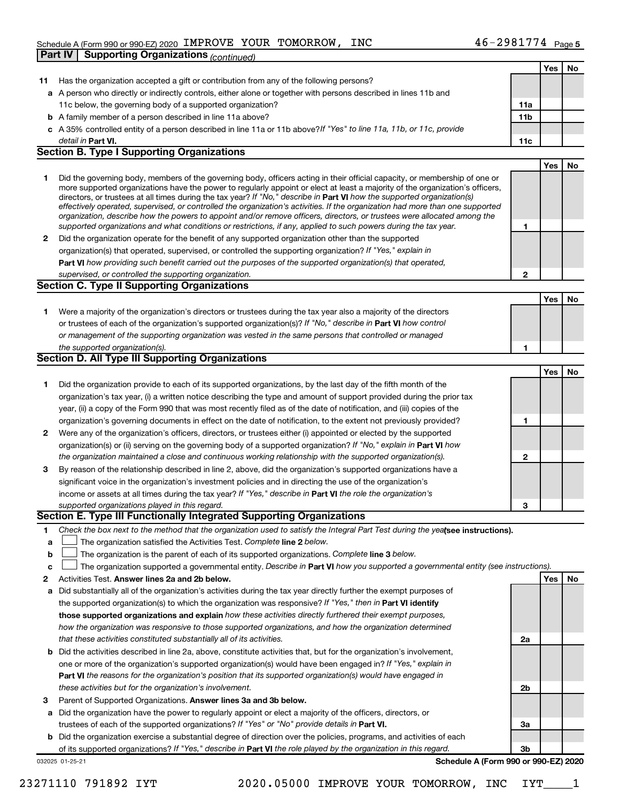#### Schedule A (Form 990 or 990-EZ) 2020 Page IMPROVE YOUR TOMORROW, INC 46-2981774

| No<br>Yes<br>Has the organization accepted a gift or contribution from any of the following persons?<br>11<br>a A person who directly or indirectly controls, either alone or together with persons described in lines 11b and<br>11c below, the governing body of a supported organization?<br>11a<br>11 <sub>b</sub><br><b>b</b> A family member of a person described in line 11a above?<br>c A 35% controlled entity of a person described in line 11a or 11b above?If "Yes" to line 11a, 11b, or 11c, provide<br>detail in Part VI.<br>11c<br><b>Section B. Type I Supporting Organizations</b><br>Yes<br>No<br>Did the governing body, members of the governing body, officers acting in their official capacity, or membership of one or<br>1<br>more supported organizations have the power to regularly appoint or elect at least a majority of the organization's officers,<br>directors, or trustees at all times during the tax year? If "No," describe in Part VI how the supported organization(s)<br>effectively operated, supervised, or controlled the organization's activities. If the organization had more than one supported<br>organization, describe how the powers to appoint and/or remove officers, directors, or trustees were allocated among the<br>supported organizations and what conditions or restrictions, if any, applied to such powers during the tax year.<br>1<br>Did the organization operate for the benefit of any supported organization other than the supported<br>2<br>organization(s) that operated, supervised, or controlled the supporting organization? If "Yes," explain in<br>Part VI how providing such benefit carried out the purposes of the supported organization(s) that operated,<br>supervised, or controlled the supporting organization.<br>$\mathbf{2}$<br><b>Section C. Type II Supporting Organizations</b><br>No<br>Yes<br>Were a majority of the organization's directors or trustees during the tax year also a majority of the directors<br>1.<br>or trustees of each of the organization's supported organization(s)? If "No," describe in Part VI how control<br>or management of the supporting organization was vested in the same persons that controlled or managed<br>the supported organization(s).<br>1<br>Section D. All Type III Supporting Organizations<br>No<br>Yes<br>Did the organization provide to each of its supported organizations, by the last day of the fifth month of the<br>1<br>organization's tax year, (i) a written notice describing the type and amount of support provided during the prior tax<br>year, (ii) a copy of the Form 990 that was most recently filed as of the date of notification, and (iii) copies of the<br>organization's governing documents in effect on the date of notification, to the extent not previously provided?<br>1<br>Were any of the organization's officers, directors, or trustees either (i) appointed or elected by the supported<br>2<br>organization(s) or (ii) serving on the governing body of a supported organization? If "No," explain in Part VI how<br>the organization maintained a close and continuous working relationship with the supported organization(s).<br>$\mathbf{2}$<br>By reason of the relationship described in line 2, above, did the organization's supported organizations have a<br>3<br>significant voice in the organization's investment policies and in directing the use of the organization's<br>income or assets at all times during the tax year? If "Yes," describe in Part VI the role the organization's<br>supported organizations played in this regard.<br>3<br>Section E. Type III Functionally Integrated Supporting Organizations<br>Check the box next to the method that the organization used to satisfy the Integral Part Test during the yealsee instructions).<br>1.<br>The organization satisfied the Activities Test. Complete line 2 below.<br>a<br>The organization is the parent of each of its supported organizations. Complete line 3 below.<br>b<br>The organization supported a governmental entity. Describe in Part VI how you supported a governmental entity (see instructions).<br>c<br>Activities Test. Answer lines 2a and 2b below.<br>No<br>Yes<br>2<br>Did substantially all of the organization's activities during the tax year directly further the exempt purposes of<br>а<br>the supported organization(s) to which the organization was responsive? If "Yes," then in Part VI identify<br>those supported organizations and explain how these activities directly furthered their exempt purposes,<br>how the organization was responsive to those supported organizations, and how the organization determined<br>that these activities constituted substantially all of its activities.<br>2a<br>Did the activities described in line 2a, above, constitute activities that, but for the organization's involvement,<br>b<br>one or more of the organization's supported organization(s) would have been engaged in? If "Yes," explain in<br>Part VI the reasons for the organization's position that its supported organization(s) would have engaged in<br>these activities but for the organization's involvement.<br>2b<br>Parent of Supported Organizations. Answer lines 3a and 3b below.<br>3<br>Did the organization have the power to regularly appoint or elect a majority of the officers, directors, or<br>а<br>trustees of each of the supported organizations? If "Yes" or "No" provide details in Part VI.<br>За<br>Did the organization exercise a substantial degree of direction over the policies, programs, and activities of each<br>b<br>of its supported organizations? If "Yes," describe in Part VI the role played by the organization in this regard.<br>Зb<br>Schedule A (Form 990 or 990-EZ) 2020<br>032025 01-25-21 | <b>Supporting Organizations (continued)</b><br><b>Part IV</b> |  |  |
|------------------------------------------------------------------------------------------------------------------------------------------------------------------------------------------------------------------------------------------------------------------------------------------------------------------------------------------------------------------------------------------------------------------------------------------------------------------------------------------------------------------------------------------------------------------------------------------------------------------------------------------------------------------------------------------------------------------------------------------------------------------------------------------------------------------------------------------------------------------------------------------------------------------------------------------------------------------------------------------------------------------------------------------------------------------------------------------------------------------------------------------------------------------------------------------------------------------------------------------------------------------------------------------------------------------------------------------------------------------------------------------------------------------------------------------------------------------------------------------------------------------------------------------------------------------------------------------------------------------------------------------------------------------------------------------------------------------------------------------------------------------------------------------------------------------------------------------------------------------------------------------------------------------------------------------------------------------------------------------------------------------------------------------------------------------------------------------------------------------------------------------------------------------------------------------------------------------------------------------------------------------------------------------------------------------------------------------------------------------------------------------------------------------------------------------------------------------------------------------------------------------------------------------------------------------------------------------------------------------------------------------------------------------------------------------------------------------------------------------------------------------------------------------------------------------------------------------------------------------------------------------------------------------------------------------------------------------------------------------------------------------------------------------------------------------------------------------------------------------------------------------------------------------------------------------------------------------------------------------------------------------------------------------------------------------------------------------------------------------------------------------------------------------------------------------------------------------------------------------------------------------------------------------------------------------------------------------------------------------------------------------------------------------------------------------------------------------------------------------------------------------------------------------------------------------------------------------------------------------------------------------------------------------------------------------------------------------------------------------------------------------------------------------------------------------------------------------------------------------------------------------------------------------------------------------------------------------------------------------------------------------------------------------------------------------------------------------------------------------------------------------------------------------------------------------------------------------------------------------------------------------------------------------------------------------------------------------------------------------------------------------------------------------------------------------------------------------------------------------------------------------------------------------------------------------------------------------------------------------------------------------------------------------------------------------------------------------------------------------------------------------------------------------------------------------------------------------------------------------------------------------------------------------------------------------------------------------------------------------------------------------------------------------------------------------------------------------------------------------------------------------------------------------------------------------------------------------------------------------------------------------------------------------------------------------------------------------------------------------------------------------------------------------------------------------------------------------------------------------------------------------------------------------------------------------------------------------------------------------------------------|---------------------------------------------------------------|--|--|
|                                                                                                                                                                                                                                                                                                                                                                                                                                                                                                                                                                                                                                                                                                                                                                                                                                                                                                                                                                                                                                                                                                                                                                                                                                                                                                                                                                                                                                                                                                                                                                                                                                                                                                                                                                                                                                                                                                                                                                                                                                                                                                                                                                                                                                                                                                                                                                                                                                                                                                                                                                                                                                                                                                                                                                                                                                                                                                                                                                                                                                                                                                                                                                                                                                                                                                                                                                                                                                                                                                                                                                                                                                                                                                                                                                                                                                                                                                                                                                                                                                                                                                                                                                                                                                                                                                                                                                                                                                                                                                                                                                                                                                                                                                                                                                                                                                                                                                                                                                                                                                                                                                                                                                                                                                                                                                                                                                                                                                                                                                                                                                                                                                                                                                                                                                                                                                                                                    |                                                               |  |  |
|                                                                                                                                                                                                                                                                                                                                                                                                                                                                                                                                                                                                                                                                                                                                                                                                                                                                                                                                                                                                                                                                                                                                                                                                                                                                                                                                                                                                                                                                                                                                                                                                                                                                                                                                                                                                                                                                                                                                                                                                                                                                                                                                                                                                                                                                                                                                                                                                                                                                                                                                                                                                                                                                                                                                                                                                                                                                                                                                                                                                                                                                                                                                                                                                                                                                                                                                                                                                                                                                                                                                                                                                                                                                                                                                                                                                                                                                                                                                                                                                                                                                                                                                                                                                                                                                                                                                                                                                                                                                                                                                                                                                                                                                                                                                                                                                                                                                                                                                                                                                                                                                                                                                                                                                                                                                                                                                                                                                                                                                                                                                                                                                                                                                                                                                                                                                                                                                                    |                                                               |  |  |
|                                                                                                                                                                                                                                                                                                                                                                                                                                                                                                                                                                                                                                                                                                                                                                                                                                                                                                                                                                                                                                                                                                                                                                                                                                                                                                                                                                                                                                                                                                                                                                                                                                                                                                                                                                                                                                                                                                                                                                                                                                                                                                                                                                                                                                                                                                                                                                                                                                                                                                                                                                                                                                                                                                                                                                                                                                                                                                                                                                                                                                                                                                                                                                                                                                                                                                                                                                                                                                                                                                                                                                                                                                                                                                                                                                                                                                                                                                                                                                                                                                                                                                                                                                                                                                                                                                                                                                                                                                                                                                                                                                                                                                                                                                                                                                                                                                                                                                                                                                                                                                                                                                                                                                                                                                                                                                                                                                                                                                                                                                                                                                                                                                                                                                                                                                                                                                                                                    |                                                               |  |  |
|                                                                                                                                                                                                                                                                                                                                                                                                                                                                                                                                                                                                                                                                                                                                                                                                                                                                                                                                                                                                                                                                                                                                                                                                                                                                                                                                                                                                                                                                                                                                                                                                                                                                                                                                                                                                                                                                                                                                                                                                                                                                                                                                                                                                                                                                                                                                                                                                                                                                                                                                                                                                                                                                                                                                                                                                                                                                                                                                                                                                                                                                                                                                                                                                                                                                                                                                                                                                                                                                                                                                                                                                                                                                                                                                                                                                                                                                                                                                                                                                                                                                                                                                                                                                                                                                                                                                                                                                                                                                                                                                                                                                                                                                                                                                                                                                                                                                                                                                                                                                                                                                                                                                                                                                                                                                                                                                                                                                                                                                                                                                                                                                                                                                                                                                                                                                                                                                                    |                                                               |  |  |
|                                                                                                                                                                                                                                                                                                                                                                                                                                                                                                                                                                                                                                                                                                                                                                                                                                                                                                                                                                                                                                                                                                                                                                                                                                                                                                                                                                                                                                                                                                                                                                                                                                                                                                                                                                                                                                                                                                                                                                                                                                                                                                                                                                                                                                                                                                                                                                                                                                                                                                                                                                                                                                                                                                                                                                                                                                                                                                                                                                                                                                                                                                                                                                                                                                                                                                                                                                                                                                                                                                                                                                                                                                                                                                                                                                                                                                                                                                                                                                                                                                                                                                                                                                                                                                                                                                                                                                                                                                                                                                                                                                                                                                                                                                                                                                                                                                                                                                                                                                                                                                                                                                                                                                                                                                                                                                                                                                                                                                                                                                                                                                                                                                                                                                                                                                                                                                                                                    |                                                               |  |  |
|                                                                                                                                                                                                                                                                                                                                                                                                                                                                                                                                                                                                                                                                                                                                                                                                                                                                                                                                                                                                                                                                                                                                                                                                                                                                                                                                                                                                                                                                                                                                                                                                                                                                                                                                                                                                                                                                                                                                                                                                                                                                                                                                                                                                                                                                                                                                                                                                                                                                                                                                                                                                                                                                                                                                                                                                                                                                                                                                                                                                                                                                                                                                                                                                                                                                                                                                                                                                                                                                                                                                                                                                                                                                                                                                                                                                                                                                                                                                                                                                                                                                                                                                                                                                                                                                                                                                                                                                                                                                                                                                                                                                                                                                                                                                                                                                                                                                                                                                                                                                                                                                                                                                                                                                                                                                                                                                                                                                                                                                                                                                                                                                                                                                                                                                                                                                                                                                                    |                                                               |  |  |
|                                                                                                                                                                                                                                                                                                                                                                                                                                                                                                                                                                                                                                                                                                                                                                                                                                                                                                                                                                                                                                                                                                                                                                                                                                                                                                                                                                                                                                                                                                                                                                                                                                                                                                                                                                                                                                                                                                                                                                                                                                                                                                                                                                                                                                                                                                                                                                                                                                                                                                                                                                                                                                                                                                                                                                                                                                                                                                                                                                                                                                                                                                                                                                                                                                                                                                                                                                                                                                                                                                                                                                                                                                                                                                                                                                                                                                                                                                                                                                                                                                                                                                                                                                                                                                                                                                                                                                                                                                                                                                                                                                                                                                                                                                                                                                                                                                                                                                                                                                                                                                                                                                                                                                                                                                                                                                                                                                                                                                                                                                                                                                                                                                                                                                                                                                                                                                                                                    |                                                               |  |  |
|                                                                                                                                                                                                                                                                                                                                                                                                                                                                                                                                                                                                                                                                                                                                                                                                                                                                                                                                                                                                                                                                                                                                                                                                                                                                                                                                                                                                                                                                                                                                                                                                                                                                                                                                                                                                                                                                                                                                                                                                                                                                                                                                                                                                                                                                                                                                                                                                                                                                                                                                                                                                                                                                                                                                                                                                                                                                                                                                                                                                                                                                                                                                                                                                                                                                                                                                                                                                                                                                                                                                                                                                                                                                                                                                                                                                                                                                                                                                                                                                                                                                                                                                                                                                                                                                                                                                                                                                                                                                                                                                                                                                                                                                                                                                                                                                                                                                                                                                                                                                                                                                                                                                                                                                                                                                                                                                                                                                                                                                                                                                                                                                                                                                                                                                                                                                                                                                                    |                                                               |  |  |
|                                                                                                                                                                                                                                                                                                                                                                                                                                                                                                                                                                                                                                                                                                                                                                                                                                                                                                                                                                                                                                                                                                                                                                                                                                                                                                                                                                                                                                                                                                                                                                                                                                                                                                                                                                                                                                                                                                                                                                                                                                                                                                                                                                                                                                                                                                                                                                                                                                                                                                                                                                                                                                                                                                                                                                                                                                                                                                                                                                                                                                                                                                                                                                                                                                                                                                                                                                                                                                                                                                                                                                                                                                                                                                                                                                                                                                                                                                                                                                                                                                                                                                                                                                                                                                                                                                                                                                                                                                                                                                                                                                                                                                                                                                                                                                                                                                                                                                                                                                                                                                                                                                                                                                                                                                                                                                                                                                                                                                                                                                                                                                                                                                                                                                                                                                                                                                                                                    |                                                               |  |  |
|                                                                                                                                                                                                                                                                                                                                                                                                                                                                                                                                                                                                                                                                                                                                                                                                                                                                                                                                                                                                                                                                                                                                                                                                                                                                                                                                                                                                                                                                                                                                                                                                                                                                                                                                                                                                                                                                                                                                                                                                                                                                                                                                                                                                                                                                                                                                                                                                                                                                                                                                                                                                                                                                                                                                                                                                                                                                                                                                                                                                                                                                                                                                                                                                                                                                                                                                                                                                                                                                                                                                                                                                                                                                                                                                                                                                                                                                                                                                                                                                                                                                                                                                                                                                                                                                                                                                                                                                                                                                                                                                                                                                                                                                                                                                                                                                                                                                                                                                                                                                                                                                                                                                                                                                                                                                                                                                                                                                                                                                                                                                                                                                                                                                                                                                                                                                                                                                                    |                                                               |  |  |
|                                                                                                                                                                                                                                                                                                                                                                                                                                                                                                                                                                                                                                                                                                                                                                                                                                                                                                                                                                                                                                                                                                                                                                                                                                                                                                                                                                                                                                                                                                                                                                                                                                                                                                                                                                                                                                                                                                                                                                                                                                                                                                                                                                                                                                                                                                                                                                                                                                                                                                                                                                                                                                                                                                                                                                                                                                                                                                                                                                                                                                                                                                                                                                                                                                                                                                                                                                                                                                                                                                                                                                                                                                                                                                                                                                                                                                                                                                                                                                                                                                                                                                                                                                                                                                                                                                                                                                                                                                                                                                                                                                                                                                                                                                                                                                                                                                                                                                                                                                                                                                                                                                                                                                                                                                                                                                                                                                                                                                                                                                                                                                                                                                                                                                                                                                                                                                                                                    |                                                               |  |  |
|                                                                                                                                                                                                                                                                                                                                                                                                                                                                                                                                                                                                                                                                                                                                                                                                                                                                                                                                                                                                                                                                                                                                                                                                                                                                                                                                                                                                                                                                                                                                                                                                                                                                                                                                                                                                                                                                                                                                                                                                                                                                                                                                                                                                                                                                                                                                                                                                                                                                                                                                                                                                                                                                                                                                                                                                                                                                                                                                                                                                                                                                                                                                                                                                                                                                                                                                                                                                                                                                                                                                                                                                                                                                                                                                                                                                                                                                                                                                                                                                                                                                                                                                                                                                                                                                                                                                                                                                                                                                                                                                                                                                                                                                                                                                                                                                                                                                                                                                                                                                                                                                                                                                                                                                                                                                                                                                                                                                                                                                                                                                                                                                                                                                                                                                                                                                                                                                                    |                                                               |  |  |
|                                                                                                                                                                                                                                                                                                                                                                                                                                                                                                                                                                                                                                                                                                                                                                                                                                                                                                                                                                                                                                                                                                                                                                                                                                                                                                                                                                                                                                                                                                                                                                                                                                                                                                                                                                                                                                                                                                                                                                                                                                                                                                                                                                                                                                                                                                                                                                                                                                                                                                                                                                                                                                                                                                                                                                                                                                                                                                                                                                                                                                                                                                                                                                                                                                                                                                                                                                                                                                                                                                                                                                                                                                                                                                                                                                                                                                                                                                                                                                                                                                                                                                                                                                                                                                                                                                                                                                                                                                                                                                                                                                                                                                                                                                                                                                                                                                                                                                                                                                                                                                                                                                                                                                                                                                                                                                                                                                                                                                                                                                                                                                                                                                                                                                                                                                                                                                                                                    |                                                               |  |  |
|                                                                                                                                                                                                                                                                                                                                                                                                                                                                                                                                                                                                                                                                                                                                                                                                                                                                                                                                                                                                                                                                                                                                                                                                                                                                                                                                                                                                                                                                                                                                                                                                                                                                                                                                                                                                                                                                                                                                                                                                                                                                                                                                                                                                                                                                                                                                                                                                                                                                                                                                                                                                                                                                                                                                                                                                                                                                                                                                                                                                                                                                                                                                                                                                                                                                                                                                                                                                                                                                                                                                                                                                                                                                                                                                                                                                                                                                                                                                                                                                                                                                                                                                                                                                                                                                                                                                                                                                                                                                                                                                                                                                                                                                                                                                                                                                                                                                                                                                                                                                                                                                                                                                                                                                                                                                                                                                                                                                                                                                                                                                                                                                                                                                                                                                                                                                                                                                                    |                                                               |  |  |
|                                                                                                                                                                                                                                                                                                                                                                                                                                                                                                                                                                                                                                                                                                                                                                                                                                                                                                                                                                                                                                                                                                                                                                                                                                                                                                                                                                                                                                                                                                                                                                                                                                                                                                                                                                                                                                                                                                                                                                                                                                                                                                                                                                                                                                                                                                                                                                                                                                                                                                                                                                                                                                                                                                                                                                                                                                                                                                                                                                                                                                                                                                                                                                                                                                                                                                                                                                                                                                                                                                                                                                                                                                                                                                                                                                                                                                                                                                                                                                                                                                                                                                                                                                                                                                                                                                                                                                                                                                                                                                                                                                                                                                                                                                                                                                                                                                                                                                                                                                                                                                                                                                                                                                                                                                                                                                                                                                                                                                                                                                                                                                                                                                                                                                                                                                                                                                                                                    |                                                               |  |  |
|                                                                                                                                                                                                                                                                                                                                                                                                                                                                                                                                                                                                                                                                                                                                                                                                                                                                                                                                                                                                                                                                                                                                                                                                                                                                                                                                                                                                                                                                                                                                                                                                                                                                                                                                                                                                                                                                                                                                                                                                                                                                                                                                                                                                                                                                                                                                                                                                                                                                                                                                                                                                                                                                                                                                                                                                                                                                                                                                                                                                                                                                                                                                                                                                                                                                                                                                                                                                                                                                                                                                                                                                                                                                                                                                                                                                                                                                                                                                                                                                                                                                                                                                                                                                                                                                                                                                                                                                                                                                                                                                                                                                                                                                                                                                                                                                                                                                                                                                                                                                                                                                                                                                                                                                                                                                                                                                                                                                                                                                                                                                                                                                                                                                                                                                                                                                                                                                                    |                                                               |  |  |
|                                                                                                                                                                                                                                                                                                                                                                                                                                                                                                                                                                                                                                                                                                                                                                                                                                                                                                                                                                                                                                                                                                                                                                                                                                                                                                                                                                                                                                                                                                                                                                                                                                                                                                                                                                                                                                                                                                                                                                                                                                                                                                                                                                                                                                                                                                                                                                                                                                                                                                                                                                                                                                                                                                                                                                                                                                                                                                                                                                                                                                                                                                                                                                                                                                                                                                                                                                                                                                                                                                                                                                                                                                                                                                                                                                                                                                                                                                                                                                                                                                                                                                                                                                                                                                                                                                                                                                                                                                                                                                                                                                                                                                                                                                                                                                                                                                                                                                                                                                                                                                                                                                                                                                                                                                                                                                                                                                                                                                                                                                                                                                                                                                                                                                                                                                                                                                                                                    |                                                               |  |  |
|                                                                                                                                                                                                                                                                                                                                                                                                                                                                                                                                                                                                                                                                                                                                                                                                                                                                                                                                                                                                                                                                                                                                                                                                                                                                                                                                                                                                                                                                                                                                                                                                                                                                                                                                                                                                                                                                                                                                                                                                                                                                                                                                                                                                                                                                                                                                                                                                                                                                                                                                                                                                                                                                                                                                                                                                                                                                                                                                                                                                                                                                                                                                                                                                                                                                                                                                                                                                                                                                                                                                                                                                                                                                                                                                                                                                                                                                                                                                                                                                                                                                                                                                                                                                                                                                                                                                                                                                                                                                                                                                                                                                                                                                                                                                                                                                                                                                                                                                                                                                                                                                                                                                                                                                                                                                                                                                                                                                                                                                                                                                                                                                                                                                                                                                                                                                                                                                                    |                                                               |  |  |
|                                                                                                                                                                                                                                                                                                                                                                                                                                                                                                                                                                                                                                                                                                                                                                                                                                                                                                                                                                                                                                                                                                                                                                                                                                                                                                                                                                                                                                                                                                                                                                                                                                                                                                                                                                                                                                                                                                                                                                                                                                                                                                                                                                                                                                                                                                                                                                                                                                                                                                                                                                                                                                                                                                                                                                                                                                                                                                                                                                                                                                                                                                                                                                                                                                                                                                                                                                                                                                                                                                                                                                                                                                                                                                                                                                                                                                                                                                                                                                                                                                                                                                                                                                                                                                                                                                                                                                                                                                                                                                                                                                                                                                                                                                                                                                                                                                                                                                                                                                                                                                                                                                                                                                                                                                                                                                                                                                                                                                                                                                                                                                                                                                                                                                                                                                                                                                                                                    |                                                               |  |  |
|                                                                                                                                                                                                                                                                                                                                                                                                                                                                                                                                                                                                                                                                                                                                                                                                                                                                                                                                                                                                                                                                                                                                                                                                                                                                                                                                                                                                                                                                                                                                                                                                                                                                                                                                                                                                                                                                                                                                                                                                                                                                                                                                                                                                                                                                                                                                                                                                                                                                                                                                                                                                                                                                                                                                                                                                                                                                                                                                                                                                                                                                                                                                                                                                                                                                                                                                                                                                                                                                                                                                                                                                                                                                                                                                                                                                                                                                                                                                                                                                                                                                                                                                                                                                                                                                                                                                                                                                                                                                                                                                                                                                                                                                                                                                                                                                                                                                                                                                                                                                                                                                                                                                                                                                                                                                                                                                                                                                                                                                                                                                                                                                                                                                                                                                                                                                                                                                                    |                                                               |  |  |
|                                                                                                                                                                                                                                                                                                                                                                                                                                                                                                                                                                                                                                                                                                                                                                                                                                                                                                                                                                                                                                                                                                                                                                                                                                                                                                                                                                                                                                                                                                                                                                                                                                                                                                                                                                                                                                                                                                                                                                                                                                                                                                                                                                                                                                                                                                                                                                                                                                                                                                                                                                                                                                                                                                                                                                                                                                                                                                                                                                                                                                                                                                                                                                                                                                                                                                                                                                                                                                                                                                                                                                                                                                                                                                                                                                                                                                                                                                                                                                                                                                                                                                                                                                                                                                                                                                                                                                                                                                                                                                                                                                                                                                                                                                                                                                                                                                                                                                                                                                                                                                                                                                                                                                                                                                                                                                                                                                                                                                                                                                                                                                                                                                                                                                                                                                                                                                                                                    |                                                               |  |  |
|                                                                                                                                                                                                                                                                                                                                                                                                                                                                                                                                                                                                                                                                                                                                                                                                                                                                                                                                                                                                                                                                                                                                                                                                                                                                                                                                                                                                                                                                                                                                                                                                                                                                                                                                                                                                                                                                                                                                                                                                                                                                                                                                                                                                                                                                                                                                                                                                                                                                                                                                                                                                                                                                                                                                                                                                                                                                                                                                                                                                                                                                                                                                                                                                                                                                                                                                                                                                                                                                                                                                                                                                                                                                                                                                                                                                                                                                                                                                                                                                                                                                                                                                                                                                                                                                                                                                                                                                                                                                                                                                                                                                                                                                                                                                                                                                                                                                                                                                                                                                                                                                                                                                                                                                                                                                                                                                                                                                                                                                                                                                                                                                                                                                                                                                                                                                                                                                                    |                                                               |  |  |
|                                                                                                                                                                                                                                                                                                                                                                                                                                                                                                                                                                                                                                                                                                                                                                                                                                                                                                                                                                                                                                                                                                                                                                                                                                                                                                                                                                                                                                                                                                                                                                                                                                                                                                                                                                                                                                                                                                                                                                                                                                                                                                                                                                                                                                                                                                                                                                                                                                                                                                                                                                                                                                                                                                                                                                                                                                                                                                                                                                                                                                                                                                                                                                                                                                                                                                                                                                                                                                                                                                                                                                                                                                                                                                                                                                                                                                                                                                                                                                                                                                                                                                                                                                                                                                                                                                                                                                                                                                                                                                                                                                                                                                                                                                                                                                                                                                                                                                                                                                                                                                                                                                                                                                                                                                                                                                                                                                                                                                                                                                                                                                                                                                                                                                                                                                                                                                                                                    |                                                               |  |  |
|                                                                                                                                                                                                                                                                                                                                                                                                                                                                                                                                                                                                                                                                                                                                                                                                                                                                                                                                                                                                                                                                                                                                                                                                                                                                                                                                                                                                                                                                                                                                                                                                                                                                                                                                                                                                                                                                                                                                                                                                                                                                                                                                                                                                                                                                                                                                                                                                                                                                                                                                                                                                                                                                                                                                                                                                                                                                                                                                                                                                                                                                                                                                                                                                                                                                                                                                                                                                                                                                                                                                                                                                                                                                                                                                                                                                                                                                                                                                                                                                                                                                                                                                                                                                                                                                                                                                                                                                                                                                                                                                                                                                                                                                                                                                                                                                                                                                                                                                                                                                                                                                                                                                                                                                                                                                                                                                                                                                                                                                                                                                                                                                                                                                                                                                                                                                                                                                                    |                                                               |  |  |
|                                                                                                                                                                                                                                                                                                                                                                                                                                                                                                                                                                                                                                                                                                                                                                                                                                                                                                                                                                                                                                                                                                                                                                                                                                                                                                                                                                                                                                                                                                                                                                                                                                                                                                                                                                                                                                                                                                                                                                                                                                                                                                                                                                                                                                                                                                                                                                                                                                                                                                                                                                                                                                                                                                                                                                                                                                                                                                                                                                                                                                                                                                                                                                                                                                                                                                                                                                                                                                                                                                                                                                                                                                                                                                                                                                                                                                                                                                                                                                                                                                                                                                                                                                                                                                                                                                                                                                                                                                                                                                                                                                                                                                                                                                                                                                                                                                                                                                                                                                                                                                                                                                                                                                                                                                                                                                                                                                                                                                                                                                                                                                                                                                                                                                                                                                                                                                                                                    |                                                               |  |  |
|                                                                                                                                                                                                                                                                                                                                                                                                                                                                                                                                                                                                                                                                                                                                                                                                                                                                                                                                                                                                                                                                                                                                                                                                                                                                                                                                                                                                                                                                                                                                                                                                                                                                                                                                                                                                                                                                                                                                                                                                                                                                                                                                                                                                                                                                                                                                                                                                                                                                                                                                                                                                                                                                                                                                                                                                                                                                                                                                                                                                                                                                                                                                                                                                                                                                                                                                                                                                                                                                                                                                                                                                                                                                                                                                                                                                                                                                                                                                                                                                                                                                                                                                                                                                                                                                                                                                                                                                                                                                                                                                                                                                                                                                                                                                                                                                                                                                                                                                                                                                                                                                                                                                                                                                                                                                                                                                                                                                                                                                                                                                                                                                                                                                                                                                                                                                                                                                                    |                                                               |  |  |
|                                                                                                                                                                                                                                                                                                                                                                                                                                                                                                                                                                                                                                                                                                                                                                                                                                                                                                                                                                                                                                                                                                                                                                                                                                                                                                                                                                                                                                                                                                                                                                                                                                                                                                                                                                                                                                                                                                                                                                                                                                                                                                                                                                                                                                                                                                                                                                                                                                                                                                                                                                                                                                                                                                                                                                                                                                                                                                                                                                                                                                                                                                                                                                                                                                                                                                                                                                                                                                                                                                                                                                                                                                                                                                                                                                                                                                                                                                                                                                                                                                                                                                                                                                                                                                                                                                                                                                                                                                                                                                                                                                                                                                                                                                                                                                                                                                                                                                                                                                                                                                                                                                                                                                                                                                                                                                                                                                                                                                                                                                                                                                                                                                                                                                                                                                                                                                                                                    |                                                               |  |  |
|                                                                                                                                                                                                                                                                                                                                                                                                                                                                                                                                                                                                                                                                                                                                                                                                                                                                                                                                                                                                                                                                                                                                                                                                                                                                                                                                                                                                                                                                                                                                                                                                                                                                                                                                                                                                                                                                                                                                                                                                                                                                                                                                                                                                                                                                                                                                                                                                                                                                                                                                                                                                                                                                                                                                                                                                                                                                                                                                                                                                                                                                                                                                                                                                                                                                                                                                                                                                                                                                                                                                                                                                                                                                                                                                                                                                                                                                                                                                                                                                                                                                                                                                                                                                                                                                                                                                                                                                                                                                                                                                                                                                                                                                                                                                                                                                                                                                                                                                                                                                                                                                                                                                                                                                                                                                                                                                                                                                                                                                                                                                                                                                                                                                                                                                                                                                                                                                                    |                                                               |  |  |
|                                                                                                                                                                                                                                                                                                                                                                                                                                                                                                                                                                                                                                                                                                                                                                                                                                                                                                                                                                                                                                                                                                                                                                                                                                                                                                                                                                                                                                                                                                                                                                                                                                                                                                                                                                                                                                                                                                                                                                                                                                                                                                                                                                                                                                                                                                                                                                                                                                                                                                                                                                                                                                                                                                                                                                                                                                                                                                                                                                                                                                                                                                                                                                                                                                                                                                                                                                                                                                                                                                                                                                                                                                                                                                                                                                                                                                                                                                                                                                                                                                                                                                                                                                                                                                                                                                                                                                                                                                                                                                                                                                                                                                                                                                                                                                                                                                                                                                                                                                                                                                                                                                                                                                                                                                                                                                                                                                                                                                                                                                                                                                                                                                                                                                                                                                                                                                                                                    |                                                               |  |  |
|                                                                                                                                                                                                                                                                                                                                                                                                                                                                                                                                                                                                                                                                                                                                                                                                                                                                                                                                                                                                                                                                                                                                                                                                                                                                                                                                                                                                                                                                                                                                                                                                                                                                                                                                                                                                                                                                                                                                                                                                                                                                                                                                                                                                                                                                                                                                                                                                                                                                                                                                                                                                                                                                                                                                                                                                                                                                                                                                                                                                                                                                                                                                                                                                                                                                                                                                                                                                                                                                                                                                                                                                                                                                                                                                                                                                                                                                                                                                                                                                                                                                                                                                                                                                                                                                                                                                                                                                                                                                                                                                                                                                                                                                                                                                                                                                                                                                                                                                                                                                                                                                                                                                                                                                                                                                                                                                                                                                                                                                                                                                                                                                                                                                                                                                                                                                                                                                                    |                                                               |  |  |
|                                                                                                                                                                                                                                                                                                                                                                                                                                                                                                                                                                                                                                                                                                                                                                                                                                                                                                                                                                                                                                                                                                                                                                                                                                                                                                                                                                                                                                                                                                                                                                                                                                                                                                                                                                                                                                                                                                                                                                                                                                                                                                                                                                                                                                                                                                                                                                                                                                                                                                                                                                                                                                                                                                                                                                                                                                                                                                                                                                                                                                                                                                                                                                                                                                                                                                                                                                                                                                                                                                                                                                                                                                                                                                                                                                                                                                                                                                                                                                                                                                                                                                                                                                                                                                                                                                                                                                                                                                                                                                                                                                                                                                                                                                                                                                                                                                                                                                                                                                                                                                                                                                                                                                                                                                                                                                                                                                                                                                                                                                                                                                                                                                                                                                                                                                                                                                                                                    |                                                               |  |  |
|                                                                                                                                                                                                                                                                                                                                                                                                                                                                                                                                                                                                                                                                                                                                                                                                                                                                                                                                                                                                                                                                                                                                                                                                                                                                                                                                                                                                                                                                                                                                                                                                                                                                                                                                                                                                                                                                                                                                                                                                                                                                                                                                                                                                                                                                                                                                                                                                                                                                                                                                                                                                                                                                                                                                                                                                                                                                                                                                                                                                                                                                                                                                                                                                                                                                                                                                                                                                                                                                                                                                                                                                                                                                                                                                                                                                                                                                                                                                                                                                                                                                                                                                                                                                                                                                                                                                                                                                                                                                                                                                                                                                                                                                                                                                                                                                                                                                                                                                                                                                                                                                                                                                                                                                                                                                                                                                                                                                                                                                                                                                                                                                                                                                                                                                                                                                                                                                                    |                                                               |  |  |
|                                                                                                                                                                                                                                                                                                                                                                                                                                                                                                                                                                                                                                                                                                                                                                                                                                                                                                                                                                                                                                                                                                                                                                                                                                                                                                                                                                                                                                                                                                                                                                                                                                                                                                                                                                                                                                                                                                                                                                                                                                                                                                                                                                                                                                                                                                                                                                                                                                                                                                                                                                                                                                                                                                                                                                                                                                                                                                                                                                                                                                                                                                                                                                                                                                                                                                                                                                                                                                                                                                                                                                                                                                                                                                                                                                                                                                                                                                                                                                                                                                                                                                                                                                                                                                                                                                                                                                                                                                                                                                                                                                                                                                                                                                                                                                                                                                                                                                                                                                                                                                                                                                                                                                                                                                                                                                                                                                                                                                                                                                                                                                                                                                                                                                                                                                                                                                                                                    |                                                               |  |  |
|                                                                                                                                                                                                                                                                                                                                                                                                                                                                                                                                                                                                                                                                                                                                                                                                                                                                                                                                                                                                                                                                                                                                                                                                                                                                                                                                                                                                                                                                                                                                                                                                                                                                                                                                                                                                                                                                                                                                                                                                                                                                                                                                                                                                                                                                                                                                                                                                                                                                                                                                                                                                                                                                                                                                                                                                                                                                                                                                                                                                                                                                                                                                                                                                                                                                                                                                                                                                                                                                                                                                                                                                                                                                                                                                                                                                                                                                                                                                                                                                                                                                                                                                                                                                                                                                                                                                                                                                                                                                                                                                                                                                                                                                                                                                                                                                                                                                                                                                                                                                                                                                                                                                                                                                                                                                                                                                                                                                                                                                                                                                                                                                                                                                                                                                                                                                                                                                                    |                                                               |  |  |
|                                                                                                                                                                                                                                                                                                                                                                                                                                                                                                                                                                                                                                                                                                                                                                                                                                                                                                                                                                                                                                                                                                                                                                                                                                                                                                                                                                                                                                                                                                                                                                                                                                                                                                                                                                                                                                                                                                                                                                                                                                                                                                                                                                                                                                                                                                                                                                                                                                                                                                                                                                                                                                                                                                                                                                                                                                                                                                                                                                                                                                                                                                                                                                                                                                                                                                                                                                                                                                                                                                                                                                                                                                                                                                                                                                                                                                                                                                                                                                                                                                                                                                                                                                                                                                                                                                                                                                                                                                                                                                                                                                                                                                                                                                                                                                                                                                                                                                                                                                                                                                                                                                                                                                                                                                                                                                                                                                                                                                                                                                                                                                                                                                                                                                                                                                                                                                                                                    |                                                               |  |  |
|                                                                                                                                                                                                                                                                                                                                                                                                                                                                                                                                                                                                                                                                                                                                                                                                                                                                                                                                                                                                                                                                                                                                                                                                                                                                                                                                                                                                                                                                                                                                                                                                                                                                                                                                                                                                                                                                                                                                                                                                                                                                                                                                                                                                                                                                                                                                                                                                                                                                                                                                                                                                                                                                                                                                                                                                                                                                                                                                                                                                                                                                                                                                                                                                                                                                                                                                                                                                                                                                                                                                                                                                                                                                                                                                                                                                                                                                                                                                                                                                                                                                                                                                                                                                                                                                                                                                                                                                                                                                                                                                                                                                                                                                                                                                                                                                                                                                                                                                                                                                                                                                                                                                                                                                                                                                                                                                                                                                                                                                                                                                                                                                                                                                                                                                                                                                                                                                                    |                                                               |  |  |
|                                                                                                                                                                                                                                                                                                                                                                                                                                                                                                                                                                                                                                                                                                                                                                                                                                                                                                                                                                                                                                                                                                                                                                                                                                                                                                                                                                                                                                                                                                                                                                                                                                                                                                                                                                                                                                                                                                                                                                                                                                                                                                                                                                                                                                                                                                                                                                                                                                                                                                                                                                                                                                                                                                                                                                                                                                                                                                                                                                                                                                                                                                                                                                                                                                                                                                                                                                                                                                                                                                                                                                                                                                                                                                                                                                                                                                                                                                                                                                                                                                                                                                                                                                                                                                                                                                                                                                                                                                                                                                                                                                                                                                                                                                                                                                                                                                                                                                                                                                                                                                                                                                                                                                                                                                                                                                                                                                                                                                                                                                                                                                                                                                                                                                                                                                                                                                                                                    |                                                               |  |  |
|                                                                                                                                                                                                                                                                                                                                                                                                                                                                                                                                                                                                                                                                                                                                                                                                                                                                                                                                                                                                                                                                                                                                                                                                                                                                                                                                                                                                                                                                                                                                                                                                                                                                                                                                                                                                                                                                                                                                                                                                                                                                                                                                                                                                                                                                                                                                                                                                                                                                                                                                                                                                                                                                                                                                                                                                                                                                                                                                                                                                                                                                                                                                                                                                                                                                                                                                                                                                                                                                                                                                                                                                                                                                                                                                                                                                                                                                                                                                                                                                                                                                                                                                                                                                                                                                                                                                                                                                                                                                                                                                                                                                                                                                                                                                                                                                                                                                                                                                                                                                                                                                                                                                                                                                                                                                                                                                                                                                                                                                                                                                                                                                                                                                                                                                                                                                                                                                                    |                                                               |  |  |
|                                                                                                                                                                                                                                                                                                                                                                                                                                                                                                                                                                                                                                                                                                                                                                                                                                                                                                                                                                                                                                                                                                                                                                                                                                                                                                                                                                                                                                                                                                                                                                                                                                                                                                                                                                                                                                                                                                                                                                                                                                                                                                                                                                                                                                                                                                                                                                                                                                                                                                                                                                                                                                                                                                                                                                                                                                                                                                                                                                                                                                                                                                                                                                                                                                                                                                                                                                                                                                                                                                                                                                                                                                                                                                                                                                                                                                                                                                                                                                                                                                                                                                                                                                                                                                                                                                                                                                                                                                                                                                                                                                                                                                                                                                                                                                                                                                                                                                                                                                                                                                                                                                                                                                                                                                                                                                                                                                                                                                                                                                                                                                                                                                                                                                                                                                                                                                                                                    |                                                               |  |  |
|                                                                                                                                                                                                                                                                                                                                                                                                                                                                                                                                                                                                                                                                                                                                                                                                                                                                                                                                                                                                                                                                                                                                                                                                                                                                                                                                                                                                                                                                                                                                                                                                                                                                                                                                                                                                                                                                                                                                                                                                                                                                                                                                                                                                                                                                                                                                                                                                                                                                                                                                                                                                                                                                                                                                                                                                                                                                                                                                                                                                                                                                                                                                                                                                                                                                                                                                                                                                                                                                                                                                                                                                                                                                                                                                                                                                                                                                                                                                                                                                                                                                                                                                                                                                                                                                                                                                                                                                                                                                                                                                                                                                                                                                                                                                                                                                                                                                                                                                                                                                                                                                                                                                                                                                                                                                                                                                                                                                                                                                                                                                                                                                                                                                                                                                                                                                                                                                                    |                                                               |  |  |
|                                                                                                                                                                                                                                                                                                                                                                                                                                                                                                                                                                                                                                                                                                                                                                                                                                                                                                                                                                                                                                                                                                                                                                                                                                                                                                                                                                                                                                                                                                                                                                                                                                                                                                                                                                                                                                                                                                                                                                                                                                                                                                                                                                                                                                                                                                                                                                                                                                                                                                                                                                                                                                                                                                                                                                                                                                                                                                                                                                                                                                                                                                                                                                                                                                                                                                                                                                                                                                                                                                                                                                                                                                                                                                                                                                                                                                                                                                                                                                                                                                                                                                                                                                                                                                                                                                                                                                                                                                                                                                                                                                                                                                                                                                                                                                                                                                                                                                                                                                                                                                                                                                                                                                                                                                                                                                                                                                                                                                                                                                                                                                                                                                                                                                                                                                                                                                                                                    |                                                               |  |  |
|                                                                                                                                                                                                                                                                                                                                                                                                                                                                                                                                                                                                                                                                                                                                                                                                                                                                                                                                                                                                                                                                                                                                                                                                                                                                                                                                                                                                                                                                                                                                                                                                                                                                                                                                                                                                                                                                                                                                                                                                                                                                                                                                                                                                                                                                                                                                                                                                                                                                                                                                                                                                                                                                                                                                                                                                                                                                                                                                                                                                                                                                                                                                                                                                                                                                                                                                                                                                                                                                                                                                                                                                                                                                                                                                                                                                                                                                                                                                                                                                                                                                                                                                                                                                                                                                                                                                                                                                                                                                                                                                                                                                                                                                                                                                                                                                                                                                                                                                                                                                                                                                                                                                                                                                                                                                                                                                                                                                                                                                                                                                                                                                                                                                                                                                                                                                                                                                                    |                                                               |  |  |
|                                                                                                                                                                                                                                                                                                                                                                                                                                                                                                                                                                                                                                                                                                                                                                                                                                                                                                                                                                                                                                                                                                                                                                                                                                                                                                                                                                                                                                                                                                                                                                                                                                                                                                                                                                                                                                                                                                                                                                                                                                                                                                                                                                                                                                                                                                                                                                                                                                                                                                                                                                                                                                                                                                                                                                                                                                                                                                                                                                                                                                                                                                                                                                                                                                                                                                                                                                                                                                                                                                                                                                                                                                                                                                                                                                                                                                                                                                                                                                                                                                                                                                                                                                                                                                                                                                                                                                                                                                                                                                                                                                                                                                                                                                                                                                                                                                                                                                                                                                                                                                                                                                                                                                                                                                                                                                                                                                                                                                                                                                                                                                                                                                                                                                                                                                                                                                                                                    |                                                               |  |  |
|                                                                                                                                                                                                                                                                                                                                                                                                                                                                                                                                                                                                                                                                                                                                                                                                                                                                                                                                                                                                                                                                                                                                                                                                                                                                                                                                                                                                                                                                                                                                                                                                                                                                                                                                                                                                                                                                                                                                                                                                                                                                                                                                                                                                                                                                                                                                                                                                                                                                                                                                                                                                                                                                                                                                                                                                                                                                                                                                                                                                                                                                                                                                                                                                                                                                                                                                                                                                                                                                                                                                                                                                                                                                                                                                                                                                                                                                                                                                                                                                                                                                                                                                                                                                                                                                                                                                                                                                                                                                                                                                                                                                                                                                                                                                                                                                                                                                                                                                                                                                                                                                                                                                                                                                                                                                                                                                                                                                                                                                                                                                                                                                                                                                                                                                                                                                                                                                                    |                                                               |  |  |
|                                                                                                                                                                                                                                                                                                                                                                                                                                                                                                                                                                                                                                                                                                                                                                                                                                                                                                                                                                                                                                                                                                                                                                                                                                                                                                                                                                                                                                                                                                                                                                                                                                                                                                                                                                                                                                                                                                                                                                                                                                                                                                                                                                                                                                                                                                                                                                                                                                                                                                                                                                                                                                                                                                                                                                                                                                                                                                                                                                                                                                                                                                                                                                                                                                                                                                                                                                                                                                                                                                                                                                                                                                                                                                                                                                                                                                                                                                                                                                                                                                                                                                                                                                                                                                                                                                                                                                                                                                                                                                                                                                                                                                                                                                                                                                                                                                                                                                                                                                                                                                                                                                                                                                                                                                                                                                                                                                                                                                                                                                                                                                                                                                                                                                                                                                                                                                                                                    |                                                               |  |  |
|                                                                                                                                                                                                                                                                                                                                                                                                                                                                                                                                                                                                                                                                                                                                                                                                                                                                                                                                                                                                                                                                                                                                                                                                                                                                                                                                                                                                                                                                                                                                                                                                                                                                                                                                                                                                                                                                                                                                                                                                                                                                                                                                                                                                                                                                                                                                                                                                                                                                                                                                                                                                                                                                                                                                                                                                                                                                                                                                                                                                                                                                                                                                                                                                                                                                                                                                                                                                                                                                                                                                                                                                                                                                                                                                                                                                                                                                                                                                                                                                                                                                                                                                                                                                                                                                                                                                                                                                                                                                                                                                                                                                                                                                                                                                                                                                                                                                                                                                                                                                                                                                                                                                                                                                                                                                                                                                                                                                                                                                                                                                                                                                                                                                                                                                                                                                                                                                                    |                                                               |  |  |
|                                                                                                                                                                                                                                                                                                                                                                                                                                                                                                                                                                                                                                                                                                                                                                                                                                                                                                                                                                                                                                                                                                                                                                                                                                                                                                                                                                                                                                                                                                                                                                                                                                                                                                                                                                                                                                                                                                                                                                                                                                                                                                                                                                                                                                                                                                                                                                                                                                                                                                                                                                                                                                                                                                                                                                                                                                                                                                                                                                                                                                                                                                                                                                                                                                                                                                                                                                                                                                                                                                                                                                                                                                                                                                                                                                                                                                                                                                                                                                                                                                                                                                                                                                                                                                                                                                                                                                                                                                                                                                                                                                                                                                                                                                                                                                                                                                                                                                                                                                                                                                                                                                                                                                                                                                                                                                                                                                                                                                                                                                                                                                                                                                                                                                                                                                                                                                                                                    |                                                               |  |  |
|                                                                                                                                                                                                                                                                                                                                                                                                                                                                                                                                                                                                                                                                                                                                                                                                                                                                                                                                                                                                                                                                                                                                                                                                                                                                                                                                                                                                                                                                                                                                                                                                                                                                                                                                                                                                                                                                                                                                                                                                                                                                                                                                                                                                                                                                                                                                                                                                                                                                                                                                                                                                                                                                                                                                                                                                                                                                                                                                                                                                                                                                                                                                                                                                                                                                                                                                                                                                                                                                                                                                                                                                                                                                                                                                                                                                                                                                                                                                                                                                                                                                                                                                                                                                                                                                                                                                                                                                                                                                                                                                                                                                                                                                                                                                                                                                                                                                                                                                                                                                                                                                                                                                                                                                                                                                                                                                                                                                                                                                                                                                                                                                                                                                                                                                                                                                                                                                                    |                                                               |  |  |
|                                                                                                                                                                                                                                                                                                                                                                                                                                                                                                                                                                                                                                                                                                                                                                                                                                                                                                                                                                                                                                                                                                                                                                                                                                                                                                                                                                                                                                                                                                                                                                                                                                                                                                                                                                                                                                                                                                                                                                                                                                                                                                                                                                                                                                                                                                                                                                                                                                                                                                                                                                                                                                                                                                                                                                                                                                                                                                                                                                                                                                                                                                                                                                                                                                                                                                                                                                                                                                                                                                                                                                                                                                                                                                                                                                                                                                                                                                                                                                                                                                                                                                                                                                                                                                                                                                                                                                                                                                                                                                                                                                                                                                                                                                                                                                                                                                                                                                                                                                                                                                                                                                                                                                                                                                                                                                                                                                                                                                                                                                                                                                                                                                                                                                                                                                                                                                                                                    |                                                               |  |  |
|                                                                                                                                                                                                                                                                                                                                                                                                                                                                                                                                                                                                                                                                                                                                                                                                                                                                                                                                                                                                                                                                                                                                                                                                                                                                                                                                                                                                                                                                                                                                                                                                                                                                                                                                                                                                                                                                                                                                                                                                                                                                                                                                                                                                                                                                                                                                                                                                                                                                                                                                                                                                                                                                                                                                                                                                                                                                                                                                                                                                                                                                                                                                                                                                                                                                                                                                                                                                                                                                                                                                                                                                                                                                                                                                                                                                                                                                                                                                                                                                                                                                                                                                                                                                                                                                                                                                                                                                                                                                                                                                                                                                                                                                                                                                                                                                                                                                                                                                                                                                                                                                                                                                                                                                                                                                                                                                                                                                                                                                                                                                                                                                                                                                                                                                                                                                                                                                                    |                                                               |  |  |
|                                                                                                                                                                                                                                                                                                                                                                                                                                                                                                                                                                                                                                                                                                                                                                                                                                                                                                                                                                                                                                                                                                                                                                                                                                                                                                                                                                                                                                                                                                                                                                                                                                                                                                                                                                                                                                                                                                                                                                                                                                                                                                                                                                                                                                                                                                                                                                                                                                                                                                                                                                                                                                                                                                                                                                                                                                                                                                                                                                                                                                                                                                                                                                                                                                                                                                                                                                                                                                                                                                                                                                                                                                                                                                                                                                                                                                                                                                                                                                                                                                                                                                                                                                                                                                                                                                                                                                                                                                                                                                                                                                                                                                                                                                                                                                                                                                                                                                                                                                                                                                                                                                                                                                                                                                                                                                                                                                                                                                                                                                                                                                                                                                                                                                                                                                                                                                                                                    |                                                               |  |  |
|                                                                                                                                                                                                                                                                                                                                                                                                                                                                                                                                                                                                                                                                                                                                                                                                                                                                                                                                                                                                                                                                                                                                                                                                                                                                                                                                                                                                                                                                                                                                                                                                                                                                                                                                                                                                                                                                                                                                                                                                                                                                                                                                                                                                                                                                                                                                                                                                                                                                                                                                                                                                                                                                                                                                                                                                                                                                                                                                                                                                                                                                                                                                                                                                                                                                                                                                                                                                                                                                                                                                                                                                                                                                                                                                                                                                                                                                                                                                                                                                                                                                                                                                                                                                                                                                                                                                                                                                                                                                                                                                                                                                                                                                                                                                                                                                                                                                                                                                                                                                                                                                                                                                                                                                                                                                                                                                                                                                                                                                                                                                                                                                                                                                                                                                                                                                                                                                                    |                                                               |  |  |
|                                                                                                                                                                                                                                                                                                                                                                                                                                                                                                                                                                                                                                                                                                                                                                                                                                                                                                                                                                                                                                                                                                                                                                                                                                                                                                                                                                                                                                                                                                                                                                                                                                                                                                                                                                                                                                                                                                                                                                                                                                                                                                                                                                                                                                                                                                                                                                                                                                                                                                                                                                                                                                                                                                                                                                                                                                                                                                                                                                                                                                                                                                                                                                                                                                                                                                                                                                                                                                                                                                                                                                                                                                                                                                                                                                                                                                                                                                                                                                                                                                                                                                                                                                                                                                                                                                                                                                                                                                                                                                                                                                                                                                                                                                                                                                                                                                                                                                                                                                                                                                                                                                                                                                                                                                                                                                                                                                                                                                                                                                                                                                                                                                                                                                                                                                                                                                                                                    |                                                               |  |  |
|                                                                                                                                                                                                                                                                                                                                                                                                                                                                                                                                                                                                                                                                                                                                                                                                                                                                                                                                                                                                                                                                                                                                                                                                                                                                                                                                                                                                                                                                                                                                                                                                                                                                                                                                                                                                                                                                                                                                                                                                                                                                                                                                                                                                                                                                                                                                                                                                                                                                                                                                                                                                                                                                                                                                                                                                                                                                                                                                                                                                                                                                                                                                                                                                                                                                                                                                                                                                                                                                                                                                                                                                                                                                                                                                                                                                                                                                                                                                                                                                                                                                                                                                                                                                                                                                                                                                                                                                                                                                                                                                                                                                                                                                                                                                                                                                                                                                                                                                                                                                                                                                                                                                                                                                                                                                                                                                                                                                                                                                                                                                                                                                                                                                                                                                                                                                                                                                                    |                                                               |  |  |
|                                                                                                                                                                                                                                                                                                                                                                                                                                                                                                                                                                                                                                                                                                                                                                                                                                                                                                                                                                                                                                                                                                                                                                                                                                                                                                                                                                                                                                                                                                                                                                                                                                                                                                                                                                                                                                                                                                                                                                                                                                                                                                                                                                                                                                                                                                                                                                                                                                                                                                                                                                                                                                                                                                                                                                                                                                                                                                                                                                                                                                                                                                                                                                                                                                                                                                                                                                                                                                                                                                                                                                                                                                                                                                                                                                                                                                                                                                                                                                                                                                                                                                                                                                                                                                                                                                                                                                                                                                                                                                                                                                                                                                                                                                                                                                                                                                                                                                                                                                                                                                                                                                                                                                                                                                                                                                                                                                                                                                                                                                                                                                                                                                                                                                                                                                                                                                                                                    |                                                               |  |  |
|                                                                                                                                                                                                                                                                                                                                                                                                                                                                                                                                                                                                                                                                                                                                                                                                                                                                                                                                                                                                                                                                                                                                                                                                                                                                                                                                                                                                                                                                                                                                                                                                                                                                                                                                                                                                                                                                                                                                                                                                                                                                                                                                                                                                                                                                                                                                                                                                                                                                                                                                                                                                                                                                                                                                                                                                                                                                                                                                                                                                                                                                                                                                                                                                                                                                                                                                                                                                                                                                                                                                                                                                                                                                                                                                                                                                                                                                                                                                                                                                                                                                                                                                                                                                                                                                                                                                                                                                                                                                                                                                                                                                                                                                                                                                                                                                                                                                                                                                                                                                                                                                                                                                                                                                                                                                                                                                                                                                                                                                                                                                                                                                                                                                                                                                                                                                                                                                                    |                                                               |  |  |
|                                                                                                                                                                                                                                                                                                                                                                                                                                                                                                                                                                                                                                                                                                                                                                                                                                                                                                                                                                                                                                                                                                                                                                                                                                                                                                                                                                                                                                                                                                                                                                                                                                                                                                                                                                                                                                                                                                                                                                                                                                                                                                                                                                                                                                                                                                                                                                                                                                                                                                                                                                                                                                                                                                                                                                                                                                                                                                                                                                                                                                                                                                                                                                                                                                                                                                                                                                                                                                                                                                                                                                                                                                                                                                                                                                                                                                                                                                                                                                                                                                                                                                                                                                                                                                                                                                                                                                                                                                                                                                                                                                                                                                                                                                                                                                                                                                                                                                                                                                                                                                                                                                                                                                                                                                                                                                                                                                                                                                                                                                                                                                                                                                                                                                                                                                                                                                                                                    |                                                               |  |  |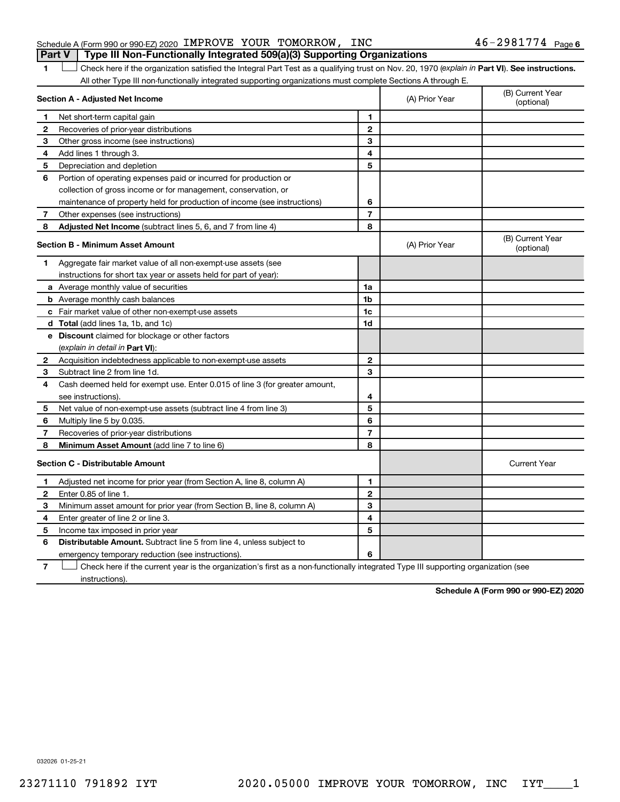#### Schedule A (Form 990 or 990-EZ) 2020 IMPROVE YOUR TOMORROW, INC  $46$  –  $2981774$  Page **Part V Type III Non-Functionally Integrated 509(a)(3) Supporting Organizations**

1 **Letter See instructions.** Check here if the organization satisfied the Integral Part Test as a qualifying trust on Nov. 20, 1970 (*explain in* Part **VI**). See instructions. All other Type III non-functionally integrated supporting organizations must complete Sections A through E.

| Section A - Adjusted Net Income |                                                                                                                                   | (A) Prior Year | (B) Current Year<br>(optional) |                                |
|---------------------------------|-----------------------------------------------------------------------------------------------------------------------------------|----------------|--------------------------------|--------------------------------|
| 1                               | Net short-term capital gain                                                                                                       | 1              |                                |                                |
| 2                               | Recoveries of prior-year distributions                                                                                            | $\mathbf{2}$   |                                |                                |
| З                               | Other gross income (see instructions)                                                                                             | 3              |                                |                                |
| 4                               | Add lines 1 through 3.                                                                                                            | 4              |                                |                                |
| 5                               | Depreciation and depletion                                                                                                        | 5              |                                |                                |
| 6                               | Portion of operating expenses paid or incurred for production or                                                                  |                |                                |                                |
|                                 | collection of gross income or for management, conservation, or                                                                    |                |                                |                                |
|                                 | maintenance of property held for production of income (see instructions)                                                          | 6              |                                |                                |
| 7                               | Other expenses (see instructions)                                                                                                 | $\overline{7}$ |                                |                                |
| 8                               | Adjusted Net Income (subtract lines 5, 6, and 7 from line 4)                                                                      | 8              |                                |                                |
|                                 | <b>Section B - Minimum Asset Amount</b>                                                                                           |                | (A) Prior Year                 | (B) Current Year<br>(optional) |
| 1.                              | Aggregate fair market value of all non-exempt-use assets (see                                                                     |                |                                |                                |
|                                 | instructions for short tax year or assets held for part of year):                                                                 |                |                                |                                |
|                                 | a Average monthly value of securities                                                                                             | 1a             |                                |                                |
|                                 | <b>b</b> Average monthly cash balances                                                                                            | 1 <sub>b</sub> |                                |                                |
|                                 | c Fair market value of other non-exempt-use assets                                                                                | 1c             |                                |                                |
|                                 | d Total (add lines 1a, 1b, and 1c)                                                                                                | 1 <sub>d</sub> |                                |                                |
|                                 | e Discount claimed for blockage or other factors                                                                                  |                |                                |                                |
|                                 | (explain in detail in Part VI):                                                                                                   |                |                                |                                |
| 2                               | Acquisition indebtedness applicable to non-exempt-use assets                                                                      | $\mathbf{2}$   |                                |                                |
| 3                               | Subtract line 2 from line 1d.                                                                                                     | 3              |                                |                                |
| 4                               | Cash deemed held for exempt use. Enter 0.015 of line 3 (for greater amount,                                                       |                |                                |                                |
|                                 | see instructions).                                                                                                                | 4              |                                |                                |
| 5                               | Net value of non-exempt-use assets (subtract line 4 from line 3)                                                                  | 5              |                                |                                |
| 6                               | Multiply line 5 by 0.035.                                                                                                         | 6              |                                |                                |
| 7                               | Recoveries of prior-year distributions                                                                                            | $\overline{7}$ |                                |                                |
| 8                               | Minimum Asset Amount (add line 7 to line 6)                                                                                       | 8              |                                |                                |
|                                 | <b>Section C - Distributable Amount</b>                                                                                           |                |                                | <b>Current Year</b>            |
| 1                               | Adjusted net income for prior year (from Section A, line 8, column A)                                                             | 1              |                                |                                |
| 2                               | Enter 0.85 of line 1.                                                                                                             | $\overline{2}$ |                                |                                |
| 3                               | Minimum asset amount for prior year (from Section B, line 8, column A)                                                            | 3              |                                |                                |
| 4                               | Enter greater of line 2 or line 3.                                                                                                | 4              |                                |                                |
| 5                               | Income tax imposed in prior year                                                                                                  | 5              |                                |                                |
| 6                               | <b>Distributable Amount.</b> Subtract line 5 from line 4, unless subject to                                                       |                |                                |                                |
|                                 | emergency temporary reduction (see instructions).                                                                                 | 6              |                                |                                |
| 7                               | Check here if the current year is the organization's first as a non-functionally integrated Type III supporting organization (see |                |                                |                                |

instructions).

**Schedule A (Form 990 or 990-EZ) 2020**

032026 01-25-21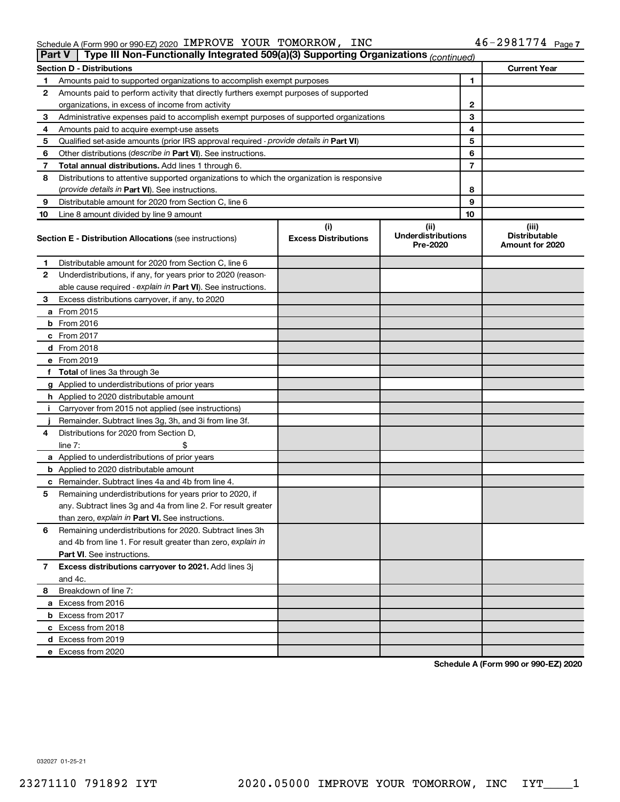| Schedule A (Form 990 or 990-EZ) 2020 IMPROVE YOUR TOMORROW, INC                                           |  | $46 - 2981774$ Page 7 |
|-----------------------------------------------------------------------------------------------------------|--|-----------------------|
| <b>Part V</b> Type III Non-Functionally Integrated 509(a)(3) Supporting Organizations <i>(continued</i> ) |  |                       |

|    | $\cdot$ , po $\cdot$ . and accurate the graduate over $\left(\frac{1}{2}\right)$           |                                    | $\epsilon$ (continued)                        |    |                                                  |
|----|--------------------------------------------------------------------------------------------|------------------------------------|-----------------------------------------------|----|--------------------------------------------------|
|    | Section D - Distributions                                                                  |                                    |                                               |    | <b>Current Year</b>                              |
| 1  | Amounts paid to supported organizations to accomplish exempt purposes                      |                                    |                                               | 1  |                                                  |
| 2  | Amounts paid to perform activity that directly furthers exempt purposes of supported       |                                    |                                               |    |                                                  |
|    | organizations, in excess of income from activity                                           |                                    |                                               | 2  |                                                  |
| 3  | Administrative expenses paid to accomplish exempt purposes of supported organizations      |                                    |                                               | 3  |                                                  |
| 4  | Amounts paid to acquire exempt-use assets                                                  |                                    |                                               | 4  |                                                  |
| 5  | Qualified set-aside amounts (prior IRS approval required - provide details in Part VI)     |                                    |                                               | 5  |                                                  |
| 6  | Other distributions (describe in Part VI). See instructions.                               |                                    |                                               | 6  |                                                  |
| 7  | <b>Total annual distributions.</b> Add lines 1 through 6.                                  |                                    |                                               | 7  |                                                  |
| 8  | Distributions to attentive supported organizations to which the organization is responsive |                                    |                                               |    |                                                  |
|    | (provide details in Part VI). See instructions.                                            |                                    |                                               | 8  |                                                  |
| 9  | Distributable amount for 2020 from Section C, line 6                                       |                                    |                                               | 9  |                                                  |
| 10 | Line 8 amount divided by line 9 amount                                                     |                                    |                                               | 10 |                                                  |
|    | <b>Section E - Distribution Allocations (see instructions)</b>                             | (i)<br><b>Excess Distributions</b> | (ii)<br><b>Underdistributions</b><br>Pre-2020 |    | (iii)<br><b>Distributable</b><br>Amount for 2020 |
| 1  | Distributable amount for 2020 from Section C, line 6                                       |                                    |                                               |    |                                                  |
| 2  | Underdistributions, if any, for years prior to 2020 (reason-                               |                                    |                                               |    |                                                  |
|    | able cause required - explain in Part VI). See instructions.                               |                                    |                                               |    |                                                  |
| 3  | Excess distributions carryover, if any, to 2020                                            |                                    |                                               |    |                                                  |
|    | <b>a</b> From 2015                                                                         |                                    |                                               |    |                                                  |
|    | <b>b</b> From 2016                                                                         |                                    |                                               |    |                                                  |
|    | c From 2017                                                                                |                                    |                                               |    |                                                  |
|    | <b>d</b> From 2018                                                                         |                                    |                                               |    |                                                  |
|    | e From 2019                                                                                |                                    |                                               |    |                                                  |
|    | f Total of lines 3a through 3e                                                             |                                    |                                               |    |                                                  |
|    | g Applied to underdistributions of prior years                                             |                                    |                                               |    |                                                  |
|    | <b>h</b> Applied to 2020 distributable amount                                              |                                    |                                               |    |                                                  |
| i. | Carryover from 2015 not applied (see instructions)                                         |                                    |                                               |    |                                                  |
|    | Remainder. Subtract lines 3g, 3h, and 3i from line 3f.                                     |                                    |                                               |    |                                                  |
| 4  | Distributions for 2020 from Section D.                                                     |                                    |                                               |    |                                                  |
|    | \$<br>line $7:$                                                                            |                                    |                                               |    |                                                  |
|    | a Applied to underdistributions of prior years                                             |                                    |                                               |    |                                                  |
|    | <b>b</b> Applied to 2020 distributable amount                                              |                                    |                                               |    |                                                  |
|    | <b>c</b> Remainder. Subtract lines 4a and 4b from line 4.                                  |                                    |                                               |    |                                                  |
| 5  | Remaining underdistributions for years prior to 2020, if                                   |                                    |                                               |    |                                                  |
|    | any. Subtract lines 3g and 4a from line 2. For result greater                              |                                    |                                               |    |                                                  |
|    | than zero, explain in Part VI. See instructions.                                           |                                    |                                               |    |                                                  |
| 6  | Remaining underdistributions for 2020. Subtract lines 3h                                   |                                    |                                               |    |                                                  |
|    | and 4b from line 1. For result greater than zero, explain in                               |                                    |                                               |    |                                                  |
|    | <b>Part VI.</b> See instructions.                                                          |                                    |                                               |    |                                                  |
|    | 7 Excess distributions carryover to 2021. Add lines 3j                                     |                                    |                                               |    |                                                  |
|    | and 4c.                                                                                    |                                    |                                               |    |                                                  |
| 8  | Breakdown of line 7:                                                                       |                                    |                                               |    |                                                  |
|    | a Excess from 2016                                                                         |                                    |                                               |    |                                                  |
|    | <b>b</b> Excess from 2017                                                                  |                                    |                                               |    |                                                  |
|    | c Excess from 2018                                                                         |                                    |                                               |    |                                                  |
|    | d Excess from 2019                                                                         |                                    |                                               |    |                                                  |
|    | e Excess from 2020                                                                         |                                    |                                               |    |                                                  |

**Schedule A (Form 990 or 990-EZ) 2020**

032027 01-25-21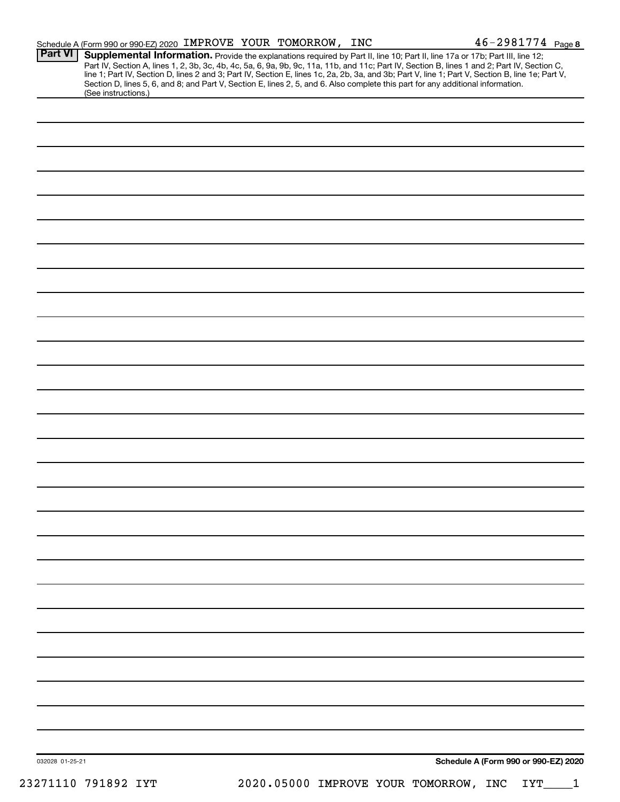|                 | Schedule A (Form 990 or 990-EZ) 2020 IMPROVE YOUR TOMORROW, INC |  |                                                                                                                                                                                                                                                                  | 46-2981774 Page 8                                                                                                                                                                                                                                                                                |
|-----------------|-----------------------------------------------------------------|--|------------------------------------------------------------------------------------------------------------------------------------------------------------------------------------------------------------------------------------------------------------------|--------------------------------------------------------------------------------------------------------------------------------------------------------------------------------------------------------------------------------------------------------------------------------------------------|
| <b>Part VI</b>  |                                                                 |  | Supplemental Information. Provide the explanations required by Part II, line 10; Part II, line 17a or 17b; Part III, line 12;<br>Section D, lines 5, 6, and 8; and Part V, Section E, lines 2, 5, and 6. Also complete this part for any additional information. | Part IV, Section A, lines 1, 2, 3b, 3c, 4b, 4c, 5a, 6, 9a, 9b, 9c, 11a, 11b, and 11c; Part IV, Section B, lines 1 and 2; Part IV, Section C,<br>line 1; Part IV, Section D, lines 2 and 3; Part IV, Section E, lines 1c, 2a, 2b, 3a, and 3b; Part V, line 1; Part V, Section B, line 1e; Part V, |
|                 | (See instructions.)                                             |  |                                                                                                                                                                                                                                                                  |                                                                                                                                                                                                                                                                                                  |
|                 |                                                                 |  |                                                                                                                                                                                                                                                                  |                                                                                                                                                                                                                                                                                                  |
|                 |                                                                 |  |                                                                                                                                                                                                                                                                  |                                                                                                                                                                                                                                                                                                  |
|                 |                                                                 |  |                                                                                                                                                                                                                                                                  |                                                                                                                                                                                                                                                                                                  |
|                 |                                                                 |  |                                                                                                                                                                                                                                                                  |                                                                                                                                                                                                                                                                                                  |
|                 |                                                                 |  |                                                                                                                                                                                                                                                                  |                                                                                                                                                                                                                                                                                                  |
|                 |                                                                 |  |                                                                                                                                                                                                                                                                  |                                                                                                                                                                                                                                                                                                  |
|                 |                                                                 |  |                                                                                                                                                                                                                                                                  |                                                                                                                                                                                                                                                                                                  |
|                 |                                                                 |  |                                                                                                                                                                                                                                                                  |                                                                                                                                                                                                                                                                                                  |
|                 |                                                                 |  |                                                                                                                                                                                                                                                                  |                                                                                                                                                                                                                                                                                                  |
|                 |                                                                 |  |                                                                                                                                                                                                                                                                  |                                                                                                                                                                                                                                                                                                  |
|                 |                                                                 |  |                                                                                                                                                                                                                                                                  |                                                                                                                                                                                                                                                                                                  |
|                 |                                                                 |  |                                                                                                                                                                                                                                                                  |                                                                                                                                                                                                                                                                                                  |
|                 |                                                                 |  |                                                                                                                                                                                                                                                                  |                                                                                                                                                                                                                                                                                                  |
|                 |                                                                 |  |                                                                                                                                                                                                                                                                  |                                                                                                                                                                                                                                                                                                  |
|                 |                                                                 |  |                                                                                                                                                                                                                                                                  |                                                                                                                                                                                                                                                                                                  |
|                 |                                                                 |  |                                                                                                                                                                                                                                                                  |                                                                                                                                                                                                                                                                                                  |
|                 |                                                                 |  |                                                                                                                                                                                                                                                                  |                                                                                                                                                                                                                                                                                                  |
|                 |                                                                 |  |                                                                                                                                                                                                                                                                  |                                                                                                                                                                                                                                                                                                  |
|                 |                                                                 |  |                                                                                                                                                                                                                                                                  |                                                                                                                                                                                                                                                                                                  |
|                 |                                                                 |  |                                                                                                                                                                                                                                                                  |                                                                                                                                                                                                                                                                                                  |
|                 |                                                                 |  |                                                                                                                                                                                                                                                                  |                                                                                                                                                                                                                                                                                                  |
|                 |                                                                 |  |                                                                                                                                                                                                                                                                  |                                                                                                                                                                                                                                                                                                  |
|                 |                                                                 |  |                                                                                                                                                                                                                                                                  |                                                                                                                                                                                                                                                                                                  |
|                 |                                                                 |  |                                                                                                                                                                                                                                                                  |                                                                                                                                                                                                                                                                                                  |
|                 |                                                                 |  |                                                                                                                                                                                                                                                                  |                                                                                                                                                                                                                                                                                                  |
|                 |                                                                 |  |                                                                                                                                                                                                                                                                  |                                                                                                                                                                                                                                                                                                  |
|                 |                                                                 |  |                                                                                                                                                                                                                                                                  |                                                                                                                                                                                                                                                                                                  |
|                 |                                                                 |  |                                                                                                                                                                                                                                                                  |                                                                                                                                                                                                                                                                                                  |
|                 |                                                                 |  |                                                                                                                                                                                                                                                                  |                                                                                                                                                                                                                                                                                                  |
|                 |                                                                 |  |                                                                                                                                                                                                                                                                  |                                                                                                                                                                                                                                                                                                  |
|                 |                                                                 |  |                                                                                                                                                                                                                                                                  |                                                                                                                                                                                                                                                                                                  |
| 032028 01-25-21 |                                                                 |  |                                                                                                                                                                                                                                                                  | Schedule A (Form 990 or 990-EZ) 2020                                                                                                                                                                                                                                                             |

23271110 791892 IYT 2020.05000 IMPROVE YOUR TOMORROW, INC IYT\_\_\_\_1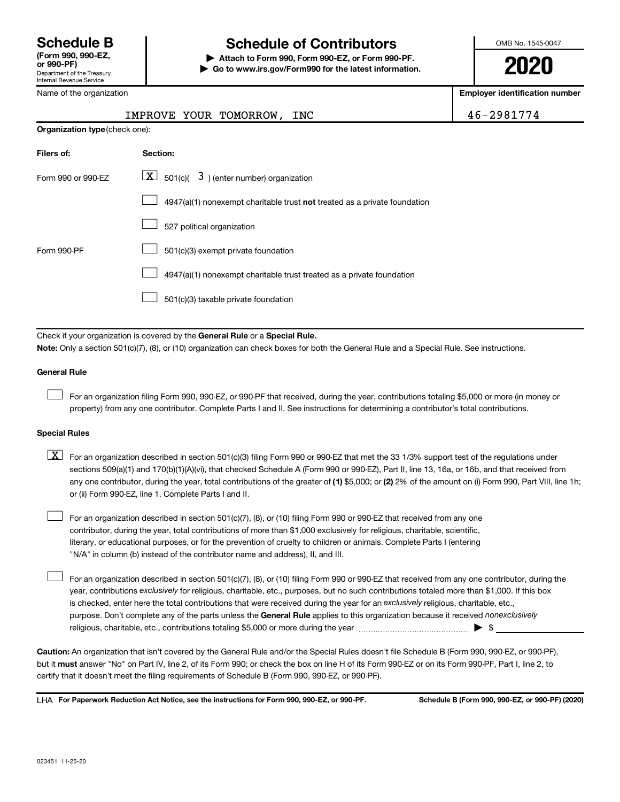Name of the organization

## **Schedule B Schedule of Contributors**

**or 990-PF) | Attach to Form 990, Form 990-EZ, or Form 990-PF. | Go to www.irs.gov/Form990 for the latest information.** OMB No. 1545-0047

**2020**

**Employer identification number**

|                                | IMPROVE YOUR TOMORROW, INC                                                                                                                | 46-2981774 |  |  |  |
|--------------------------------|-------------------------------------------------------------------------------------------------------------------------------------------|------------|--|--|--|
| Organization type (check one): |                                                                                                                                           |            |  |  |  |
| Filers of:                     | Section:                                                                                                                                  |            |  |  |  |
| Form 990 or 990-EZ             | $\lfloor \underline{X} \rfloor$ 501(c)( 3) (enter number) organization                                                                    |            |  |  |  |
|                                | $4947(a)(1)$ nonexempt charitable trust not treated as a private foundation                                                               |            |  |  |  |
|                                | 527 political organization                                                                                                                |            |  |  |  |
| Form 990-PF                    | 501(c)(3) exempt private foundation                                                                                                       |            |  |  |  |
|                                | 4947(a)(1) nonexempt charitable trust treated as a private foundation                                                                     |            |  |  |  |
|                                | 501(c)(3) taxable private foundation                                                                                                      |            |  |  |  |
|                                |                                                                                                                                           |            |  |  |  |
|                                | Check if your organization is covered by the General Rule or a Special Rule.                                                              |            |  |  |  |
|                                | Note: Only a section 501(c)(7), (8), or (10) organization can check boxes for both the General Rule and a Special Rule. See instructions. |            |  |  |  |
| <b>General Rule</b>            |                                                                                                                                           |            |  |  |  |

For an organization filing Form 990, 990-EZ, or 990-PF that received, during the year, contributions totaling \$5,000 or more (in money or property) from any one contributor. Complete Parts I and II. See instructions for determining a contributor's total contributions.

#### **Special Rules**

 $\Box$ 

 $\Box$ 

any one contributor, during the year, total contributions of the greater of (1) \$5,000; or (2) 2% of the amount on (i) Form 990, Part VIII, line 1h;  $\boxed{\text{X}}$  For an organization described in section 501(c)(3) filing Form 990 or 990-EZ that met the 33 1/3% support test of the regulations under sections 509(a)(1) and 170(b)(1)(A)(vi), that checked Schedule A (Form 990 or 990-EZ), Part II, line 13, 16a, or 16b, and that received from or (ii) Form 990-EZ, line 1. Complete Parts I and II.

For an organization described in section 501(c)(7), (8), or (10) filing Form 990 or 990-EZ that received from any one contributor, during the year, total contributions of more than \$1,000 exclusively for religious, charitable, scientific, literary, or educational purposes, or for the prevention of cruelty to children or animals. Complete Parts I (entering "N/A" in column (b) instead of the contributor name and address), II, and III.  $\Box$ 

purpose. Don't complete any of the parts unless the General Rule applies to this organization because it received nonexclusively year, contributions exclusively for religious, charitable, etc., purposes, but no such contributions totaled more than \$1,000. If this box is checked, enter here the total contributions that were received during the year for an exclusively religious, charitable, etc., For an organization described in section 501(c)(7), (8), or (10) filing Form 990 or 990-EZ that received from any one contributor, during the religious, charitable, etc., contributions totaling \$5,000 or more during the year  $~\ldots\ldots\ldots\ldots\ldots\ldots\ldots\ldots\blacktriangleright~$ \$

**Caution:**  An organization that isn't covered by the General Rule and/or the Special Rules doesn't file Schedule B (Form 990, 990-EZ, or 990-PF),  **must** but it answer "No" on Part IV, line 2, of its Form 990; or check the box on line H of its Form 990-EZ or on its Form 990-PF, Part I, line 2, to certify that it doesn't meet the filing requirements of Schedule B (Form 990, 990-EZ, or 990-PF).

**For Paperwork Reduction Act Notice, see the instructions for Form 990, 990-EZ, or 990-PF. Schedule B (Form 990, 990-EZ, or 990-PF) (2020)** LHA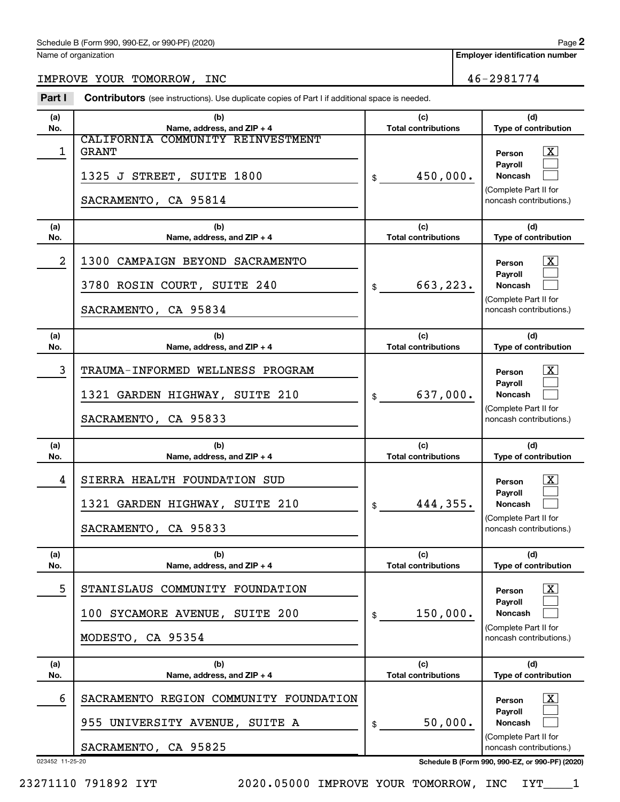Name of organization

**Employer identification number**

IMPROVE YOUR TOMORROW, INC 46-2981774

023452 11-25-20 **Schedule B (Form 990, 990-EZ, or 990-PF) (2020) (a) No. (b) Name, address, and ZIP + 4 (c) Total contributions (d) Type of contribution Person Payroll Noncash (a) No. (b) Name, address, and ZIP + 4 (c) Total contributions (d) Type of contribution Person Payroll Noncash (a) No. (b) Name, address, and ZIP + 4 (c) Total contributions (d) Type of contribution Person Payroll Noncash (a) No. (b) Name, address, and ZIP + 4 (c) Total contributions (d) Type of contribution Person Payroll Noncash (a) No. (b) Name, address, and ZIP + 4 (c) Total contributions (d) Type of contribution Person Payroll Noncash (a) No. (b) Name, address, and ZIP + 4 (c) Total contributions (d) Type of contribution Person Payroll Noncash Part I** Contributors (see instructions). Use duplicate copies of Part I if additional space is needed. \$ (Complete Part II for noncash contributions.) \$ (Complete Part II for noncash contributions.) \$ (Complete Part II for noncash contributions.) \$ (Complete Part II for noncash contributions.) \$ (Complete Part II for noncash contributions.) \$ (Complete Part II for noncash contributions.) †  $\Box$  $\Box$  $\overline{\mathbf{X}}$  $\Box$  $\Box$  $\lceil \text{X} \rceil$  $\Box$  $\Box$  $\boxed{\textbf{X}}$  $\Box$  $\Box$  $\boxed{\textbf{X}}$  $\Box$  $\Box$  $\boxed{\textbf{X}}$  $\Box$  $\Box$ 1 CALIFORNIA COMMUNITY REINVESTMENT  $\begin{array}{|c|c|c|c|c|}\hline \text{GRANT} & & \text{Person} & \text{X} \ \hline \end{array}$ 1325 J STREET, SUITE 1800  $\vert$  \$ 450,000. SACRAMENTO, CA 95814 2 | 1300 CAMPAIGN BEYOND SACRAMENTO  $3780$  ROSIN COURT, SUITE 240  $\vert$  \$ 663,223. SACRAMENTO, CA 95834 3 | TRAUMA-INFORMED WELLNESS PROGRAM 1321 GARDEN HIGHWAY, SUITE 210  $\vert$  \$ 637,000. SACRAMENTO, CA 95833 4 | SIERRA HEALTH FOUNDATION SUD 1321 GARDEN HIGHWAY, SUITE 210 444,355. SACRAMENTO, CA 95833 5 STANISLAUS COMMUNITY FOUNDATION 100 SYCAMORE AVENUE, SUITE 200 150,000. MODESTO, CA 95354 6 | SACRAMENTO REGION COMMUNITY FOUNDATION 955 UNIVERSITY AVENUE, SUITE A  $\vert \text{\tiny{\$}}\ \text{\tiny{\$}}\ \text{\tiny{\$}}\ \text{50,000}.$ SACRAMENTO, CA 95825

**2**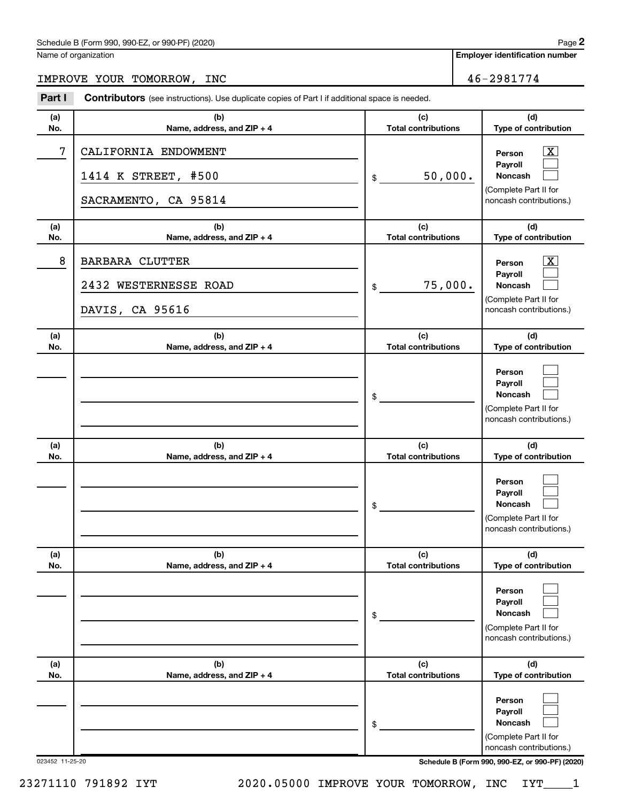#### Schedule B (Form 990, 990-EZ, or 990-PF) (2020)

Name of organization

**Employer identification number**

# IMPROVE YOUR TOMORROW, INC 46-2981774

| Part I     | <b>Contributors</b> (see instructions). Use duplicate copies of Part I if additional space is needed. |                                   |                                                                                                                 |  |  |
|------------|-------------------------------------------------------------------------------------------------------|-----------------------------------|-----------------------------------------------------------------------------------------------------------------|--|--|
| (a)<br>No. | (b)<br>Name, address, and ZIP + 4                                                                     | (c)<br><b>Total contributions</b> | (d)<br>Type of contribution                                                                                     |  |  |
| 7          | CALIFORNIA ENDOWMENT<br>1414 K STREET, #500<br>SACRAMENTO, CA 95814                                   | 50,000.<br>\$                     | $\overline{\mathbf{X}}$<br>Person<br>Payroll<br>Noncash<br>(Complete Part II for<br>noncash contributions.)     |  |  |
| (a)<br>No. | (b)<br>Name, address, and ZIP + 4                                                                     | (c)<br><b>Total contributions</b> | (d)<br>Type of contribution                                                                                     |  |  |
| 8          | <b>BARBARA CLUTTER</b><br>2432 WESTERNESSE ROAD<br>DAVIS, CA 95616                                    | 75,000.<br>\$                     | $\overline{\text{X}}$<br>Person<br>Payroll<br>Noncash<br>(Complete Part II for<br>noncash contributions.)       |  |  |
| (a)<br>No. | (b)<br>Name, address, and ZIP + 4                                                                     | (c)<br><b>Total contributions</b> | (d)<br>Type of contribution                                                                                     |  |  |
|            |                                                                                                       | \$                                | Person<br>Payroll<br><b>Noncash</b><br>(Complete Part II for<br>noncash contributions.)                         |  |  |
| (a)        | (b)                                                                                                   | (c)                               | (d)                                                                                                             |  |  |
| No.        | Name, address, and ZIP + 4                                                                            | <b>Total contributions</b><br>\$  | Type of contribution<br>Person<br>Payroll<br><b>Noncash</b><br>(Complete Part II for<br>noncash contributions.) |  |  |
| (a)<br>No. | (b)<br>Name, address, and ZIP + 4                                                                     | (c)<br><b>Total contributions</b> | (d)<br>Type of contribution                                                                                     |  |  |
|            |                                                                                                       | \$                                | Person<br>Payroll<br><b>Noncash</b><br>(Complete Part II for<br>noncash contributions.)                         |  |  |
| (a)<br>No. | (b)<br>Name, address, and ZIP + 4                                                                     | (c)<br><b>Total contributions</b> | (d)<br>Type of contribution                                                                                     |  |  |
|            |                                                                                                       | \$                                | Person<br>Payroll<br><b>Noncash</b><br>(Complete Part II for<br>noncash contributions.)                         |  |  |

023452 11-25-20 **Schedule B (Form 990, 990-EZ, or 990-PF) (2020)**

23271110 791892 IYT 2020.05000 IMPROVE YOUR TOMORROW, INC IYT\_\_\_\_1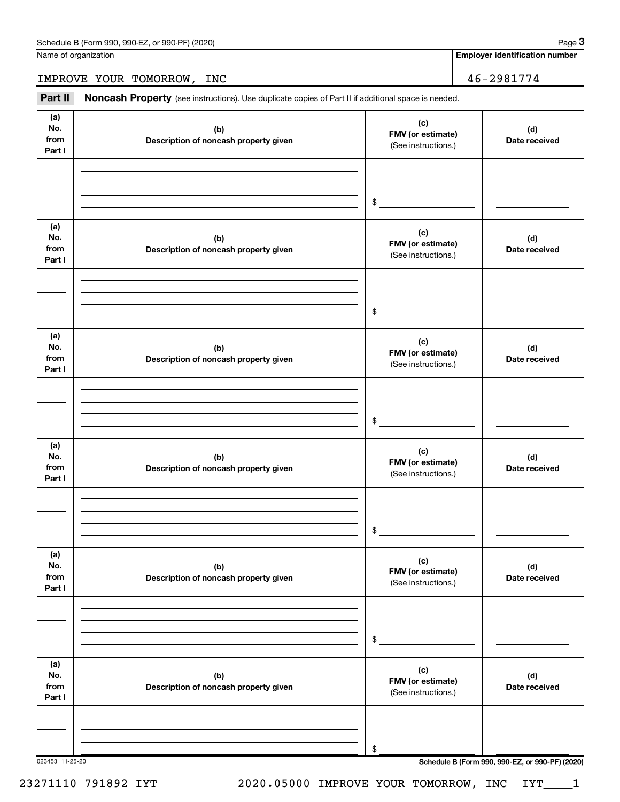Name of organization

**Employer identification number**

IMPROVE YOUR TOMORROW, INC 46-2981774

Part II Noncash Property (see instructions). Use duplicate copies of Part II if additional space is needed.

| (a)<br>No.<br>from<br>Part I | (b)<br>Description of noncash property given | (c)<br>FMV (or estimate)<br>(See instructions.) | (d)<br>Date received                            |
|------------------------------|----------------------------------------------|-------------------------------------------------|-------------------------------------------------|
|                              |                                              | \$                                              |                                                 |
| (a)<br>No.<br>from<br>Part I | (b)<br>Description of noncash property given | (c)<br>FMV (or estimate)<br>(See instructions.) | (d)<br>Date received                            |
|                              |                                              | \$                                              |                                                 |
| (a)<br>No.<br>from<br>Part I | (b)<br>Description of noncash property given | (c)<br>FMV (or estimate)<br>(See instructions.) | (d)<br>Date received                            |
|                              |                                              | \$                                              |                                                 |
| (a)<br>No.<br>from<br>Part I | (b)<br>Description of noncash property given | (c)<br>FMV (or estimate)<br>(See instructions.) | (d)<br>Date received                            |
|                              |                                              | \$                                              |                                                 |
| (a)<br>No.<br>from<br>Part I | (b)<br>Description of noncash property given | (c)<br>FMV (or estimate)<br>(See instructions.) | (d)<br>Date received                            |
|                              |                                              | \$                                              |                                                 |
| (a)<br>No.<br>from<br>Part I | (b)<br>Description of noncash property given | (c)<br>FMV (or estimate)<br>(See instructions.) | (d)<br>Date received                            |
|                              |                                              | \$                                              |                                                 |
| 023453 11-25-20              |                                              |                                                 | Schedule B (Form 990, 990-EZ, or 990-PF) (2020) |

23271110 791892 IYT 2020.05000 IMPROVE YOUR TOMORROW, INC IYT\_\_\_\_1

**3**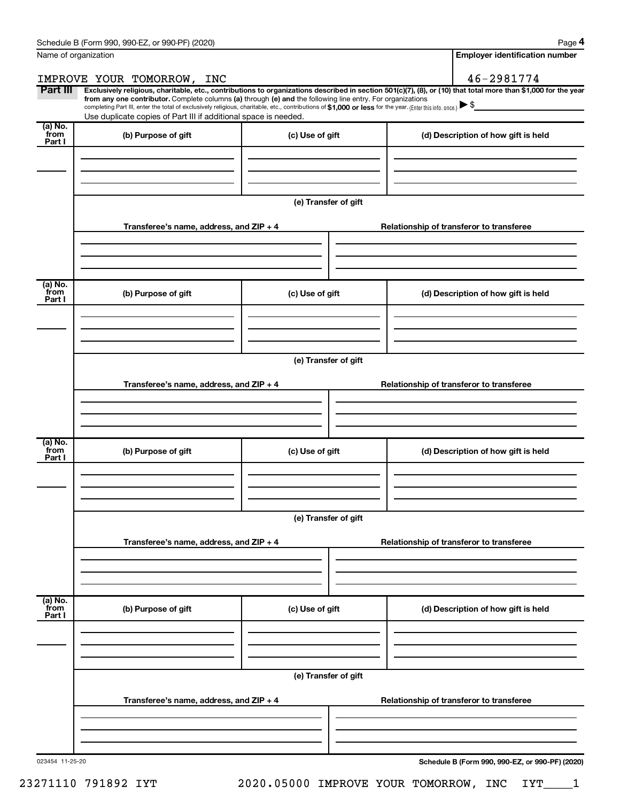|                           | Name of organization                                                                                                                                                                                                                                                                                                                                                                                                                                                                                            |                      |                                          | <b>Employer identification number</b> |
|---------------------------|-----------------------------------------------------------------------------------------------------------------------------------------------------------------------------------------------------------------------------------------------------------------------------------------------------------------------------------------------------------------------------------------------------------------------------------------------------------------------------------------------------------------|----------------------|------------------------------------------|---------------------------------------|
|                           | IMPROVE YOUR TOMORROW, INC                                                                                                                                                                                                                                                                                                                                                                                                                                                                                      |                      |                                          | 46-2981774                            |
| Part III                  | Exclusively religious, charitable, etc., contributions to organizations described in section 501(c)(7), (8), or (10) that total more than \$1,000 for the year<br>from any one contributor. Complete columns (a) through (e) and the following line entry. For organizations<br>completing Part III, enter the total of exclusively religious, charitable, etc., contributions of \$1,000 or less for the year. (Enter this info. once.) \\$<br>Use duplicate copies of Part III if additional space is needed. |                      |                                          |                                       |
| (a) No.<br>from<br>Part I | (b) Purpose of gift                                                                                                                                                                                                                                                                                                                                                                                                                                                                                             | (c) Use of gift      |                                          | (d) Description of how gift is held   |
|                           |                                                                                                                                                                                                                                                                                                                                                                                                                                                                                                                 |                      |                                          |                                       |
|                           |                                                                                                                                                                                                                                                                                                                                                                                                                                                                                                                 | (e) Transfer of gift |                                          |                                       |
|                           | Transferee's name, address, and $ZIP + 4$                                                                                                                                                                                                                                                                                                                                                                                                                                                                       |                      | Relationship of transferor to transferee |                                       |
| (a) No.                   |                                                                                                                                                                                                                                                                                                                                                                                                                                                                                                                 |                      |                                          |                                       |
| from<br>Part I            | (b) Purpose of gift                                                                                                                                                                                                                                                                                                                                                                                                                                                                                             | (c) Use of gift      |                                          | (d) Description of how gift is held   |
|                           |                                                                                                                                                                                                                                                                                                                                                                                                                                                                                                                 |                      |                                          |                                       |
|                           | Transferee's name, address, and ZIP + 4                                                                                                                                                                                                                                                                                                                                                                                                                                                                         | (e) Transfer of gift | Relationship of transferor to transferee |                                       |
|                           |                                                                                                                                                                                                                                                                                                                                                                                                                                                                                                                 |                      |                                          |                                       |
|                           |                                                                                                                                                                                                                                                                                                                                                                                                                                                                                                                 |                      |                                          |                                       |
| (a) No.<br>from<br>Part I | (b) Purpose of gift                                                                                                                                                                                                                                                                                                                                                                                                                                                                                             | (c) Use of gift      |                                          | (d) Description of how gift is held   |
|                           |                                                                                                                                                                                                                                                                                                                                                                                                                                                                                                                 |                      |                                          |                                       |
|                           |                                                                                                                                                                                                                                                                                                                                                                                                                                                                                                                 | (e) Transfer of gift |                                          |                                       |
|                           | Transferee's name, address, and ZIP + 4                                                                                                                                                                                                                                                                                                                                                                                                                                                                         |                      | Relationship of transferor to transferee |                                       |
|                           |                                                                                                                                                                                                                                                                                                                                                                                                                                                                                                                 |                      |                                          |                                       |
| (a) No.<br>from<br>Part I | (b) Purpose of gift                                                                                                                                                                                                                                                                                                                                                                                                                                                                                             | (c) Use of gift      |                                          | (d) Description of how gift is held   |
|                           |                                                                                                                                                                                                                                                                                                                                                                                                                                                                                                                 |                      |                                          |                                       |
|                           |                                                                                                                                                                                                                                                                                                                                                                                                                                                                                                                 | (e) Transfer of gift |                                          |                                       |
|                           | Transferee's name, address, and ZIP + 4                                                                                                                                                                                                                                                                                                                                                                                                                                                                         |                      | Relationship of transferor to transferee |                                       |
|                           |                                                                                                                                                                                                                                                                                                                                                                                                                                                                                                                 |                      |                                          |                                       |
|                           |                                                                                                                                                                                                                                                                                                                                                                                                                                                                                                                 |                      |                                          |                                       |

023454 11-25-20

23271110 791892 IYT 2020.05000 IMPROVE YOUR TOMORROW, INC IYT\_\_\_\_1

**Schedule B (Form 990, 990-EZ, or 990-PF) (2020)**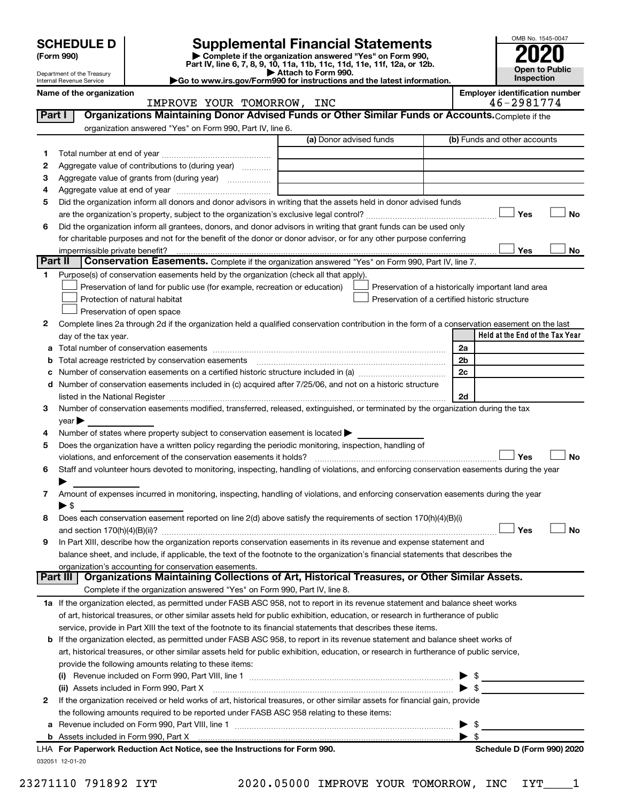| <b>SCHEDULE D</b> |  |
|-------------------|--|
|-------------------|--|

SCHEDULE D<br>
Form 990)<br>
Part IV, line 6, 7, 8, 9, 10, 11a, 11b, 11c, 11d, 11e, 11f, 12a, or 12b.<br>
Part IV, line 6, 7, 8, 9, 10, 11a, 11b, 11c, 11d, 11e, 11f, 12a, or 12b.



| $\blacktriangleright$ Attach to Form 990.<br>Department of the Treasury<br>Go to www.irs.gov/Form990 for instructions and the latest information.<br>Internal Revenue Service |                               | <b>Open to Public</b><br><b>Inspection</b>          |
|-------------------------------------------------------------------------------------------------------------------------------------------------------------------------------|-------------------------------|-----------------------------------------------------|
| Name of the organization                                                                                                                                                      | INC<br>IMPROVE YOUR TOMORROW, | <b>Emplover identification number</b><br>46-2981774 |

|         | IMPROVE YOUR TOMORROW, INC                                                                                                                                                                                                    | 46-2981774                                         |
|---------|-------------------------------------------------------------------------------------------------------------------------------------------------------------------------------------------------------------------------------|----------------------------------------------------|
| Part I  | Organizations Maintaining Donor Advised Funds or Other Similar Funds or Accounts. Complete if the                                                                                                                             |                                                    |
|         | organization answered "Yes" on Form 990, Part IV, line 6.                                                                                                                                                                     |                                                    |
|         | (a) Donor advised funds                                                                                                                                                                                                       | (b) Funds and other accounts                       |
| 1       |                                                                                                                                                                                                                               |                                                    |
| 2       | Aggregate value of contributions to (during year)                                                                                                                                                                             |                                                    |
| з       | Aggregate value of grants from (during year)                                                                                                                                                                                  |                                                    |
| 4       |                                                                                                                                                                                                                               |                                                    |
| 5       | Did the organization inform all donors and donor advisors in writing that the assets held in donor advised funds                                                                                                              |                                                    |
|         |                                                                                                                                                                                                                               | Yes<br>No                                          |
| 6       | Did the organization inform all grantees, donors, and donor advisors in writing that grant funds can be used only                                                                                                             |                                                    |
|         | for charitable purposes and not for the benefit of the donor or donor advisor, or for any other purpose conferring                                                                                                            |                                                    |
|         | impermissible private benefit?                                                                                                                                                                                                | Yes<br>No                                          |
| Part II | Conservation Easements. Complete if the organization answered "Yes" on Form 990, Part IV, line 7.                                                                                                                             |                                                    |
| 1       | Purpose(s) of conservation easements held by the organization (check all that apply).                                                                                                                                         |                                                    |
|         | Preservation of land for public use (for example, recreation or education)                                                                                                                                                    | Preservation of a historically important land area |
|         | Protection of natural habitat                                                                                                                                                                                                 | Preservation of a certified historic structure     |
|         | Preservation of open space                                                                                                                                                                                                    |                                                    |
| 2       | Complete lines 2a through 2d if the organization held a qualified conservation contribution in the form of a conservation easement on the last                                                                                |                                                    |
|         | day of the tax year.                                                                                                                                                                                                          | Held at the End of the Tax Year                    |
|         |                                                                                                                                                                                                                               | 2a                                                 |
|         | Total acreage restricted by conservation easements                                                                                                                                                                            | 2 <sub>b</sub>                                     |
|         |                                                                                                                                                                                                                               | 2c                                                 |
| d       | Number of conservation easements included in (c) acquired after 7/25/06, and not on a historic structure                                                                                                                      |                                                    |
|         | listed in the National Register [11, 1200] and the National Register [11, 1200] and the National Register [11, 1200] and the National Register [11, 1200] and the National Register [11, 1200] and the National Register [11, | 2d                                                 |
| 3       | Number of conservation easements modified, transferred, released, extinguished, or terminated by the organization during the tax                                                                                              |                                                    |
|         | $\vee$ ear $\blacktriangleright$                                                                                                                                                                                              |                                                    |
| 4       | Number of states where property subject to conservation easement is located >                                                                                                                                                 |                                                    |
| 5       | Does the organization have a written policy regarding the periodic monitoring, inspection, handling of                                                                                                                        |                                                    |
|         | violations, and enforcement of the conservation easements it holds?                                                                                                                                                           | Yes<br>No                                          |
| 6       | Staff and volunteer hours devoted to monitoring, inspecting, handling of violations, and enforcing conservation easements during the year                                                                                     |                                                    |
|         |                                                                                                                                                                                                                               |                                                    |
| 7       | Amount of expenses incurred in monitoring, inspecting, handling of violations, and enforcing conservation easements during the year                                                                                           |                                                    |
|         | ► \$                                                                                                                                                                                                                          |                                                    |
| 8       | Does each conservation easement reported on line 2(d) above satisfy the requirements of section 170(h)(4)(B)(i)                                                                                                               |                                                    |
|         |                                                                                                                                                                                                                               | Yes<br>No                                          |
| 9       | In Part XIII, describe how the organization reports conservation easements in its revenue and expense statement and                                                                                                           |                                                    |
|         | balance sheet, and include, if applicable, the text of the footnote to the organization's financial statements that describes the                                                                                             |                                                    |
|         | organization's accounting for conservation easements.                                                                                                                                                                         |                                                    |
|         | Organizations Maintaining Collections of Art, Historical Treasures, or Other Similar Assets.<br>Part III                                                                                                                      |                                                    |
|         | Complete if the organization answered "Yes" on Form 990, Part IV, line 8.                                                                                                                                                     |                                                    |
|         | 1a If the organization elected, as permitted under FASB ASC 958, not to report in its revenue statement and balance sheet works                                                                                               |                                                    |
|         | of art, historical treasures, or other similar assets held for public exhibition, education, or research in furtherance of public                                                                                             |                                                    |
|         | service, provide in Part XIII the text of the footnote to its financial statements that describes these items.                                                                                                                |                                                    |
|         | <b>b</b> If the organization elected, as permitted under FASB ASC 958, to report in its revenue statement and balance sheet works of                                                                                          |                                                    |
|         | art, historical treasures, or other similar assets held for public exhibition, education, or research in furtherance of public service,                                                                                       |                                                    |
|         | provide the following amounts relating to these items:                                                                                                                                                                        |                                                    |
|         |                                                                                                                                                                                                                               | \$<br>▸                                            |
|         | (ii) Assets included in Form 990, Part X                                                                                                                                                                                      | $\blacktriangleright$ \$                           |
| 2       | If the organization received or held works of art, historical treasures, or other similar assets for financial gain, provide                                                                                                  |                                                    |
|         | the following amounts required to be reported under FASB ASC 958 relating to these items:                                                                                                                                     |                                                    |
| а       |                                                                                                                                                                                                                               | \$                                                 |
|         | b Assets included in Form 990, Part X [[CONDITED INTERNATION IN ASSETS INCLUDED IN A SSET STATE IN A SET STATES                                                                                                               | $\blacktriangleright$ s                            |
|         | LHA For Paperwork Reduction Act Notice, see the Instructions for Form 990.                                                                                                                                                    | Schedule D (Form 990) 2020                         |
|         | 032051 12-01-20                                                                                                                                                                                                               |                                                    |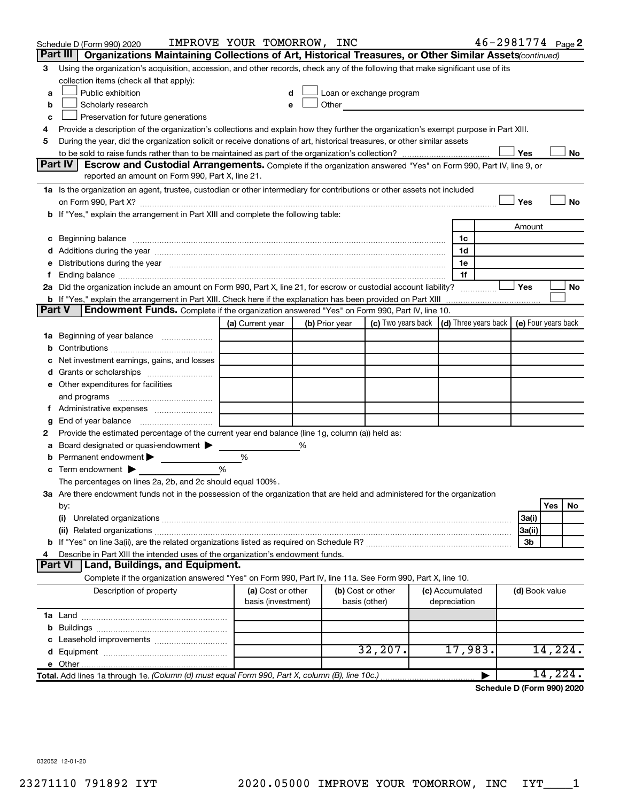| Organizations Maintaining Collections of Art, Historical Treasures, or Other Similar Assets (continued)<br>Part III I<br>Using the organization's acquisition, accession, and other records, check any of the following that make significant use of its<br>З<br>collection items (check all that apply):<br>Public exhibition<br>Loan or exchange program<br>a<br>Other and the contract of the contract of the contract of the contract of the contract of the contract of the contract of the contract of the contract of the contract of the contract of the contract of the contract of the c<br>Scholarly research<br>b<br>e<br>Preservation for future generations<br>c<br>Provide a description of the organization's collections and explain how they further the organization's exempt purpose in Part XIII.<br>4<br>During the year, did the organization solicit or receive donations of art, historical treasures, or other similar assets<br>5<br>Yes<br>No<br>Part IV<br><b>Escrow and Custodial Arrangements.</b> Complete if the organization answered "Yes" on Form 990, Part IV, line 9, or<br>reported an amount on Form 990, Part X, line 21.<br>1a Is the organization an agent, trustee, custodian or other intermediary for contributions or other assets not included<br>Yes<br>No<br><b>b</b> If "Yes," explain the arrangement in Part XIII and complete the following table:<br>Amount<br>1c<br>1d<br>Distributions during the year manufactured and an account of the year manufactured and the year manufactured and the year manufactured and the year manufactured and the year manufactured and the year manufactured and the y<br>1е<br>е<br>1f<br>f.<br>2a Did the organization include an amount on Form 990, Part X, line 21, for escrow or custodial account liability?<br>Yes<br>No<br><b>b</b> If "Yes," explain the arrangement in Part XIII. Check here if the explanation has been provided on Part XIII<br><b>Part V</b><br><b>Endowment Funds.</b> Complete if the organization answered "Yes" on Form 990, Part IV, line 10.<br>(c) Two years back<br>(d) Three years back   (e) Four years back<br>(a) Current year<br>(b) Prior year<br>1a Beginning of year balance<br>b<br>Net investment earnings, gains, and losses<br>с<br>Grants or scholarships<br>d<br>e Other expenditures for facilities<br>and programs<br>f Administrative expenses<br>g<br>Provide the estimated percentage of the current year end balance (line 1g, column (a)) held as:<br>2<br>Board designated or quasi-endowment<br>%<br>а<br>Permanent endowment<br>%<br>b<br>Term endowment $\blacktriangleright$<br>%<br>c<br>The percentages on lines 2a, 2b, and 2c should equal 100%.<br>3a Are there endowment funds not in the possession of the organization that are held and administered for the organization<br>Yes<br>No<br>by:<br>(i)<br>3a(i)<br>3a(ii)<br>3b<br>Describe in Part XIII the intended uses of the organization's endowment funds.<br>4<br>Part VI   Land, Buildings, and Equipment.<br>Complete if the organization answered "Yes" on Form 990, Part IV, line 11a. See Form 990, Part X, line 10.<br>Description of property<br>(a) Cost or other<br>(b) Cost or other<br>(c) Accumulated<br>(d) Book value<br>basis (investment)<br>depreciation<br>basis (other)<br>b<br>Leasehold improvements<br>с<br>32, 207.<br>17,983.<br>14,224.<br>d<br>14,224.<br>Total. Add lines 1a through 1e. (Column (d) must equal Form 990, Part X, column (B), line 10c.) | Schedule D (Form 990) 2020 | IMPROVE YOUR TOMORROW, INC |  |  |  |  |  |  | 46-2981774 Page 2 |
|--------------------------------------------------------------------------------------------------------------------------------------------------------------------------------------------------------------------------------------------------------------------------------------------------------------------------------------------------------------------------------------------------------------------------------------------------------------------------------------------------------------------------------------------------------------------------------------------------------------------------------------------------------------------------------------------------------------------------------------------------------------------------------------------------------------------------------------------------------------------------------------------------------------------------------------------------------------------------------------------------------------------------------------------------------------------------------------------------------------------------------------------------------------------------------------------------------------------------------------------------------------------------------------------------------------------------------------------------------------------------------------------------------------------------------------------------------------------------------------------------------------------------------------------------------------------------------------------------------------------------------------------------------------------------------------------------------------------------------------------------------------------------------------------------------------------------------------------------------------------------------------------------------------------------------------------------------------------------------------------------------------------------------------------------------------------------------------------------------------------------------------------------------------------------------------------------------------------------------------------------------------------------------------------------------------------------------------------------------------------------------------------------------------------------------------------------------------------------------------------------------------------------------------------------------------------------------------------------------------------------------------------------------------------------------------------------------------------------------------------------------------------------------------------------------------------------------------------------------------------------------------------------------------------------------------------------------------------------------------------------------------------------------------------------------------------------------------------------------------------------------------------------------------------------------------------------------------------------------------------------------------------------------------------------------------------------------------------------------------------------------------------------------------------------------------------------------------------------------------------------------------|----------------------------|----------------------------|--|--|--|--|--|--|-------------------|
|                                                                                                                                                                                                                                                                                                                                                                                                                                                                                                                                                                                                                                                                                                                                                                                                                                                                                                                                                                                                                                                                                                                                                                                                                                                                                                                                                                                                                                                                                                                                                                                                                                                                                                                                                                                                                                                                                                                                                                                                                                                                                                                                                                                                                                                                                                                                                                                                                                                                                                                                                                                                                                                                                                                                                                                                                                                                                                                                                                                                                                                                                                                                                                                                                                                                                                                                                                                                                                                                                                              |                            |                            |  |  |  |  |  |  |                   |
|                                                                                                                                                                                                                                                                                                                                                                                                                                                                                                                                                                                                                                                                                                                                                                                                                                                                                                                                                                                                                                                                                                                                                                                                                                                                                                                                                                                                                                                                                                                                                                                                                                                                                                                                                                                                                                                                                                                                                                                                                                                                                                                                                                                                                                                                                                                                                                                                                                                                                                                                                                                                                                                                                                                                                                                                                                                                                                                                                                                                                                                                                                                                                                                                                                                                                                                                                                                                                                                                                                              |                            |                            |  |  |  |  |  |  |                   |
|                                                                                                                                                                                                                                                                                                                                                                                                                                                                                                                                                                                                                                                                                                                                                                                                                                                                                                                                                                                                                                                                                                                                                                                                                                                                                                                                                                                                                                                                                                                                                                                                                                                                                                                                                                                                                                                                                                                                                                                                                                                                                                                                                                                                                                                                                                                                                                                                                                                                                                                                                                                                                                                                                                                                                                                                                                                                                                                                                                                                                                                                                                                                                                                                                                                                                                                                                                                                                                                                                                              |                            |                            |  |  |  |  |  |  |                   |
|                                                                                                                                                                                                                                                                                                                                                                                                                                                                                                                                                                                                                                                                                                                                                                                                                                                                                                                                                                                                                                                                                                                                                                                                                                                                                                                                                                                                                                                                                                                                                                                                                                                                                                                                                                                                                                                                                                                                                                                                                                                                                                                                                                                                                                                                                                                                                                                                                                                                                                                                                                                                                                                                                                                                                                                                                                                                                                                                                                                                                                                                                                                                                                                                                                                                                                                                                                                                                                                                                                              |                            |                            |  |  |  |  |  |  |                   |
|                                                                                                                                                                                                                                                                                                                                                                                                                                                                                                                                                                                                                                                                                                                                                                                                                                                                                                                                                                                                                                                                                                                                                                                                                                                                                                                                                                                                                                                                                                                                                                                                                                                                                                                                                                                                                                                                                                                                                                                                                                                                                                                                                                                                                                                                                                                                                                                                                                                                                                                                                                                                                                                                                                                                                                                                                                                                                                                                                                                                                                                                                                                                                                                                                                                                                                                                                                                                                                                                                                              |                            |                            |  |  |  |  |  |  |                   |
|                                                                                                                                                                                                                                                                                                                                                                                                                                                                                                                                                                                                                                                                                                                                                                                                                                                                                                                                                                                                                                                                                                                                                                                                                                                                                                                                                                                                                                                                                                                                                                                                                                                                                                                                                                                                                                                                                                                                                                                                                                                                                                                                                                                                                                                                                                                                                                                                                                                                                                                                                                                                                                                                                                                                                                                                                                                                                                                                                                                                                                                                                                                                                                                                                                                                                                                                                                                                                                                                                                              |                            |                            |  |  |  |  |  |  |                   |
|                                                                                                                                                                                                                                                                                                                                                                                                                                                                                                                                                                                                                                                                                                                                                                                                                                                                                                                                                                                                                                                                                                                                                                                                                                                                                                                                                                                                                                                                                                                                                                                                                                                                                                                                                                                                                                                                                                                                                                                                                                                                                                                                                                                                                                                                                                                                                                                                                                                                                                                                                                                                                                                                                                                                                                                                                                                                                                                                                                                                                                                                                                                                                                                                                                                                                                                                                                                                                                                                                                              |                            |                            |  |  |  |  |  |  |                   |
|                                                                                                                                                                                                                                                                                                                                                                                                                                                                                                                                                                                                                                                                                                                                                                                                                                                                                                                                                                                                                                                                                                                                                                                                                                                                                                                                                                                                                                                                                                                                                                                                                                                                                                                                                                                                                                                                                                                                                                                                                                                                                                                                                                                                                                                                                                                                                                                                                                                                                                                                                                                                                                                                                                                                                                                                                                                                                                                                                                                                                                                                                                                                                                                                                                                                                                                                                                                                                                                                                                              |                            |                            |  |  |  |  |  |  |                   |
|                                                                                                                                                                                                                                                                                                                                                                                                                                                                                                                                                                                                                                                                                                                                                                                                                                                                                                                                                                                                                                                                                                                                                                                                                                                                                                                                                                                                                                                                                                                                                                                                                                                                                                                                                                                                                                                                                                                                                                                                                                                                                                                                                                                                                                                                                                                                                                                                                                                                                                                                                                                                                                                                                                                                                                                                                                                                                                                                                                                                                                                                                                                                                                                                                                                                                                                                                                                                                                                                                                              |                            |                            |  |  |  |  |  |  |                   |
|                                                                                                                                                                                                                                                                                                                                                                                                                                                                                                                                                                                                                                                                                                                                                                                                                                                                                                                                                                                                                                                                                                                                                                                                                                                                                                                                                                                                                                                                                                                                                                                                                                                                                                                                                                                                                                                                                                                                                                                                                                                                                                                                                                                                                                                                                                                                                                                                                                                                                                                                                                                                                                                                                                                                                                                                                                                                                                                                                                                                                                                                                                                                                                                                                                                                                                                                                                                                                                                                                                              |                            |                            |  |  |  |  |  |  |                   |
|                                                                                                                                                                                                                                                                                                                                                                                                                                                                                                                                                                                                                                                                                                                                                                                                                                                                                                                                                                                                                                                                                                                                                                                                                                                                                                                                                                                                                                                                                                                                                                                                                                                                                                                                                                                                                                                                                                                                                                                                                                                                                                                                                                                                                                                                                                                                                                                                                                                                                                                                                                                                                                                                                                                                                                                                                                                                                                                                                                                                                                                                                                                                                                                                                                                                                                                                                                                                                                                                                                              |                            |                            |  |  |  |  |  |  |                   |
|                                                                                                                                                                                                                                                                                                                                                                                                                                                                                                                                                                                                                                                                                                                                                                                                                                                                                                                                                                                                                                                                                                                                                                                                                                                                                                                                                                                                                                                                                                                                                                                                                                                                                                                                                                                                                                                                                                                                                                                                                                                                                                                                                                                                                                                                                                                                                                                                                                                                                                                                                                                                                                                                                                                                                                                                                                                                                                                                                                                                                                                                                                                                                                                                                                                                                                                                                                                                                                                                                                              |                            |                            |  |  |  |  |  |  |                   |
|                                                                                                                                                                                                                                                                                                                                                                                                                                                                                                                                                                                                                                                                                                                                                                                                                                                                                                                                                                                                                                                                                                                                                                                                                                                                                                                                                                                                                                                                                                                                                                                                                                                                                                                                                                                                                                                                                                                                                                                                                                                                                                                                                                                                                                                                                                                                                                                                                                                                                                                                                                                                                                                                                                                                                                                                                                                                                                                                                                                                                                                                                                                                                                                                                                                                                                                                                                                                                                                                                                              |                            |                            |  |  |  |  |  |  |                   |
|                                                                                                                                                                                                                                                                                                                                                                                                                                                                                                                                                                                                                                                                                                                                                                                                                                                                                                                                                                                                                                                                                                                                                                                                                                                                                                                                                                                                                                                                                                                                                                                                                                                                                                                                                                                                                                                                                                                                                                                                                                                                                                                                                                                                                                                                                                                                                                                                                                                                                                                                                                                                                                                                                                                                                                                                                                                                                                                                                                                                                                                                                                                                                                                                                                                                                                                                                                                                                                                                                                              |                            |                            |  |  |  |  |  |  |                   |
|                                                                                                                                                                                                                                                                                                                                                                                                                                                                                                                                                                                                                                                                                                                                                                                                                                                                                                                                                                                                                                                                                                                                                                                                                                                                                                                                                                                                                                                                                                                                                                                                                                                                                                                                                                                                                                                                                                                                                                                                                                                                                                                                                                                                                                                                                                                                                                                                                                                                                                                                                                                                                                                                                                                                                                                                                                                                                                                                                                                                                                                                                                                                                                                                                                                                                                                                                                                                                                                                                                              |                            |                            |  |  |  |  |  |  |                   |
|                                                                                                                                                                                                                                                                                                                                                                                                                                                                                                                                                                                                                                                                                                                                                                                                                                                                                                                                                                                                                                                                                                                                                                                                                                                                                                                                                                                                                                                                                                                                                                                                                                                                                                                                                                                                                                                                                                                                                                                                                                                                                                                                                                                                                                                                                                                                                                                                                                                                                                                                                                                                                                                                                                                                                                                                                                                                                                                                                                                                                                                                                                                                                                                                                                                                                                                                                                                                                                                                                                              |                            |                            |  |  |  |  |  |  |                   |
|                                                                                                                                                                                                                                                                                                                                                                                                                                                                                                                                                                                                                                                                                                                                                                                                                                                                                                                                                                                                                                                                                                                                                                                                                                                                                                                                                                                                                                                                                                                                                                                                                                                                                                                                                                                                                                                                                                                                                                                                                                                                                                                                                                                                                                                                                                                                                                                                                                                                                                                                                                                                                                                                                                                                                                                                                                                                                                                                                                                                                                                                                                                                                                                                                                                                                                                                                                                                                                                                                                              |                            |                            |  |  |  |  |  |  |                   |
|                                                                                                                                                                                                                                                                                                                                                                                                                                                                                                                                                                                                                                                                                                                                                                                                                                                                                                                                                                                                                                                                                                                                                                                                                                                                                                                                                                                                                                                                                                                                                                                                                                                                                                                                                                                                                                                                                                                                                                                                                                                                                                                                                                                                                                                                                                                                                                                                                                                                                                                                                                                                                                                                                                                                                                                                                                                                                                                                                                                                                                                                                                                                                                                                                                                                                                                                                                                                                                                                                                              |                            |                            |  |  |  |  |  |  |                   |
|                                                                                                                                                                                                                                                                                                                                                                                                                                                                                                                                                                                                                                                                                                                                                                                                                                                                                                                                                                                                                                                                                                                                                                                                                                                                                                                                                                                                                                                                                                                                                                                                                                                                                                                                                                                                                                                                                                                                                                                                                                                                                                                                                                                                                                                                                                                                                                                                                                                                                                                                                                                                                                                                                                                                                                                                                                                                                                                                                                                                                                                                                                                                                                                                                                                                                                                                                                                                                                                                                                              |                            |                            |  |  |  |  |  |  |                   |
|                                                                                                                                                                                                                                                                                                                                                                                                                                                                                                                                                                                                                                                                                                                                                                                                                                                                                                                                                                                                                                                                                                                                                                                                                                                                                                                                                                                                                                                                                                                                                                                                                                                                                                                                                                                                                                                                                                                                                                                                                                                                                                                                                                                                                                                                                                                                                                                                                                                                                                                                                                                                                                                                                                                                                                                                                                                                                                                                                                                                                                                                                                                                                                                                                                                                                                                                                                                                                                                                                                              |                            |                            |  |  |  |  |  |  |                   |
|                                                                                                                                                                                                                                                                                                                                                                                                                                                                                                                                                                                                                                                                                                                                                                                                                                                                                                                                                                                                                                                                                                                                                                                                                                                                                                                                                                                                                                                                                                                                                                                                                                                                                                                                                                                                                                                                                                                                                                                                                                                                                                                                                                                                                                                                                                                                                                                                                                                                                                                                                                                                                                                                                                                                                                                                                                                                                                                                                                                                                                                                                                                                                                                                                                                                                                                                                                                                                                                                                                              |                            |                            |  |  |  |  |  |  |                   |
|                                                                                                                                                                                                                                                                                                                                                                                                                                                                                                                                                                                                                                                                                                                                                                                                                                                                                                                                                                                                                                                                                                                                                                                                                                                                                                                                                                                                                                                                                                                                                                                                                                                                                                                                                                                                                                                                                                                                                                                                                                                                                                                                                                                                                                                                                                                                                                                                                                                                                                                                                                                                                                                                                                                                                                                                                                                                                                                                                                                                                                                                                                                                                                                                                                                                                                                                                                                                                                                                                                              |                            |                            |  |  |  |  |  |  |                   |
|                                                                                                                                                                                                                                                                                                                                                                                                                                                                                                                                                                                                                                                                                                                                                                                                                                                                                                                                                                                                                                                                                                                                                                                                                                                                                                                                                                                                                                                                                                                                                                                                                                                                                                                                                                                                                                                                                                                                                                                                                                                                                                                                                                                                                                                                                                                                                                                                                                                                                                                                                                                                                                                                                                                                                                                                                                                                                                                                                                                                                                                                                                                                                                                                                                                                                                                                                                                                                                                                                                              |                            |                            |  |  |  |  |  |  |                   |
|                                                                                                                                                                                                                                                                                                                                                                                                                                                                                                                                                                                                                                                                                                                                                                                                                                                                                                                                                                                                                                                                                                                                                                                                                                                                                                                                                                                                                                                                                                                                                                                                                                                                                                                                                                                                                                                                                                                                                                                                                                                                                                                                                                                                                                                                                                                                                                                                                                                                                                                                                                                                                                                                                                                                                                                                                                                                                                                                                                                                                                                                                                                                                                                                                                                                                                                                                                                                                                                                                                              |                            |                            |  |  |  |  |  |  |                   |
|                                                                                                                                                                                                                                                                                                                                                                                                                                                                                                                                                                                                                                                                                                                                                                                                                                                                                                                                                                                                                                                                                                                                                                                                                                                                                                                                                                                                                                                                                                                                                                                                                                                                                                                                                                                                                                                                                                                                                                                                                                                                                                                                                                                                                                                                                                                                                                                                                                                                                                                                                                                                                                                                                                                                                                                                                                                                                                                                                                                                                                                                                                                                                                                                                                                                                                                                                                                                                                                                                                              |                            |                            |  |  |  |  |  |  |                   |
|                                                                                                                                                                                                                                                                                                                                                                                                                                                                                                                                                                                                                                                                                                                                                                                                                                                                                                                                                                                                                                                                                                                                                                                                                                                                                                                                                                                                                                                                                                                                                                                                                                                                                                                                                                                                                                                                                                                                                                                                                                                                                                                                                                                                                                                                                                                                                                                                                                                                                                                                                                                                                                                                                                                                                                                                                                                                                                                                                                                                                                                                                                                                                                                                                                                                                                                                                                                                                                                                                                              |                            |                            |  |  |  |  |  |  |                   |
|                                                                                                                                                                                                                                                                                                                                                                                                                                                                                                                                                                                                                                                                                                                                                                                                                                                                                                                                                                                                                                                                                                                                                                                                                                                                                                                                                                                                                                                                                                                                                                                                                                                                                                                                                                                                                                                                                                                                                                                                                                                                                                                                                                                                                                                                                                                                                                                                                                                                                                                                                                                                                                                                                                                                                                                                                                                                                                                                                                                                                                                                                                                                                                                                                                                                                                                                                                                                                                                                                                              |                            |                            |  |  |  |  |  |  |                   |
|                                                                                                                                                                                                                                                                                                                                                                                                                                                                                                                                                                                                                                                                                                                                                                                                                                                                                                                                                                                                                                                                                                                                                                                                                                                                                                                                                                                                                                                                                                                                                                                                                                                                                                                                                                                                                                                                                                                                                                                                                                                                                                                                                                                                                                                                                                                                                                                                                                                                                                                                                                                                                                                                                                                                                                                                                                                                                                                                                                                                                                                                                                                                                                                                                                                                                                                                                                                                                                                                                                              |                            |                            |  |  |  |  |  |  |                   |
|                                                                                                                                                                                                                                                                                                                                                                                                                                                                                                                                                                                                                                                                                                                                                                                                                                                                                                                                                                                                                                                                                                                                                                                                                                                                                                                                                                                                                                                                                                                                                                                                                                                                                                                                                                                                                                                                                                                                                                                                                                                                                                                                                                                                                                                                                                                                                                                                                                                                                                                                                                                                                                                                                                                                                                                                                                                                                                                                                                                                                                                                                                                                                                                                                                                                                                                                                                                                                                                                                                              |                            |                            |  |  |  |  |  |  |                   |
|                                                                                                                                                                                                                                                                                                                                                                                                                                                                                                                                                                                                                                                                                                                                                                                                                                                                                                                                                                                                                                                                                                                                                                                                                                                                                                                                                                                                                                                                                                                                                                                                                                                                                                                                                                                                                                                                                                                                                                                                                                                                                                                                                                                                                                                                                                                                                                                                                                                                                                                                                                                                                                                                                                                                                                                                                                                                                                                                                                                                                                                                                                                                                                                                                                                                                                                                                                                                                                                                                                              |                            |                            |  |  |  |  |  |  |                   |
|                                                                                                                                                                                                                                                                                                                                                                                                                                                                                                                                                                                                                                                                                                                                                                                                                                                                                                                                                                                                                                                                                                                                                                                                                                                                                                                                                                                                                                                                                                                                                                                                                                                                                                                                                                                                                                                                                                                                                                                                                                                                                                                                                                                                                                                                                                                                                                                                                                                                                                                                                                                                                                                                                                                                                                                                                                                                                                                                                                                                                                                                                                                                                                                                                                                                                                                                                                                                                                                                                                              |                            |                            |  |  |  |  |  |  |                   |
|                                                                                                                                                                                                                                                                                                                                                                                                                                                                                                                                                                                                                                                                                                                                                                                                                                                                                                                                                                                                                                                                                                                                                                                                                                                                                                                                                                                                                                                                                                                                                                                                                                                                                                                                                                                                                                                                                                                                                                                                                                                                                                                                                                                                                                                                                                                                                                                                                                                                                                                                                                                                                                                                                                                                                                                                                                                                                                                                                                                                                                                                                                                                                                                                                                                                                                                                                                                                                                                                                                              |                            |                            |  |  |  |  |  |  |                   |
|                                                                                                                                                                                                                                                                                                                                                                                                                                                                                                                                                                                                                                                                                                                                                                                                                                                                                                                                                                                                                                                                                                                                                                                                                                                                                                                                                                                                                                                                                                                                                                                                                                                                                                                                                                                                                                                                                                                                                                                                                                                                                                                                                                                                                                                                                                                                                                                                                                                                                                                                                                                                                                                                                                                                                                                                                                                                                                                                                                                                                                                                                                                                                                                                                                                                                                                                                                                                                                                                                                              |                            |                            |  |  |  |  |  |  |                   |
|                                                                                                                                                                                                                                                                                                                                                                                                                                                                                                                                                                                                                                                                                                                                                                                                                                                                                                                                                                                                                                                                                                                                                                                                                                                                                                                                                                                                                                                                                                                                                                                                                                                                                                                                                                                                                                                                                                                                                                                                                                                                                                                                                                                                                                                                                                                                                                                                                                                                                                                                                                                                                                                                                                                                                                                                                                                                                                                                                                                                                                                                                                                                                                                                                                                                                                                                                                                                                                                                                                              |                            |                            |  |  |  |  |  |  |                   |
|                                                                                                                                                                                                                                                                                                                                                                                                                                                                                                                                                                                                                                                                                                                                                                                                                                                                                                                                                                                                                                                                                                                                                                                                                                                                                                                                                                                                                                                                                                                                                                                                                                                                                                                                                                                                                                                                                                                                                                                                                                                                                                                                                                                                                                                                                                                                                                                                                                                                                                                                                                                                                                                                                                                                                                                                                                                                                                                                                                                                                                                                                                                                                                                                                                                                                                                                                                                                                                                                                                              |                            |                            |  |  |  |  |  |  |                   |
|                                                                                                                                                                                                                                                                                                                                                                                                                                                                                                                                                                                                                                                                                                                                                                                                                                                                                                                                                                                                                                                                                                                                                                                                                                                                                                                                                                                                                                                                                                                                                                                                                                                                                                                                                                                                                                                                                                                                                                                                                                                                                                                                                                                                                                                                                                                                                                                                                                                                                                                                                                                                                                                                                                                                                                                                                                                                                                                                                                                                                                                                                                                                                                                                                                                                                                                                                                                                                                                                                                              |                            |                            |  |  |  |  |  |  |                   |
|                                                                                                                                                                                                                                                                                                                                                                                                                                                                                                                                                                                                                                                                                                                                                                                                                                                                                                                                                                                                                                                                                                                                                                                                                                                                                                                                                                                                                                                                                                                                                                                                                                                                                                                                                                                                                                                                                                                                                                                                                                                                                                                                                                                                                                                                                                                                                                                                                                                                                                                                                                                                                                                                                                                                                                                                                                                                                                                                                                                                                                                                                                                                                                                                                                                                                                                                                                                                                                                                                                              |                            |                            |  |  |  |  |  |  |                   |
|                                                                                                                                                                                                                                                                                                                                                                                                                                                                                                                                                                                                                                                                                                                                                                                                                                                                                                                                                                                                                                                                                                                                                                                                                                                                                                                                                                                                                                                                                                                                                                                                                                                                                                                                                                                                                                                                                                                                                                                                                                                                                                                                                                                                                                                                                                                                                                                                                                                                                                                                                                                                                                                                                                                                                                                                                                                                                                                                                                                                                                                                                                                                                                                                                                                                                                                                                                                                                                                                                                              |                            |                            |  |  |  |  |  |  |                   |
|                                                                                                                                                                                                                                                                                                                                                                                                                                                                                                                                                                                                                                                                                                                                                                                                                                                                                                                                                                                                                                                                                                                                                                                                                                                                                                                                                                                                                                                                                                                                                                                                                                                                                                                                                                                                                                                                                                                                                                                                                                                                                                                                                                                                                                                                                                                                                                                                                                                                                                                                                                                                                                                                                                                                                                                                                                                                                                                                                                                                                                                                                                                                                                                                                                                                                                                                                                                                                                                                                                              |                            |                            |  |  |  |  |  |  |                   |
|                                                                                                                                                                                                                                                                                                                                                                                                                                                                                                                                                                                                                                                                                                                                                                                                                                                                                                                                                                                                                                                                                                                                                                                                                                                                                                                                                                                                                                                                                                                                                                                                                                                                                                                                                                                                                                                                                                                                                                                                                                                                                                                                                                                                                                                                                                                                                                                                                                                                                                                                                                                                                                                                                                                                                                                                                                                                                                                                                                                                                                                                                                                                                                                                                                                                                                                                                                                                                                                                                                              |                            |                            |  |  |  |  |  |  |                   |
|                                                                                                                                                                                                                                                                                                                                                                                                                                                                                                                                                                                                                                                                                                                                                                                                                                                                                                                                                                                                                                                                                                                                                                                                                                                                                                                                                                                                                                                                                                                                                                                                                                                                                                                                                                                                                                                                                                                                                                                                                                                                                                                                                                                                                                                                                                                                                                                                                                                                                                                                                                                                                                                                                                                                                                                                                                                                                                                                                                                                                                                                                                                                                                                                                                                                                                                                                                                                                                                                                                              |                            |                            |  |  |  |  |  |  |                   |
|                                                                                                                                                                                                                                                                                                                                                                                                                                                                                                                                                                                                                                                                                                                                                                                                                                                                                                                                                                                                                                                                                                                                                                                                                                                                                                                                                                                                                                                                                                                                                                                                                                                                                                                                                                                                                                                                                                                                                                                                                                                                                                                                                                                                                                                                                                                                                                                                                                                                                                                                                                                                                                                                                                                                                                                                                                                                                                                                                                                                                                                                                                                                                                                                                                                                                                                                                                                                                                                                                                              |                            |                            |  |  |  |  |  |  |                   |
|                                                                                                                                                                                                                                                                                                                                                                                                                                                                                                                                                                                                                                                                                                                                                                                                                                                                                                                                                                                                                                                                                                                                                                                                                                                                                                                                                                                                                                                                                                                                                                                                                                                                                                                                                                                                                                                                                                                                                                                                                                                                                                                                                                                                                                                                                                                                                                                                                                                                                                                                                                                                                                                                                                                                                                                                                                                                                                                                                                                                                                                                                                                                                                                                                                                                                                                                                                                                                                                                                                              |                            |                            |  |  |  |  |  |  |                   |
|                                                                                                                                                                                                                                                                                                                                                                                                                                                                                                                                                                                                                                                                                                                                                                                                                                                                                                                                                                                                                                                                                                                                                                                                                                                                                                                                                                                                                                                                                                                                                                                                                                                                                                                                                                                                                                                                                                                                                                                                                                                                                                                                                                                                                                                                                                                                                                                                                                                                                                                                                                                                                                                                                                                                                                                                                                                                                                                                                                                                                                                                                                                                                                                                                                                                                                                                                                                                                                                                                                              |                            |                            |  |  |  |  |  |  |                   |
|                                                                                                                                                                                                                                                                                                                                                                                                                                                                                                                                                                                                                                                                                                                                                                                                                                                                                                                                                                                                                                                                                                                                                                                                                                                                                                                                                                                                                                                                                                                                                                                                                                                                                                                                                                                                                                                                                                                                                                                                                                                                                                                                                                                                                                                                                                                                                                                                                                                                                                                                                                                                                                                                                                                                                                                                                                                                                                                                                                                                                                                                                                                                                                                                                                                                                                                                                                                                                                                                                                              |                            |                            |  |  |  |  |  |  |                   |
|                                                                                                                                                                                                                                                                                                                                                                                                                                                                                                                                                                                                                                                                                                                                                                                                                                                                                                                                                                                                                                                                                                                                                                                                                                                                                                                                                                                                                                                                                                                                                                                                                                                                                                                                                                                                                                                                                                                                                                                                                                                                                                                                                                                                                                                                                                                                                                                                                                                                                                                                                                                                                                                                                                                                                                                                                                                                                                                                                                                                                                                                                                                                                                                                                                                                                                                                                                                                                                                                                                              |                            |                            |  |  |  |  |  |  |                   |
|                                                                                                                                                                                                                                                                                                                                                                                                                                                                                                                                                                                                                                                                                                                                                                                                                                                                                                                                                                                                                                                                                                                                                                                                                                                                                                                                                                                                                                                                                                                                                                                                                                                                                                                                                                                                                                                                                                                                                                                                                                                                                                                                                                                                                                                                                                                                                                                                                                                                                                                                                                                                                                                                                                                                                                                                                                                                                                                                                                                                                                                                                                                                                                                                                                                                                                                                                                                                                                                                                                              |                            |                            |  |  |  |  |  |  |                   |
|                                                                                                                                                                                                                                                                                                                                                                                                                                                                                                                                                                                                                                                                                                                                                                                                                                                                                                                                                                                                                                                                                                                                                                                                                                                                                                                                                                                                                                                                                                                                                                                                                                                                                                                                                                                                                                                                                                                                                                                                                                                                                                                                                                                                                                                                                                                                                                                                                                                                                                                                                                                                                                                                                                                                                                                                                                                                                                                                                                                                                                                                                                                                                                                                                                                                                                                                                                                                                                                                                                              |                            |                            |  |  |  |  |  |  |                   |
|                                                                                                                                                                                                                                                                                                                                                                                                                                                                                                                                                                                                                                                                                                                                                                                                                                                                                                                                                                                                                                                                                                                                                                                                                                                                                                                                                                                                                                                                                                                                                                                                                                                                                                                                                                                                                                                                                                                                                                                                                                                                                                                                                                                                                                                                                                                                                                                                                                                                                                                                                                                                                                                                                                                                                                                                                                                                                                                                                                                                                                                                                                                                                                                                                                                                                                                                                                                                                                                                                                              |                            |                            |  |  |  |  |  |  |                   |

**Schedule D (Form 990) 2020**

032052 12-01-20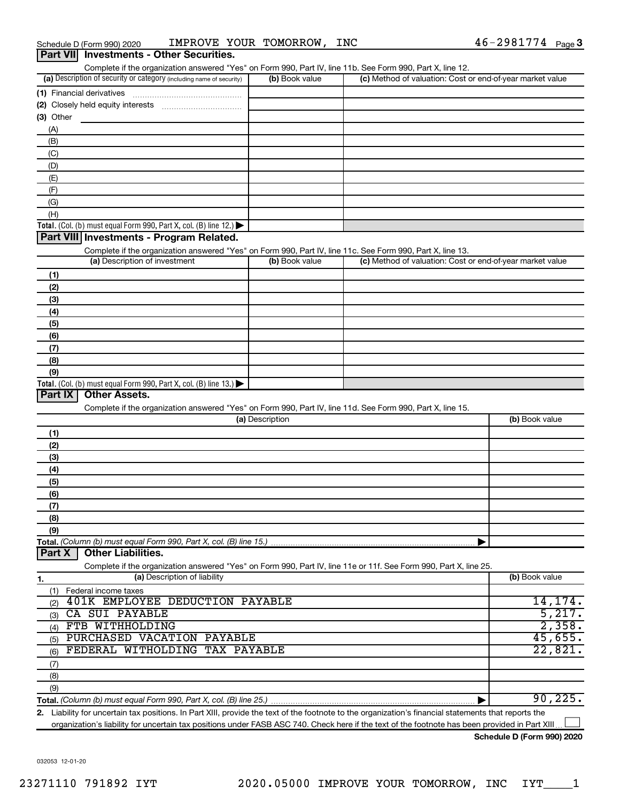|  | Schedule D (Form 990) 2020 |                                                 | IMPROVE YOUR TOMORROW, | <b>INC</b> | $46 - 2981774$ Page 3 |  |
|--|----------------------------|-------------------------------------------------|------------------------|------------|-----------------------|--|
|  |                            | <b>Part VII</b> Investments - Other Securities. |                        |            |                       |  |

| Complete if the organization answered "Yes" on Form 990, Part IV, line 11b. See Form 990, Part X, line 12.                                           |                 |                                                           |                |
|------------------------------------------------------------------------------------------------------------------------------------------------------|-----------------|-----------------------------------------------------------|----------------|
| (a) Description of security or category (including name of security)                                                                                 | (b) Book value  | (c) Method of valuation: Cost or end-of-year market value |                |
|                                                                                                                                                      |                 |                                                           |                |
|                                                                                                                                                      |                 |                                                           |                |
| (3) Other                                                                                                                                            |                 |                                                           |                |
| (A)                                                                                                                                                  |                 |                                                           |                |
| (B)                                                                                                                                                  |                 |                                                           |                |
| (C)                                                                                                                                                  |                 |                                                           |                |
|                                                                                                                                                      |                 |                                                           |                |
| (D)                                                                                                                                                  |                 |                                                           |                |
| (E)                                                                                                                                                  |                 |                                                           |                |
| (F)                                                                                                                                                  |                 |                                                           |                |
| (G)                                                                                                                                                  |                 |                                                           |                |
| (H)                                                                                                                                                  |                 |                                                           |                |
| Total. (Col. (b) must equal Form 990, Part X, col. (B) line 12.) $\blacktriangleright$                                                               |                 |                                                           |                |
| Part VIII Investments - Program Related.                                                                                                             |                 |                                                           |                |
| Complete if the organization answered "Yes" on Form 990, Part IV, line 11c. See Form 990, Part X, line 13.                                           |                 |                                                           |                |
| (a) Description of investment                                                                                                                        | (b) Book value  | (c) Method of valuation: Cost or end-of-year market value |                |
| (1)                                                                                                                                                  |                 |                                                           |                |
| (2)                                                                                                                                                  |                 |                                                           |                |
| (3)                                                                                                                                                  |                 |                                                           |                |
| (4)                                                                                                                                                  |                 |                                                           |                |
| (5)                                                                                                                                                  |                 |                                                           |                |
| (6)                                                                                                                                                  |                 |                                                           |                |
| (7)                                                                                                                                                  |                 |                                                           |                |
| (8)                                                                                                                                                  |                 |                                                           |                |
| (9)                                                                                                                                                  |                 |                                                           |                |
|                                                                                                                                                      |                 |                                                           |                |
| Total. (Col. (b) must equal Form 990, Part X, col. (B) line 13.) $\blacktriangleright$<br>Part IX<br><b>Other Assets.</b>                            |                 |                                                           |                |
|                                                                                                                                                      |                 |                                                           |                |
| Complete if the organization answered "Yes" on Form 990, Part IV, line 11d. See Form 990, Part X, line 15.                                           |                 |                                                           |                |
|                                                                                                                                                      | (a) Description |                                                           | (b) Book value |
| (1)                                                                                                                                                  |                 |                                                           |                |
| (2)                                                                                                                                                  |                 |                                                           |                |
| (3)                                                                                                                                                  |                 |                                                           |                |
| (4)                                                                                                                                                  |                 |                                                           |                |
| (5)                                                                                                                                                  |                 |                                                           |                |
| (6)                                                                                                                                                  |                 |                                                           |                |
| (7)                                                                                                                                                  |                 |                                                           |                |
| (8)                                                                                                                                                  |                 |                                                           |                |
| (9)                                                                                                                                                  |                 |                                                           |                |
| Total. (Column (b) must equal Form 990, Part X, col. (B) line 15.)                                                                                   |                 |                                                           |                |
| <b>Other Liabilities.</b><br>Part X                                                                                                                  |                 |                                                           |                |
| Complete if the organization answered "Yes" on Form 990, Part IV, line 11e or 11f. See Form 990, Part X, line 25.                                    |                 |                                                           |                |
| (a) Description of liability<br>1.                                                                                                                   |                 |                                                           | (b) Book value |
| Federal income taxes                                                                                                                                 |                 |                                                           |                |
| (1)<br><b>401K EMPLOYEE DEDUCTION PAYABLE</b>                                                                                                        |                 |                                                           | 14, 174.       |
| (2)<br>CA SUI PAYABLE                                                                                                                                |                 |                                                           | 5,217.         |
| (3)<br>FTB WITHHOLDING                                                                                                                               |                 |                                                           | 2,358.         |
| (4)                                                                                                                                                  |                 |                                                           |                |
| PURCHASED VACATION PAYABLE<br>(5)                                                                                                                    |                 |                                                           | 45,655.        |
| FEDERAL WITHOLDING TAX PAYABLE<br>(6)                                                                                                                |                 |                                                           | 22,821.        |
| (7)                                                                                                                                                  |                 |                                                           |                |
| (8)                                                                                                                                                  |                 |                                                           |                |
| (9)                                                                                                                                                  |                 |                                                           |                |
|                                                                                                                                                      |                 |                                                           | 90, 225.       |
| 2. Liability for uncertain tax positions. In Part XIII, provide the text of the footnote to the organization's financial statements that reports the |                 |                                                           |                |

**2.** Liability for uncertain tax positions. In Part XIII, provide the text of the footnote to the organization's financial statements that reports the organization's liability for uncertain tax positions under FASB ASC 740. Check here if the text of the footnote has been provided in Part XIII...  $\Box$ 

**Schedule D (Form 990) 2020**

032053 12-01-20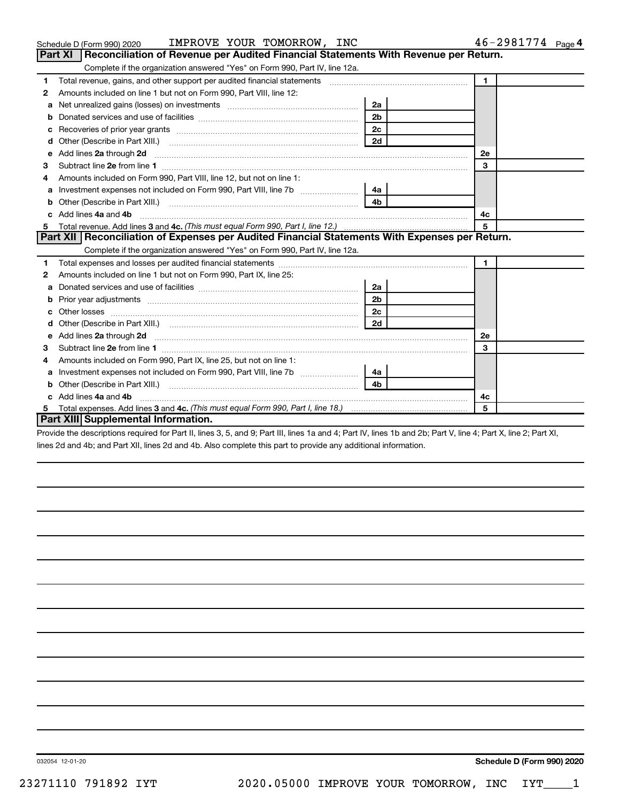|    | IMPROVE YOUR TOMORROW, INC<br>Schedule D (Form 990) 2020                                                                                                                                                                       |                | 46-2981774 Page 4 |
|----|--------------------------------------------------------------------------------------------------------------------------------------------------------------------------------------------------------------------------------|----------------|-------------------|
|    | Part XI   Reconciliation of Revenue per Audited Financial Statements With Revenue per Return.                                                                                                                                  |                |                   |
|    | Complete if the organization answered "Yes" on Form 990, Part IV, line 12a.                                                                                                                                                    |                |                   |
| 1  | Total revenue, gains, and other support per audited financial statements [[[[[[[[[[[[[[[[[[[[[[]]]]]]]]]]]]]]                                                                                                                  |                | $\mathbf{1}$      |
| 2  | Amounts included on line 1 but not on Form 990, Part VIII, line 12:                                                                                                                                                            |                |                   |
| a  |                                                                                                                                                                                                                                | 2a             |                   |
| b  |                                                                                                                                                                                                                                | 2 <sub>b</sub> |                   |
| с  | Recoveries of prior year grants [11,111] Recoveries of prior year grants [11,111] Recoveries of prior year grants                                                                                                              | 2c             |                   |
| d  |                                                                                                                                                                                                                                | 2d             |                   |
| e  | Add lines 2a through 2d                                                                                                                                                                                                        |                | 2e                |
| з  |                                                                                                                                                                                                                                |                | 3                 |
| 4  | Amounts included on Form 990, Part VIII, line 12, but not on line 1:                                                                                                                                                           |                |                   |
| a  |                                                                                                                                                                                                                                | 4a             |                   |
| b  |                                                                                                                                                                                                                                | 4 <sub>b</sub> |                   |
| c. | Add lines 4a and 4b                                                                                                                                                                                                            |                | 4с                |
|    |                                                                                                                                                                                                                                |                | 5                 |
|    | Part XII Reconciliation of Expenses per Audited Financial Statements With Expenses per Return.                                                                                                                                 |                |                   |
|    | Complete if the organization answered "Yes" on Form 990, Part IV, line 12a.                                                                                                                                                    |                |                   |
| 1  |                                                                                                                                                                                                                                |                | $\mathbf{1}$      |
| 2  | Amounts included on line 1 but not on Form 990, Part IX, line 25:                                                                                                                                                              |                |                   |
| a  |                                                                                                                                                                                                                                | 2a             |                   |
| b  |                                                                                                                                                                                                                                | 2 <sub>b</sub> |                   |
|    |                                                                                                                                                                                                                                | 2 <sub>c</sub> |                   |
| d  | Other (Describe in Part XIII.) (2000) (2000) (2000) (2000) (2000) (2000) (2000) (2000) (2000) (2000) (2000) (2000) (2000) (2000) (2000) (2000) (2000) (2000) (2000) (2000) (2000) (2000) (2000) (2000) (2000) (2000) (2000) (2 | 2d             |                   |
| e  | Add lines 2a through 2d <b>continuum contract and all and all and all and all and all and all and all and all and a</b>                                                                                                        |                | 2e                |
| 3  |                                                                                                                                                                                                                                |                | 3                 |
| 4  | Amounts included on Form 990, Part IX, line 25, but not on line 1:                                                                                                                                                             |                |                   |
| a  | Investment expenses not included on Form 990, Part VIII, line 7b [                                                                                                                                                             | 4a             |                   |
|    |                                                                                                                                                                                                                                | 4 <sub>b</sub> |                   |
|    | c Add lines 4a and 4b                                                                                                                                                                                                          |                | 4c                |
|    |                                                                                                                                                                                                                                |                | 5                 |
|    | Part XIII Supplemental Information.                                                                                                                                                                                            |                |                   |

Provide the descriptions required for Part II, lines 3, 5, and 9; Part III, lines 1a and 4; Part IV, lines 1b and 2b; Part V, line 4; Part X, line 2; Part XI, lines 2d and 4b; and Part XII, lines 2d and 4b. Also complete this part to provide any additional information.

**Schedule D (Form 990) 2020**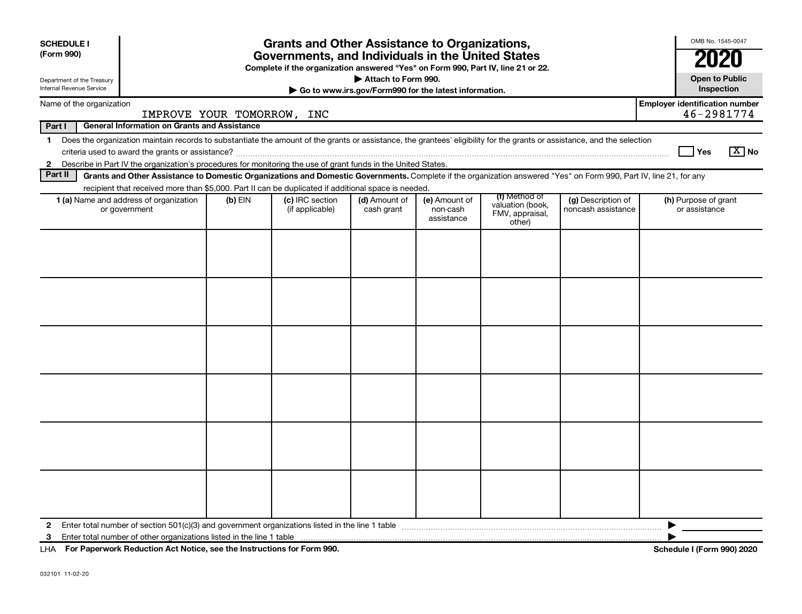| <b>SCHEDULE I</b><br>(Form 990)<br>Department of the Treasury<br>Internal Revenue Service                                                                                                                                                      | <b>Grants and Other Assistance to Organizations,</b><br>Governments, and Individuals in the United States<br>Complete if the organization answered "Yes" on Form 990, Part IV, line 21 or 22.<br>Attach to Form 990.<br>Go to www.irs.gov/Form990 for the latest information. |                            |                                    |                             |                                         |                                               |                                          |                                       |  |
|------------------------------------------------------------------------------------------------------------------------------------------------------------------------------------------------------------------------------------------------|-------------------------------------------------------------------------------------------------------------------------------------------------------------------------------------------------------------------------------------------------------------------------------|----------------------------|------------------------------------|-----------------------------|-----------------------------------------|-----------------------------------------------|------------------------------------------|---------------------------------------|--|
| Name of the organization                                                                                                                                                                                                                       |                                                                                                                                                                                                                                                                               |                            |                                    |                             |                                         |                                               |                                          | <b>Employer identification number</b> |  |
| Part I                                                                                                                                                                                                                                         |                                                                                                                                                                                                                                                                               | IMPROVE YOUR TOMORROW, INC |                                    |                             |                                         |                                               |                                          | 46-2981774                            |  |
| <b>General Information on Grants and Assistance</b><br>Does the organization maintain records to substantiate the amount of the grants or assistance, the grantees' eligibility for the grants or assistance, and the selection<br>$\mathbf 1$ |                                                                                                                                                                                                                                                                               |                            |                                    |                             |                                         |                                               |                                          |                                       |  |
|                                                                                                                                                                                                                                                |                                                                                                                                                                                                                                                                               |                            |                                    |                             |                                         |                                               |                                          | $\boxed{\text{X}}$ No<br>Yes          |  |
| $\mathbf{2}$                                                                                                                                                                                                                                   | Describe in Part IV the organization's procedures for monitoring the use of grant funds in the United States.                                                                                                                                                                 |                            |                                    |                             |                                         |                                               |                                          |                                       |  |
| Part II                                                                                                                                                                                                                                        | Grants and Other Assistance to Domestic Organizations and Domestic Governments. Complete if the organization answered "Yes" on Form 990, Part IV, line 21, for any                                                                                                            |                            |                                    |                             |                                         |                                               |                                          |                                       |  |
|                                                                                                                                                                                                                                                | recipient that received more than \$5,000. Part II can be duplicated if additional space is needed.                                                                                                                                                                           |                            |                                    |                             |                                         | (f) Method of                                 |                                          |                                       |  |
|                                                                                                                                                                                                                                                | <b>1 (a)</b> Name and address of organization<br>or government                                                                                                                                                                                                                | $(b)$ EIN                  | (c) IRC section<br>(if applicable) | (d) Amount of<br>cash grant | (e) Amount of<br>non-cash<br>assistance | valuation (book,<br>FMV, appraisal,<br>other) | (g) Description of<br>noncash assistance | (h) Purpose of grant<br>or assistance |  |
|                                                                                                                                                                                                                                                |                                                                                                                                                                                                                                                                               |                            |                                    |                             |                                         |                                               |                                          |                                       |  |
|                                                                                                                                                                                                                                                |                                                                                                                                                                                                                                                                               |                            |                                    |                             |                                         |                                               |                                          |                                       |  |
|                                                                                                                                                                                                                                                |                                                                                                                                                                                                                                                                               |                            |                                    |                             |                                         |                                               |                                          |                                       |  |
|                                                                                                                                                                                                                                                |                                                                                                                                                                                                                                                                               |                            |                                    |                             |                                         |                                               |                                          |                                       |  |
|                                                                                                                                                                                                                                                |                                                                                                                                                                                                                                                                               |                            |                                    |                             |                                         |                                               |                                          |                                       |  |
|                                                                                                                                                                                                                                                |                                                                                                                                                                                                                                                                               |                            |                                    |                             |                                         |                                               |                                          |                                       |  |
|                                                                                                                                                                                                                                                |                                                                                                                                                                                                                                                                               |                            |                                    |                             |                                         |                                               |                                          |                                       |  |
|                                                                                                                                                                                                                                                |                                                                                                                                                                                                                                                                               |                            |                                    |                             |                                         |                                               |                                          |                                       |  |
|                                                                                                                                                                                                                                                |                                                                                                                                                                                                                                                                               |                            |                                    |                             |                                         |                                               |                                          |                                       |  |
|                                                                                                                                                                                                                                                |                                                                                                                                                                                                                                                                               |                            |                                    |                             |                                         |                                               |                                          |                                       |  |
|                                                                                                                                                                                                                                                |                                                                                                                                                                                                                                                                               |                            |                                    |                             |                                         |                                               |                                          |                                       |  |
|                                                                                                                                                                                                                                                |                                                                                                                                                                                                                                                                               |                            |                                    |                             |                                         |                                               |                                          |                                       |  |
|                                                                                                                                                                                                                                                |                                                                                                                                                                                                                                                                               |                            |                                    |                             |                                         |                                               |                                          |                                       |  |
|                                                                                                                                                                                                                                                |                                                                                                                                                                                                                                                                               |                            |                                    |                             |                                         |                                               |                                          |                                       |  |
|                                                                                                                                                                                                                                                |                                                                                                                                                                                                                                                                               |                            |                                    |                             |                                         |                                               |                                          |                                       |  |
|                                                                                                                                                                                                                                                |                                                                                                                                                                                                                                                                               |                            |                                    |                             |                                         |                                               |                                          |                                       |  |
|                                                                                                                                                                                                                                                |                                                                                                                                                                                                                                                                               |                            |                                    |                             |                                         |                                               |                                          |                                       |  |
| 2                                                                                                                                                                                                                                              | Enter total number of section $501(c)(3)$ and government organizations listed in the line 1 table                                                                                                                                                                             |                            |                                    |                             |                                         |                                               |                                          |                                       |  |
| 3                                                                                                                                                                                                                                              |                                                                                                                                                                                                                                                                               |                            |                                    |                             |                                         |                                               |                                          |                                       |  |
| LHA For Paperwork Reduction Act Notice, see the Instructions for Form 990.                                                                                                                                                                     |                                                                                                                                                                                                                                                                               |                            |                                    |                             |                                         |                                               |                                          | <b>Schedule I (Form 990) 2020</b>     |  |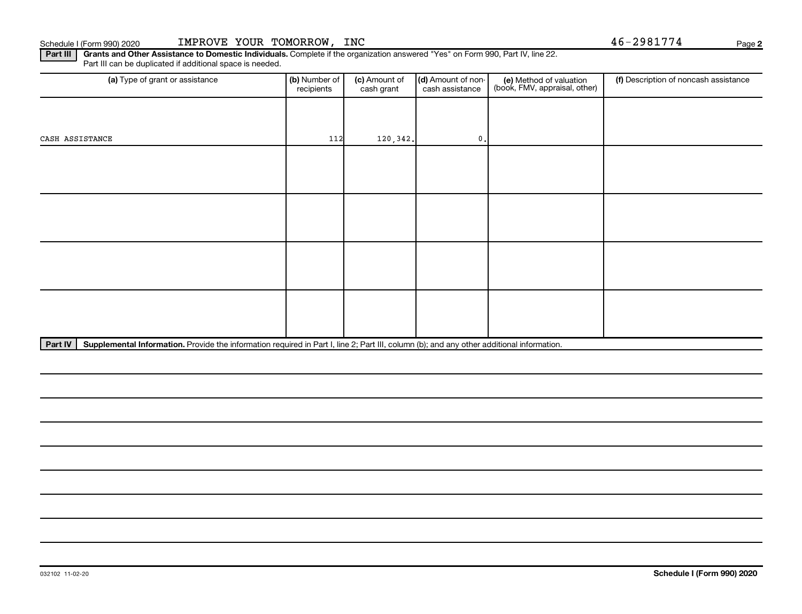Part III | Grants and Other Assistance to Domestic Individuals. Complete if the organization answered "Yes" on Form 990, Part IV, line 22. Part III can be duplicated if additional space is needed.

| (a) Type of grant or assistance | (b) Number of<br>recipients | (c) Amount of<br>cash grant | (d) Amount of non-<br>cash assistance | (e) Method of valuation<br>(book, FMV, appraisal, other) | (f) Description of noncash assistance |
|---------------------------------|-----------------------------|-----------------------------|---------------------------------------|----------------------------------------------------------|---------------------------------------|
|                                 |                             |                             |                                       |                                                          |                                       |
| CASH ASSISTANCE                 | 112                         | 120, 342.                   | $\mathfrak o$ .                       |                                                          |                                       |
|                                 |                             |                             |                                       |                                                          |                                       |
|                                 |                             |                             |                                       |                                                          |                                       |
|                                 |                             |                             |                                       |                                                          |                                       |
|                                 |                             |                             |                                       |                                                          |                                       |
|                                 |                             |                             |                                       |                                                          |                                       |
|                                 |                             |                             |                                       |                                                          |                                       |
|                                 |                             |                             |                                       |                                                          |                                       |
|                                 |                             |                             |                                       |                                                          |                                       |

Part IV | Supplemental Information. Provide the information required in Part I, line 2; Part III, column (b); and any other additional information.